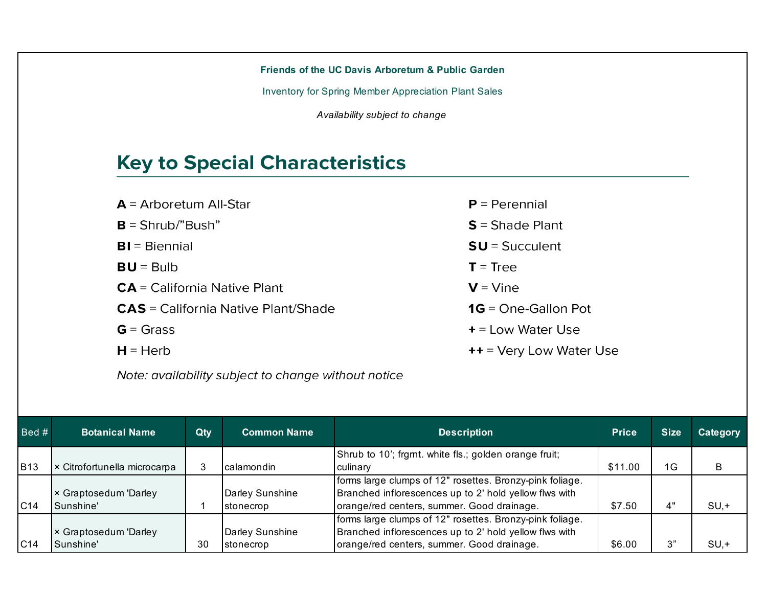| Friends of the UC Davis Arboretum & Public Garden           |                           |
|-------------------------------------------------------------|---------------------------|
| <b>Inventory for Spring Member Appreciation Plant Sales</b> |                           |
| Availability subject to change                              |                           |
|                                                             |                           |
| <b>Key to Special Characteristics</b>                       |                           |
|                                                             |                           |
| $A =$ Arboretum All-Star                                    | $P = Perennial$           |
| $B = Shrub''Bush''$                                         | $S =$ Shade Plant         |
| $BI = Biennial$                                             | $SU = S$ ucculent         |
| $BU = Bulb$                                                 | $T = Tree$                |
| $CA = California$ Native Plant                              | $V =$ Vine                |
| <b>CAS</b> = California Native Plant/Shade                  | $1G = One-Gallon$ Pot     |
| $G = Grass$                                                 | $+$ = Low Water Use       |
| $H = Herb$                                                  | $++$ = Very Low Water Use |
| Note: availability subject to change without notice         |                           |

| $\vert$ Bed # $\vert$ | <b>Botanical Name</b>        | Qty | <b>Common Name</b> | <b>Description</b>                                       | <b>Price</b> | <b>Size</b>  | Category |
|-----------------------|------------------------------|-----|--------------------|----------------------------------------------------------|--------------|--------------|----------|
|                       |                              |     |                    | Shrub to 10'; frgmt. white fls.; golden orange fruit;    |              |              |          |
| <b>B13</b>            | × Citrofortunella microcarpa |     | calamondin         | Iculinarv                                                | \$11.00      | 1G           | B        |
|                       |                              |     |                    | forms large clumps of 12" rosettes. Bronzy-pink foliage. |              |              |          |
|                       | × Graptosedum 'Darley        |     | Darley Sunshine    | Branched inflorescences up to 2' hold yellow flws with   |              |              |          |
| C <sub>14</sub>       | Sunshine'                    |     | stonecrop          | orange/red centers, summer. Good drainage.               | \$7.50       | $4^{\prime}$ | $SU, +$  |
|                       |                              |     |                    | forms large clumps of 12" rosettes. Bronzy-pink foliage. |              |              |          |
|                       | × Graptosedum 'Darley        |     | Darley Sunshine    | Branched inflorescences up to 2' hold yellow flws with   |              |              |          |
| C14                   | Sunshine'                    | 30  | stonecrop          | orange/red centers, summer. Good drainage.               | \$6.00       | $\bigcap$    | $SU, +$  |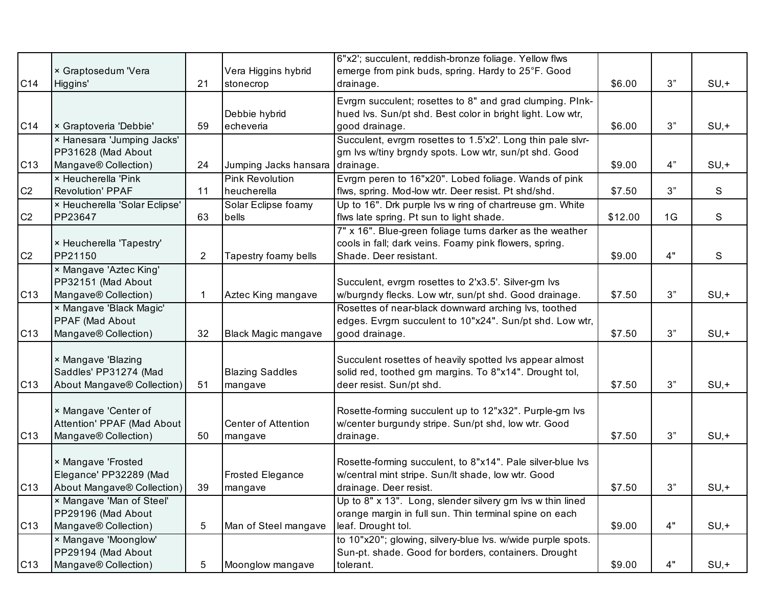|                 |                                                                            |                |                                       | 6"x2'; succulent, reddish-bronze foliage. Yellow flws                                                                                          |         |    |         |
|-----------------|----------------------------------------------------------------------------|----------------|---------------------------------------|------------------------------------------------------------------------------------------------------------------------------------------------|---------|----|---------|
|                 | × Graptosedum 'Vera                                                        |                | Vera Higgins hybrid                   | emerge from pink buds, spring. Hardy to 25°F. Good                                                                                             |         |    |         |
| C14             | Higgins'                                                                   | 21             | stonecrop                             | drainage.                                                                                                                                      | \$6.00  | 3" | $SU, +$ |
| C14             | × Graptoveria 'Debbie'                                                     | 59             | Debbie hybrid<br>echeveria            | Evrgrn succulent; rosettes to 8" and grad clumping. PInk-<br>hued Ivs. Sun/pt shd. Best color in bright light. Low wtr,<br>good drainage.      | \$6.00  | 3" | $SU, +$ |
|                 | × Hanesara 'Jumping Jacks'                                                 |                |                                       | Succulent, evrgrn rosettes to 1.5'x2'. Long thin pale slvr-                                                                                    |         |    |         |
|                 | PP31628 (Mad About                                                         |                |                                       | grn lvs w/tiny brgndy spots. Low wtr, sun/pt shd. Good                                                                                         |         |    |         |
| C13             | Mangave® Collection)                                                       | 24             | Jumping Jacks hansara                 | drainage.                                                                                                                                      | \$9.00  | 4" | $SU, +$ |
|                 | × Heucherella 'Pink                                                        |                | <b>Pink Revolution</b>                | Evrgrn peren to 16"x20". Lobed foliage. Wands of pink                                                                                          |         |    |         |
| C <sub>2</sub>  | <b>Revolution' PPAF</b>                                                    | 11             | heucherella                           | flws, spring. Mod-low wtr. Deer resist. Pt shd/shd.                                                                                            | \$7.50  | 3" | S       |
|                 | × Heucherella 'Solar Eclipse'                                              |                | Solar Eclipse foamy                   | Up to 16". Drk purple lvs w ring of chartreuse grn. White                                                                                      |         |    |         |
| C <sub>2</sub>  | PP23647                                                                    | 63             | bells                                 | flws late spring. Pt sun to light shade.                                                                                                       | \$12.00 | 1G | S       |
| C <sub>2</sub>  | × Heucherella 'Tapestry'<br>PP21150                                        | $\overline{2}$ | Tapestry foamy bells                  | 7" x 16". Blue-green foliage turns darker as the weather<br>cools in fall; dark veins. Foamy pink flowers, spring.<br>Shade. Deer resistant.   | \$9.00  | 4" | S       |
|                 | × Mangave 'Aztec King'                                                     |                |                                       |                                                                                                                                                |         |    |         |
| C13             | PP32151 (Mad About<br>Mangave® Collection)                                 |                | Aztec King mangave                    | Succulent, evrgrn rosettes to 2'x3.5'. Silver-grn lvs<br>w/burgndy flecks. Low wtr, sun/pt shd. Good drainage.                                 | \$7.50  | 3" | $SU, +$ |
| C <sub>13</sub> | × Mangave 'Black Magic'<br>PPAF (Mad About<br>Mangave® Collection)         | 32             | Black Magic mangave                   | Rosettes of near-black downward arching lvs, toothed<br>edges. Evrgrn succulent to 10"x24". Sun/pt shd. Low wtr,<br>good drainage.             | \$7.50  | 3" | $SU, +$ |
| C13             | × Mangave 'Blazing<br>Saddles' PP31274 (Mad<br>About Mangave® Collection)  | 51             | <b>Blazing Saddles</b><br>mangave     | Succulent rosettes of heavily spotted Ivs appear almost<br>solid red, toothed grn margins. To 8"x14". Drought tol,<br>deer resist. Sun/pt shd. | \$7.50  | 3" | $SU, +$ |
| C13             | × Mangave 'Center of<br>Attention' PPAF (Mad About<br>Mangave® Collection) | 50             | <b>Center of Attention</b><br>mangave | Rosette-forming succulent up to 12"x32". Purple-grn lvs<br>w/center burgundy stripe. Sun/pt shd, low wtr. Good<br>drainage.                    | \$7.50  | 3" | $SU, +$ |
| C13             | × Mangave 'Frosted<br>Elegance' PP32289 (Mad<br>About Mangave® Collection) | 39             | <b>Frosted Elegance</b><br>mangave    | Rosette-forming succulent, to 8"x14". Pale silver-blue lvs<br>w/central mint stripe. Sun/It shade, low wtr. Good<br>drainage. Deer resist.     | \$7.50  | 3" | $SU, +$ |
|                 | × Mangave 'Man of Steel'                                                   |                |                                       | Up to 8" x 13". Long, slender silvery grn Ivs w thin lined                                                                                     |         |    |         |
|                 | PP29196 (Mad About                                                         |                |                                       | orange margin in full sun. Thin terminal spine on each                                                                                         |         |    |         |
| C <sub>13</sub> | Mangave® Collection)                                                       | 5              | Man of Steel mangave                  | leaf. Drought tol.                                                                                                                             | \$9.00  | 4" | $SU, +$ |
|                 | × Mangave 'Moonglow'                                                       |                |                                       | to 10"x20"; glowing, silvery-blue lvs. w/wide purple spots.                                                                                    |         |    |         |
|                 | PP29194 (Mad About                                                         |                |                                       | Sun-pt. shade. Good for borders, containers. Drought                                                                                           |         |    |         |
| C <sub>13</sub> | Mangave® Collection)                                                       | 5              | Moonglow mangave                      | tolerant.                                                                                                                                      | \$9.00  | 4" | $SU, +$ |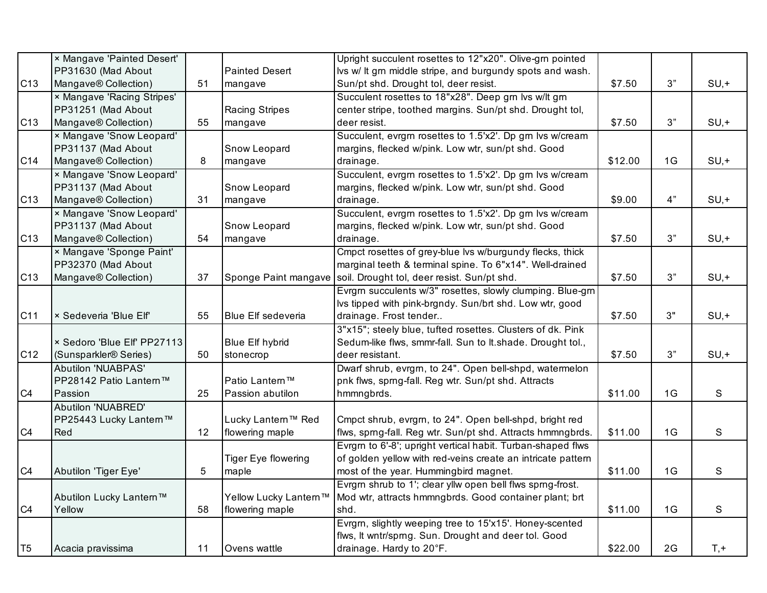|                 | × Mangave 'Painted Desert'        |    |                            | Upright succulent rosettes to 12"x20". Olive-grn pointed    |         |    |         |
|-----------------|-----------------------------------|----|----------------------------|-------------------------------------------------------------|---------|----|---------|
|                 | PP31630 (Mad About                |    | <b>Painted Desert</b>      | Ivs w/ It grn middle stripe, and burgundy spots and wash.   |         |    |         |
| C13             | Mangave® Collection)              | 51 | mangave                    | Sun/pt shd. Drought tol, deer resist.                       | \$7.50  | 3" | $SU, +$ |
|                 | × Mangave 'Racing Stripes'        |    |                            | Succulent rosettes to 18"x28". Deep grn lvs w/lt grn        |         |    |         |
|                 | PP31251 (Mad About                |    | <b>Racing Stripes</b>      | center stripe, toothed margins. Sun/pt shd. Drought tol,    |         |    |         |
| C <sub>13</sub> | Mangave® Collection)              | 55 | mangave                    | deer resist.                                                | \$7.50  | 3" | $SU, +$ |
|                 | × Mangave 'Snow Leopard'          |    |                            | Succulent, evrgm rosettes to 1.5'x2'. Dp gm lvs w/cream     |         |    |         |
|                 | PP31137 (Mad About                |    | Snow Leopard               | margins, flecked w/pink. Low wtr, sun/pt shd. Good          |         |    |         |
| C14             | Mangave® Collection)              | 8  | mangave                    | drainage.                                                   | \$12.00 | 1G | $SU, +$ |
|                 | × Mangave 'Snow Leopard'          |    |                            | Succulent, evrgm rosettes to 1.5'x2'. Dp gm lvs w/cream     |         |    |         |
|                 | PP31137 (Mad About                |    | Snow Leopard               | margins, flecked w/pink. Low wtr, sun/pt shd. Good          |         |    |         |
| C13             | Mangave® Collection)              | 31 | mangave                    | drainage.                                                   | \$9.00  | 4" | $SU, +$ |
|                 | × Mangave 'Snow Leopard'          |    |                            | Succulent, evrgm rosettes to 1.5'x2'. Dp gm lvs w/cream     |         |    |         |
|                 | PP31137 (Mad About                |    | Snow Leopard               | margins, flecked w/pink. Low wtr, sun/pt shd. Good          |         |    |         |
| C <sub>13</sub> | Mangave® Collection)              | 54 | mangave                    | drainage.                                                   | \$7.50  | 3" | $SU, +$ |
|                 | × Mangave 'Sponge Paint'          |    |                            | Cmpct rosettes of grey-blue lvs w/burgundy flecks, thick    |         |    |         |
|                 | PP32370 (Mad About                |    |                            | marginal teeth & terminal spine. To 6"x14". Well-drained    |         |    |         |
| C <sub>13</sub> | Mangave® Collection)              | 37 | Sponge Paint mangave       | soil. Drought tol, deer resist. Sun/pt shd.                 | \$7.50  | 3" | $SU, +$ |
|                 |                                   |    |                            | Evrgm succulents w/3" rosettes, slowly clumping. Blue-grn   |         |    |         |
|                 |                                   |    |                            | Ivs tipped with pink-brgndy. Sun/brt shd. Low wtr, good     |         |    |         |
| C11             | × Sedeveria 'Blue Elf'            | 55 | <b>Blue Elf sedeveria</b>  | drainage. Frost tender                                      | \$7.50  | 3" | $SU, +$ |
|                 |                                   |    |                            | 3"x15"; steely blue, tufted rosettes. Clusters of dk. Pink  |         |    |         |
|                 | × Sedoro 'Blue Elf' PP27113       |    | <b>Blue Elf hybrid</b>     | Sedum-like flws, smmr-fall. Sun to It.shade. Drought tol.,  |         |    |         |
| C12             | (Sunsparkler <sup>®</sup> Series) | 50 | stonecrop                  | deer resistant.                                             | \$7.50  | 3" | $SU, +$ |
|                 | <b>Abutilon 'NUABPAS'</b>         |    |                            | Dwarf shrub, evrgrn, to 24". Open bell-shpd, watermelon     |         |    |         |
|                 | PP28142 Patio Lantern™            |    | Patio Lantern™             | pnk flws, sprng-fall. Reg wtr. Sun/pt shd. Attracts         |         |    |         |
| C4              | Passion                           | 25 | Passion abutilon           | hmmngbrds.                                                  | \$11.00 | 1G | S       |
|                 | Abutilon 'NUABRED'                |    |                            |                                                             |         |    |         |
|                 | PP25443 Lucky Lantern™            |    | Lucky Lantern™ Red         | Cmpct shrub, evrgrn, to 24". Open bell-shpd, bright red     |         |    |         |
| C4              | Red                               | 12 | flowering maple            | flws, sprng-fall. Reg wtr. Sun/pt shd. Attracts hmmngbrds.  | \$11.00 | 1G | S       |
|                 |                                   |    |                            | Evrgm to 6'-8'; upright vertical habit. Turban-shaped flws  |         |    |         |
|                 |                                   |    | <b>Tiger Eye flowering</b> | of golden yellow with red-veins create an intricate pattern |         |    |         |
| C4              | Abutilon 'Tiger Eye'              | 5  | maple                      | most of the year. Hummingbird magnet.                       | \$11.00 | 1G | S       |
|                 |                                   |    |                            | Evrgm shrub to 1'; clear yllw open bell flws sprng-frost.   |         |    |         |
|                 | Abutilon Lucky Lantern™           |    | Yellow Lucky Lantern™      | Mod wtr, attracts hmmngbrds. Good container plant; brt      |         |    |         |
| C4              | Yellow                            | 58 | flowering maple            | shd.                                                        | \$11.00 | 1G | S       |
|                 |                                   |    |                            | Evrgm, slightly weeping tree to 15'x15'. Honey-scented      |         |    |         |
|                 |                                   |    |                            | flws, It wntr/sprng. Sun. Drought and deer tol. Good        |         |    |         |
| T <sub>5</sub>  | Acacia pravissima                 | 11 | Ovens wattle               | drainage. Hardy to 20°F.                                    | \$22.00 | 2G | $T, +$  |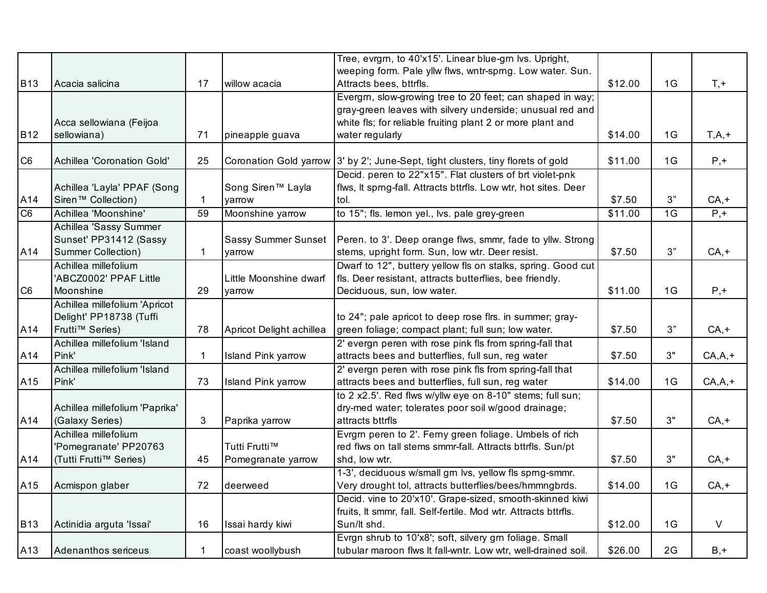|                |                                            |              |                            | Tree, evrgrn, to 40'x15'. Linear blue-grn lvs. Upright,                                                          |         |    |            |
|----------------|--------------------------------------------|--------------|----------------------------|------------------------------------------------------------------------------------------------------------------|---------|----|------------|
| <b>B13</b>     | Acacia salicina                            | 17           | willow acacia              | weeping form. Pale yllw flws, wntr-sprng. Low water. Sun.<br>Attracts bees, bttrfls.                             | \$12.00 | 1G | $T, +$     |
|                |                                            |              |                            | Evergrn, slow-growing tree to 20 feet; can shaped in way;                                                        |         |    |            |
|                |                                            |              |                            | gray-green leaves with silvery underside; unusual red and                                                        |         |    |            |
|                | Acca sellowiana (Feijoa                    |              |                            | white fls; for reliable fruiting plant 2 or more plant and                                                       |         |    |            |
| <b>B12</b>     | sellowiana)                                | 71           | pineapple guava            | water regularly                                                                                                  | \$14.00 | 1G | $T,A,+$    |
| C <sub>6</sub> | Achillea 'Coronation Gold'                 | 25           | Coronation Gold yarrow     | 3' by 2'; June-Sept, tight clusters, tiny florets of gold                                                        | \$11.00 | 1G | $P, +$     |
|                |                                            |              |                            | Decid. peren to 22"x15". Flat clusters of brt violet-pnk                                                         |         |    |            |
|                | Achillea 'Layla' PPAF (Song                |              | Song Siren™ Layla          | flws, It sprng-fall. Attracts bttrfls. Low wtr, hot sites. Deer                                                  |         |    |            |
| A14            | Siren <sup>™</sup> Collection)             |              | yarrow                     | tol.                                                                                                             | \$7.50  | 3" | $CA, +$    |
| C <sub>6</sub> | Achillea 'Moonshine'                       | 59           | Moonshine yarrow           | to 15"; fls. lemon yel., lvs. pale grey-green                                                                    | \$11.00 | 1G | $P_{1}$ +  |
|                | Achillea 'Sassy Summer                     |              |                            |                                                                                                                  |         |    |            |
|                | Sunset' PP31412 (Sassy                     |              | <b>Sassy Summer Sunset</b> | Peren. to 3'. Deep orange flws, smmr, fade to yllw. Strong                                                       |         |    |            |
| A14            | Summer Collection)<br>Achillea millefolium | $\mathbf{1}$ | varrow                     | stems, upright form. Sun, low wtr. Deer resist.<br>Dwarf to 12", buttery yellow fls on stalks, spring. Good cut  | \$7.50  | 3" | $CA, +$    |
|                | 'ABCZ0002' PPAF Little                     |              | Little Moonshine dwarf     | fls. Deer resistant, attracts butterflies, bee friendly.                                                         |         |    |            |
| C <sub>6</sub> | Moonshine                                  | 29           | yarrow                     | Deciduous, sun, low water.                                                                                       | \$11.00 | 1G | $P, +$     |
|                | Achillea millefolium 'Apricot              |              |                            |                                                                                                                  |         |    |            |
|                | Delight' PP18738 (Tuffi                    |              |                            | to 24"; pale apricot to deep rose flrs. in summer; gray-                                                         |         |    |            |
| A14            | Frutti™ Series)                            | 78           | Apricot Delight achillea   | green foliage; compact plant; full sun; low water.                                                               | \$7.50  | 3" | $CA, +$    |
|                | Achillea millefolium 'Island               |              |                            | 2' evergn peren with rose pink fls from spring-fall that                                                         |         |    |            |
| A14            | Pink'                                      | 1            | Island Pink yarrow         | attracts bees and butterflies, full sun, reg water                                                               | \$7.50  | 3" | $CA, A, +$ |
|                | Achillea millefolium 'Island               |              |                            | 2' evergn peren with rose pink fls from spring-fall that                                                         |         |    |            |
| A15            | Pink'                                      | 73           | Island Pink yarrow         | attracts bees and butterflies, full sun, reg water                                                               | \$14.00 | 1G | $CA, A, +$ |
|                | Achillea millefolium 'Paprika'             |              |                            | to 2 x2.5'. Red flws w/yllw eye on 8-10" stems; full sun;<br>dry-med water; tolerates poor soil w/good drainage; |         |    |            |
| A14            | (Galaxy Series)                            | 3            | Paprika yarrow             | attracts bttrfls                                                                                                 | \$7.50  | 3" | $CA, +$    |
|                | Achillea millefolium                       |              |                            | Evrgrn peren to 2'. Ferny green foliage. Umbels of rich                                                          |         |    |            |
|                | 'Pomegranate' PP20763                      |              | Tutti Frutti™              | red flws on tall stems smmr-fall. Attracts bttrfls. Sun/pt                                                       |         |    |            |
| A14            | (Tutti Frutti™ Series)                     | 45           | Pomegranate yarrow         | shd, low wtr.                                                                                                    | \$7.50  | 3" | $CA, +$    |
|                |                                            |              |                            | 1-3', deciduous w/small grn lvs, yellow fls sprng-smmr.                                                          |         |    |            |
| A15            | Acmispon glaber                            | 72           | deerweed                   | Very drought tol, attracts butterflies/bees/hmmngbrds.                                                           | \$14.00 | 1G | $CA, +$    |
|                |                                            |              |                            | Decid. vine to 20'x10'. Grape-sized, smooth-skinned kiwi                                                         |         |    |            |
| <b>B13</b>     | Actinidia arguta 'Issai'                   | 16           | Issai hardy kiwi           | fruits, It smmr, fall. Self-fertile. Mod wtr. Attracts bttrfls.<br>Sun/lt shd.                                   | \$12.00 | 1G | $\vee$     |
|                |                                            |              |                            | Evrgn shrub to 10'x8'; soft, silvery grn foliage. Small                                                          |         |    |            |
| A13            | Adenanthos sericeus                        |              | coast woollybush           | tubular maroon flws It fall-wntr. Low wtr, well-drained soil.                                                    | \$26.00 | 2G | $B, +$     |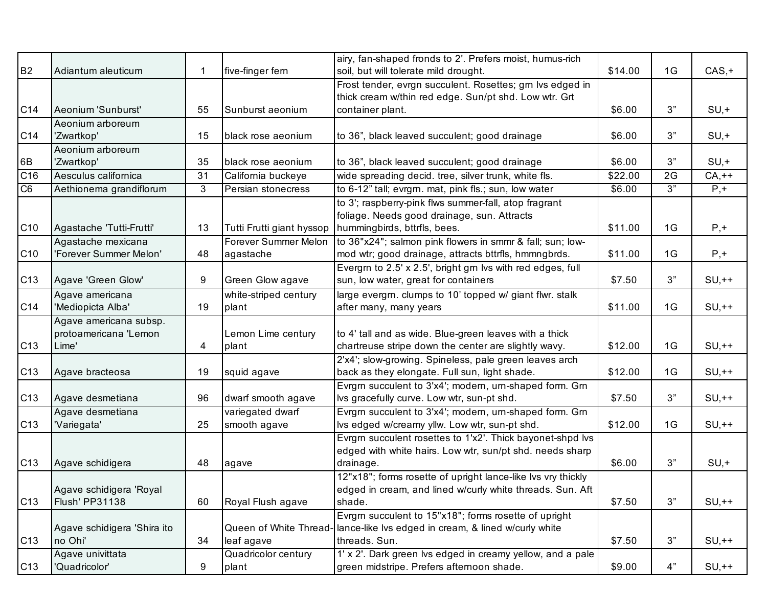| <b>B2</b>        | Adiantum aleuticum          |    | five-finger fern          | airy, fan-shaped fronds to 2'. Prefers moist, humus-rich<br>soil, but will tolerate mild drought. | \$14.00 | 1G | $CAS, +$         |
|------------------|-----------------------------|----|---------------------------|---------------------------------------------------------------------------------------------------|---------|----|------------------|
|                  |                             |    |                           | Frost tender, evrgn succulent. Rosettes; grn lvs edged in                                         |         |    |                  |
|                  |                             |    |                           | thick cream w/thin red edge. Sun/pt shd. Low wtr. Grt                                             |         |    |                  |
| C14              | Aeonium 'Sunburst'          | 55 | Sunburst aeonium          | container plant.                                                                                  | \$6.00  | 3" | $SU, +$          |
|                  | Aeonium arboreum            |    |                           |                                                                                                   |         |    |                  |
| C14              | 'Zwartkop'                  | 15 | black rose aeonium        | to 36", black leaved succulent; good drainage                                                     | \$6.00  | 3" | $SU, +$          |
|                  | Aeonium arboreum            |    |                           |                                                                                                   |         |    |                  |
| 6B               | 'Zwartkop'                  | 35 | black rose aeonium        | to 36", black leaved succulent; good drainage                                                     | \$6.00  | 3" | $SU, +$          |
| $\overline{C16}$ | Aesculus californica        | 31 | California buckeye        | wide spreading decid. tree, silver trunk, white fls.                                              | \$22.00 | 2G | $CA,++$          |
| $\overline{C6}$  | Aethionema grandiflorum     | 3  | Persian stonecress        | to 6-12" tall; evrgrn. mat, pink fls.; sun, low water                                             | \$6.00  | 3" | $\overline{P,+}$ |
|                  |                             |    |                           | to 3'; raspberry-pink flws summer-fall, atop fragrant                                             |         |    |                  |
|                  |                             |    |                           | foliage. Needs good drainage, sun. Attracts                                                       |         |    |                  |
| C <sub>10</sub>  | Agastache 'Tutti-Frutti'    | 13 | Tutti Frutti giant hyssop | hummingbirds, bttrfls, bees.                                                                      | \$11.00 | 1G | $P, +$           |
|                  | Agastache mexicana          |    | Forever Summer Melon      | to 36"x24"; salmon pink flowers in smmr & fall; sun; low-                                         |         |    |                  |
| C <sub>10</sub>  | 'Forever Summer Melon'      | 48 | agastache                 | mod wtr; good drainage, attracts bttrfls, hmmngbrds.                                              | \$11.00 | 1G | $P, +$           |
|                  |                             |    |                           | Evergm to 2.5' x 2.5', bright grn lvs with red edges, full                                        |         |    |                  |
| C <sub>13</sub>  | Agave 'Green Glow'          | 9  | Green Glow agave          | sun, low water, great for containers                                                              | \$7.50  | 3" | $SU,++$          |
|                  | Agave americana             |    | white-striped century     | large evergm. clumps to 10' topped w/ giant flwr. stalk                                           |         |    |                  |
| C <sub>14</sub>  | 'Mediopicta Alba'           | 19 | plant                     | after many, many years                                                                            | \$11.00 | 1G | $SU,++$          |
|                  | Agave americana subsp.      |    |                           |                                                                                                   |         |    |                  |
|                  | protoamericana 'Lemon       |    | Lemon Lime century        | to 4' tall and as wide. Blue-green leaves with a thick                                            |         |    |                  |
| C <sub>13</sub>  | Lime'                       | 4  | plant                     | chartreuse stripe down the center are slightly wavy.                                              | \$12.00 | 1G | $SU,++$          |
|                  |                             |    |                           | 2'x4'; slow-growing. Spineless, pale green leaves arch                                            |         |    |                  |
| C <sub>13</sub>  | Agave bracteosa             | 19 | squid agave               | back as they elongate. Full sun, light shade.                                                     | \$12.00 | 1G | $SU,++$          |
|                  |                             |    |                           | Evrgm succulent to 3'x4'; modern, urn-shaped form. Grn                                            |         |    |                  |
| C13              | Agave desmetiana            | 96 | dwarf smooth agave        | lvs gracefully curve. Low wtr, sun-pt shd.                                                        | \$7.50  | 3" | $SU,++$          |
|                  | Agave desmetiana            |    | variegated dwarf          | Evrgm succulent to 3'x4'; modern, um-shaped form. Grn                                             |         |    |                  |
| C <sub>13</sub>  | 'Variegata'                 | 25 | smooth agave              | Ivs edged w/creamy yllw. Low wtr, sun-pt shd.                                                     | \$12.00 | 1G | $SU,++$          |
|                  |                             |    |                           | Evrgm succulent rosettes to 1'x2'. Thick bayonet-shpd lvs                                         |         |    |                  |
|                  |                             |    |                           | edged with white hairs. Low wtr, sun/pt shd. needs sharp                                          |         |    |                  |
| C <sub>13</sub>  | Agave schidigera            | 48 | agave                     | drainage.                                                                                         | \$6.00  | 3" | $SU, +$          |
|                  |                             |    |                           | 12"x18"; forms rosette of upright lance-like Ivs vry thickly                                      |         |    |                  |
|                  | Agave schidigera 'Royal     |    |                           | edged in cream, and lined w/curly white threads. Sun. Aft                                         |         |    |                  |
| C <sub>13</sub>  | Flush' PP31138              | 60 | Royal Flush agave         | shade.                                                                                            | \$7.50  | 3" | $SU,++$          |
|                  |                             |    |                           | Evrgrn succulent to 15"x18"; forms rosette of upright                                             |         |    |                  |
|                  | Agave schidigera 'Shira ito |    |                           | Queen of White Thread- lance-like Ivs edged in cream, & lined w/curly white                       |         |    |                  |
| C <sub>13</sub>  | no Ohi'                     | 34 | leaf agave                | threads. Sun.                                                                                     | \$7.50  | 3" | $SU,++$          |
|                  | Agave univittata            |    | Quadricolor century       | 1' x 2'. Dark green lvs edged in creamy yellow, and a pale                                        |         |    |                  |
| C13              | 'Quadricolor'               | 9  | plant                     | green midstripe. Prefers afternoon shade.                                                         | \$9.00  | 4" | $SU,++$          |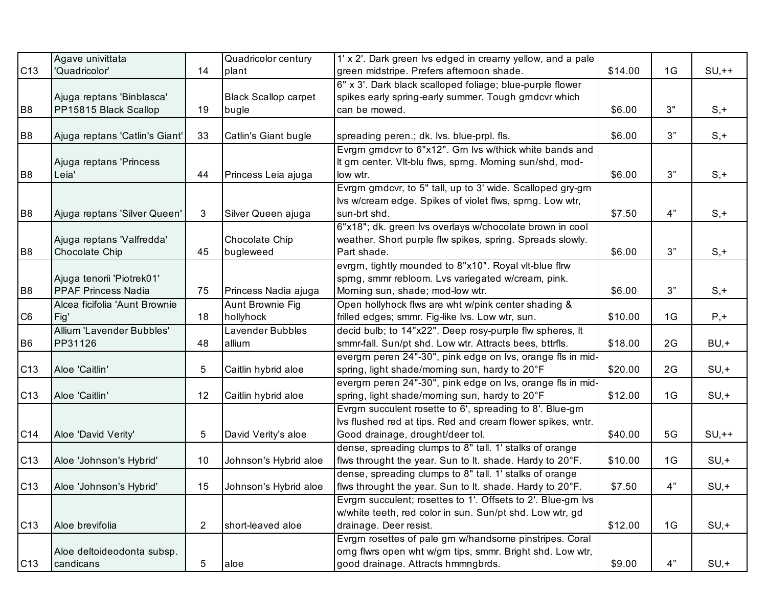|                 | Agave univittata               |    | Quadricolor century         | 1' x 2'. Dark green lvs edged in creamy yellow, and a pale  |         |    |         |
|-----------------|--------------------------------|----|-----------------------------|-------------------------------------------------------------|---------|----|---------|
| C13             | 'Quadricolor'                  | 14 | plant                       | green midstripe. Prefers afternoon shade.                   | \$14.00 | 1G | $SU,++$ |
|                 |                                |    |                             | 6" x 3'. Dark black scalloped foliage; blue-purple flower   |         |    |         |
|                 | Ajuga reptans 'Binblasca'      |    | <b>Black Scallop carpet</b> | spikes early spring-early summer. Tough grndcvr which       |         |    |         |
| B <sub>8</sub>  | PP15815 Black Scallop          | 19 | bugle                       | can be mowed.                                               | \$6.00  | 3" | $S, +$  |
|                 |                                |    |                             |                                                             |         |    |         |
| B <sub>8</sub>  | Ajuga reptans 'Catlin's Giant' | 33 | Catlin's Giant bugle        | spreading peren.; dk. lvs. blue-prpl. fls.                  | \$6.00  | 3" | $S, +$  |
|                 |                                |    |                             | Evrgm gmdcvr to 6"x12". Gm lvs w/thick white bands and      |         |    |         |
|                 | Ajuga reptans 'Princess        |    |                             | It grn center. VIt-blu flws, sprng. Morning sun/shd, mod-   |         |    |         |
| B <sub>8</sub>  | Leia'                          | 44 | Princess Leia ajuga         | low wtr.                                                    | \$6.00  | 3" | $S, +$  |
|                 |                                |    |                             | Evrgm grndcvr, to 5" tall, up to 3' wide. Scalloped gry-grn |         |    |         |
|                 |                                |    |                             | Ivs w/cream edge. Spikes of violet flws, sprng. Low wtr,    |         |    |         |
| B <sub>8</sub>  | Ajuga reptans 'Silver Queen'   | 3  | Silver Queen ajuga          | sun-brt shd.                                                | \$7.50  | 4" | $S, +$  |
|                 |                                |    |                             | 6"x18"; dk. green lvs overlays w/chocolate brown in cool    |         |    |         |
|                 | Ajuga reptans 'Valfredda'      |    | Chocolate Chip              | weather. Short purple flw spikes, spring. Spreads slowly.   |         |    |         |
| B <sub>8</sub>  | Chocolate Chip                 | 45 | bugleweed                   | Part shade.                                                 | \$6.00  | 3" | $S, +$  |
|                 |                                |    |                             | evrgrn, tightly mounded to 8"x10". Royal vlt-blue flrw      |         |    |         |
|                 | Ajuga tenorii 'Piotrek01'      |    |                             | sprng, smmr rebloom. Lvs variegated w/cream, pink.          |         |    |         |
| B <sub>8</sub>  | <b>PPAF Princess Nadia</b>     | 75 | Princess Nadia ajuga        | Morning sun, shade; mod-low wtr.                            | \$6.00  | 3" | $S, +$  |
|                 | Alcea ficifolia 'Aunt Brownie  |    | <b>Aunt Brownie Fig</b>     | Open hollyhock flws are wht w/pink center shading &         |         |    |         |
| C <sub>6</sub>  | Fig'                           | 18 | hollyhock                   | frilled edges; smmr. Fig-like lvs. Low wtr, sun.            | \$10.00 | 1G | $P, +$  |
|                 | Allium 'Lavender Bubbles'      |    | Lavender Bubbles            | decid bulb; to 14"x22". Deep rosy-purple flw spheres, It    |         |    |         |
| B <sub>6</sub>  | PP31126                        | 48 | allium                      | smmr-fall. Sun/pt shd. Low wtr. Attracts bees, bttrfls.     | \$18.00 | 2G | $BU, +$ |
|                 |                                |    |                             | evergm peren 24"-30", pink edge on lvs, orange fls in mid-  |         |    |         |
| C13             | Aloe 'Caitlin'                 | 5  | Caitlin hybrid aloe         | spring, light shade/morning sun, hardy to 20°F              | \$20.00 | 2G | $SU, +$ |
|                 |                                |    |                             | evergrn peren 24"-30", pink edge on lvs, orange fls in mid- |         |    |         |
| C13             | Aloe 'Caitlin'                 | 12 | Caitlin hybrid aloe         | spring, light shade/morning sun, hardy to 20°F              | \$12.00 | 1G | $SU, +$ |
|                 |                                |    |                             | Evrgm succulent rosette to 6', spreading to 8'. Blue-gm     |         |    |         |
|                 |                                |    |                             | Ivs flushed red at tips. Red and cream flower spikes, wntr. |         |    |         |
| C14             | Aloe 'David Verity'            | 5  | David Verity's aloe         | Good drainage, drought/deer tol.                            | \$40.00 | 5G | $SU,++$ |
|                 |                                |    |                             | dense, spreading clumps to 8" tall. 1' stalks of orange     |         |    |         |
| C13             | Aloe 'Johnson's Hybrid'        | 10 | Johnson's Hybrid aloe       | flws throught the year. Sun to It. shade. Hardy to 20°F.    | \$10.00 | 1G | $SU, +$ |
|                 |                                |    |                             | dense, spreading clumps to 8" tall. 1' stalks of orange     |         |    |         |
| C13             | Aloe 'Johnson's Hybrid'        | 15 | Johnson's Hybrid aloe       | flws throught the year. Sun to lt. shade. Hardy to 20°F.    | \$7.50  | 4" | $SU, +$ |
|                 |                                |    |                             | Evrgm succulent; rosettes to 1'. Offsets to 2'. Blue-gm lvs |         |    |         |
|                 |                                |    |                             | w/white teeth, red color in sun. Sun/pt shd. Low wtr, gd    |         |    |         |
| C <sub>13</sub> | Aloe brevifolia                | 2  | short-leaved aloe           | drainage. Deer resist.                                      | \$12.00 | 1G | $SU, +$ |
|                 |                                |    |                             | Evrgrn rosettes of pale grn w/handsome pinstripes. Coral    |         |    |         |
|                 | Aloe deltoideodonta subsp.     |    |                             | orng flwrs open wht w/grn tips, smmr. Bright shd. Low wtr,  |         |    |         |
| C <sub>13</sub> | candicans                      | 5  | aloe                        | good drainage. Attracts hmmngbrds.                          | \$9.00  | 4" | $SU, +$ |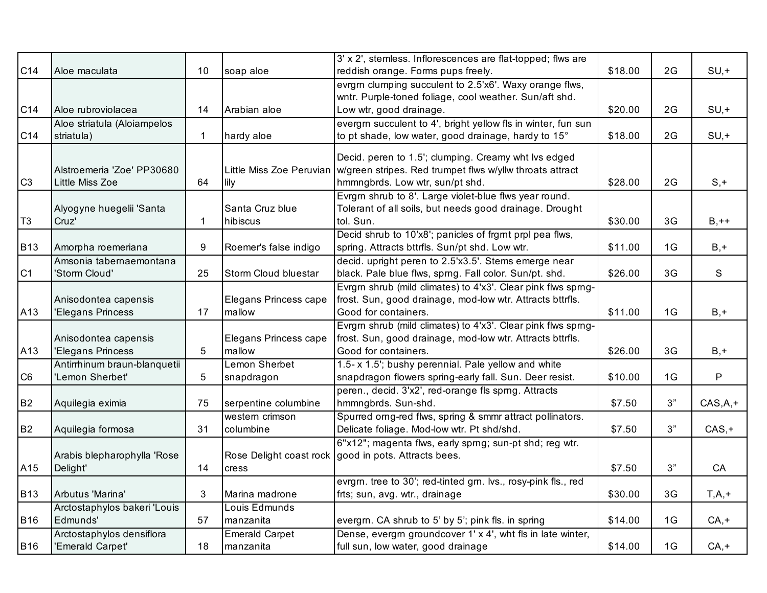|                 |                                   |              |                          | 3' x 2', stemless. Inflorescences are flat-topped; flws are                                                      |         |    |           |
|-----------------|-----------------------------------|--------------|--------------------------|------------------------------------------------------------------------------------------------------------------|---------|----|-----------|
| C14             | Aloe maculata                     | 10           | soap aloe                | reddish orange. Forms pups freely.                                                                               | \$18.00 | 2G | $SU, +$   |
|                 |                                   |              |                          | evrgrn clumping succulent to 2.5'x6'. Waxy orange flws,                                                          |         |    |           |
|                 |                                   |              |                          | wntr. Purple-toned foliage, cool weather. Sun/aft shd.                                                           |         |    |           |
| C14             | Aloe rubroviolacea                | 14           | Arabian aloe             | Low wtr, good drainage.                                                                                          | \$20.00 | 2G | $SU, +$   |
|                 | Aloe striatula (Aloiampelos       |              |                          | evergm succulent to 4', bright yellow fls in winter, fun sun                                                     |         |    |           |
| C <sub>14</sub> | striatula)                        | $\mathbf{1}$ | hardy aloe               | to pt shade, low water, good drainage, hardy to 15°                                                              | \$18.00 | 2G | $SU, +$   |
|                 |                                   |              |                          |                                                                                                                  |         |    |           |
|                 | Alstroemeria 'Zoe' PP30680        |              | Little Miss Zoe Peruvian | Decid. peren to 1.5'; clumping. Creamy wht lvs edged<br>w/green stripes. Red trumpet flws w/yllw throats attract |         |    |           |
| C <sub>3</sub>  | Little Miss Zoe                   | 64           | lily                     | hmmngbrds. Low wtr, sun/pt shd.                                                                                  | \$28.00 | 2G | $S, +$    |
|                 |                                   |              |                          | Evrgm shrub to 8'. Large violet-blue flws year round.                                                            |         |    |           |
|                 |                                   |              | Santa Cruz blue          | Tolerant of all soils, but needs good drainage. Drought                                                          |         |    |           |
| T <sub>3</sub>  | Alyogyne huegelii 'Santa<br>Cruz' | 1            | hibiscus                 | tol. Sun.                                                                                                        | \$30.00 | 3G | $B,++$    |
|                 |                                   |              |                          | Decid shrub to 10'x8'; panicles of frgrnt prpl pea flws,                                                         |         |    |           |
| <b>B13</b>      | Amorpha roemeriana                | 9            | Roemer's false indigo    | spring. Attracts bttrfls. Sun/pt shd. Low wtr.                                                                   | \$11.00 | 1G | $B, +$    |
|                 | Amsonia tabernaemontana           |              |                          | decid. upright peren to 2.5'x3.5'. Stems emerge near                                                             |         |    |           |
| C1              | 'Storm Cloud'                     | 25           | Storm Cloud bluestar     | black. Pale blue flws, sprng. Fall color. Sun/pt. shd.                                                           | \$26.00 | 3G | S         |
|                 |                                   |              |                          | Evrgm shrub (mild climates) to 4'x3'. Clear pink flws sprng-                                                     |         |    |           |
|                 | Anisodontea capensis              |              | Elegans Princess cape    | frost. Sun, good drainage, mod-low wtr. Attracts bttrfls.                                                        |         |    |           |
| A13             | 'Elegans Princess                 | 17           | mallow                   | Good for containers.                                                                                             | \$11.00 | 1G | $B, +$    |
|                 |                                   |              |                          | Evrgm shrub (mild climates) to 4'x3'. Clear pink flws sprng-                                                     |         |    |           |
|                 | Anisodontea capensis              |              | Elegans Princess cape    | frost. Sun, good drainage, mod-low wtr. Attracts bttrfls.                                                        |         |    |           |
| A13             | 'Elegans Princess                 | 5            | mallow                   | Good for containers.                                                                                             | \$26.00 | 3G | $B, +$    |
|                 | Antirrhinum braun-blanquetii      |              | Lemon Sherbet            | 1.5- x 1.5'; bushy perennial. Pale yellow and white                                                              |         |    |           |
| C <sub>6</sub>  | 'Lemon Sherbet'                   | 5            | snapdragon               | snapdragon flowers spring-early fall. Sun. Deer resist.                                                          | \$10.00 | 1G | P         |
|                 |                                   |              |                          | peren., decid. 3'x2', red-orange fls sprng. Attracts                                                             |         |    |           |
| <b>B2</b>       | Aquilegia eximia                  | 75           | serpentine columbine     | hmmngbrds. Sun-shd.                                                                                              | \$7.50  | 3" | $CAS,A,+$ |
|                 |                                   |              | western crimson          | Spurred orng-red flws, spring & smmr attract pollinators.                                                        |         |    |           |
| B <sub>2</sub>  | Aquilegia formosa                 | 31           | columbine                | Delicate foliage. Mod-low wtr. Pt shd/shd.                                                                       | \$7.50  | 3" | $CAS, +$  |
|                 |                                   |              |                          | 6"x12"; magenta flws, early sprng; sun-pt shd; reg wtr.                                                          |         |    |           |
|                 | Arabis blepharophylla 'Rose       |              | Rose Delight coast rock  | good in pots. Attracts bees.                                                                                     |         |    |           |
| A15             | Delight'                          | 14           | cress                    |                                                                                                                  | \$7.50  | 3" | CA        |
|                 |                                   |              |                          | evrgm. tree to 30'; red-tinted grn. lvs., rosy-pink fls., red                                                    |         |    |           |
| <b>B13</b>      | Arbutus 'Marina'                  | 3            | Marina madrone           | frts; sun, avg. wtr., drainage                                                                                   | \$30.00 | 3G | $T,A,+$   |
|                 | Arctostaphylos bakeri 'Louis      |              | Louis Edmunds            |                                                                                                                  |         |    |           |
| <b>B16</b>      | Edmunds'                          | 57           | manzanita                | evergrn. CA shrub to 5' by 5'; pink fls. in spring                                                               | \$14.00 | 1G | $CA, +$   |
|                 | Arctostaphylos densiflora         |              | <b>Emerald Carpet</b>    | Dense, evergrn groundcover 1' x 4', wht fls in late winter,                                                      |         |    |           |
| <b>B16</b>      | 'Emerald Carpet'                  | 18           | manzanita                | full sun, low water, good drainage                                                                               | \$14.00 | 1G | $CA, +$   |
|                 |                                   |              |                          |                                                                                                                  |         |    |           |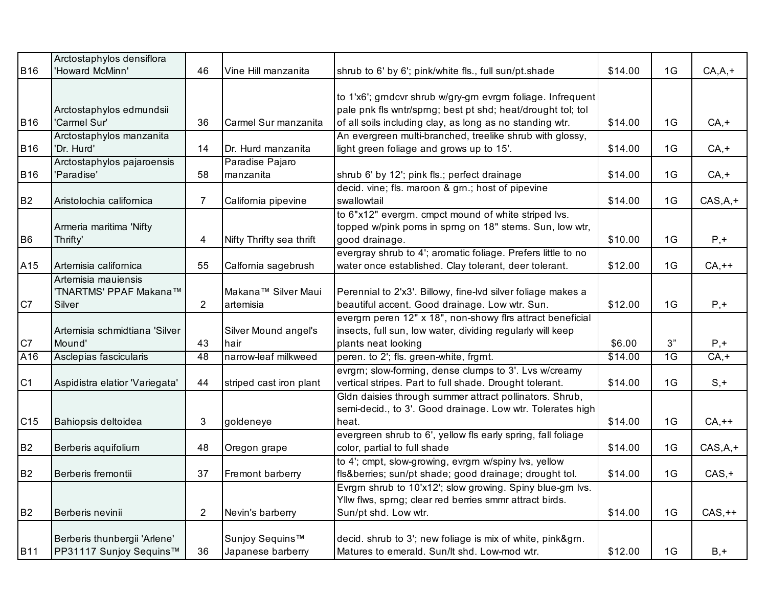| <b>B16</b>     | Arctostaphylos densiflora<br>'Howard McMinn'  | 46             | Vine Hill manzanita      | shrub to 6' by 6'; pink/white fls., full sun/pt.shade                                                          | \$14.00 | 1G | $CA, A, +$ |
|----------------|-----------------------------------------------|----------------|--------------------------|----------------------------------------------------------------------------------------------------------------|---------|----|------------|
|                |                                               |                |                          |                                                                                                                |         |    |            |
|                |                                               |                |                          | to 1'x6'; grndcvr shrub w/gry-grn evrgrn foliage. Infrequent                                                   |         |    |            |
|                | Arctostaphylos edmundsii                      |                |                          | pale pnk fls wntr/sprng; best pt shd; heat/drought tol; tol                                                    |         |    |            |
| <b>B16</b>     | 'Carmel Sur'                                  | 36             | Carmel Sur manzanita     | of all soils including clay, as long as no standing wtr.                                                       | \$14.00 | 1G | $CA, +$    |
|                | Arctostaphylos manzanita                      |                |                          | An evergreen multi-branched, treelike shrub with glossy,                                                       |         |    |            |
| <b>B16</b>     | 'Dr. Hurd'                                    | 14             | Dr. Hurd manzanita       | light green foliage and grows up to 15'.                                                                       | \$14.00 | 1G | $CA, +$    |
|                | Arctostaphylos pajaroensis                    |                | Paradise Pajaro          |                                                                                                                |         |    |            |
| <b>B16</b>     | 'Paradise'                                    | 58             | manzanita                | shrub 6' by 12'; pink fls.; perfect drainage                                                                   | \$14.00 | 1G | $CA, +$    |
|                |                                               |                |                          | decid. vine; fls. maroon & grn.; host of pipevine                                                              |         |    |            |
| <b>B2</b>      | Aristolochia californica                      | 7              | California pipevine      | swallowtail                                                                                                    | \$14.00 | 1G | $CAS,A,+$  |
|                |                                               |                |                          | to 6"x12" evergrn. cmpct mound of white striped lvs.                                                           |         |    |            |
|                | Armeria maritima 'Nifty                       |                |                          | topped w/pink poms in sprng on 18" stems. Sun, low wtr,                                                        |         |    |            |
| B <sub>6</sub> | Thrifty'                                      | 4              | Nifty Thrifty sea thrift | good drainage.                                                                                                 | \$10.00 | 1G | $P, +$     |
|                |                                               |                |                          | evergray shrub to 4'; aromatic foliage. Prefers little to no                                                   |         |    |            |
| A15            | Artemisia californica                         | 55             | Calfornia sagebrush      | water once established. Clay tolerant, deer tolerant.                                                          | \$12.00 | 1G | $CA,++$    |
|                | Artemisia mauiensis<br>'TNARTMS' PPAF Makana™ |                | Makana™ Silver Maui      |                                                                                                                |         |    |            |
| C7             | Silver                                        | $\overline{2}$ | artemisia                | Perennial to 2'x3'. Billowy, fine-lvd silver foliage makes a<br>beautiful accent. Good drainage. Low wtr. Sun. | \$12.00 | 1G | $P, +$     |
|                |                                               |                |                          | evergrn peren 12" x 18", non-showy firs attract beneficial                                                     |         |    |            |
|                | Artemisia schmidtiana 'Silver                 |                | Silver Mound angel's     | insects, full sun, low water, dividing regularly will keep                                                     |         |    |            |
| C7             | Mound'                                        | 43             | hair                     | plants neat looking                                                                                            | \$6.00  | 3" | $P, +$     |
| A16            | Asclepias fascicularis                        | 48             | narrow-leaf milkweed     | peren. to 2'; fls. green-white, frgrnt.                                                                        | \$14.00 | 1G | $CA, +$    |
|                |                                               |                |                          | evrgrn; slow-forming, dense clumps to 3'. Lvs w/creamy                                                         |         |    |            |
| C <sub>1</sub> | Aspidistra elatior 'Variegata'                | 44             | striped cast iron plant  | vertical stripes. Part to full shade. Drought tolerant.                                                        | \$14.00 | 1G | $S, +$     |
|                |                                               |                |                          | Gldn daisies through summer attract pollinators. Shrub,                                                        |         |    |            |
|                |                                               |                |                          | semi-decid., to 3'. Good drainage. Low wtr. Tolerates high                                                     |         |    |            |
| C15            | Bahiopsis deltoidea                           | 3              | goldeneye                | heat.                                                                                                          | \$14.00 | 1G | $CA,++$    |
|                |                                               |                |                          | evergreen shrub to 6', yellow fls early spring, fall foliage                                                   |         |    |            |
| B <sub>2</sub> | Berberis aquifolium                           | 48             | Oregon grape             | color, partial to full shade                                                                                   | \$14.00 | 1G | $CAS,A,+$  |
|                |                                               |                |                          | to 4'; cmpt, slow-growing, evrgrn w/spiny lvs, yellow                                                          |         |    |            |
| B <sub>2</sub> | Berberis fremontii                            | 37             | Fremont barberry         | fls&berries sun/pt shade; good drainage; drought tol.                                                          | \$14.00 | 1G | $CAS, +$   |
|                |                                               |                |                          | Evrgrn shrub to 10'x12'; slow growing. Spiny blue-grn lvs.                                                     |         |    |            |
|                |                                               |                |                          | Yllw flws, sprng; clear red berries smmr attract birds.                                                        |         |    |            |
| B <sub>2</sub> | Berberis nevinii                              | $\overline{2}$ | Nevin's barberry         | Sun/pt shd. Low wtr.                                                                                           | \$14.00 | 1G | $CAS,++$   |
|                |                                               |                |                          |                                                                                                                |         |    |            |
|                | Berberis thunbergii 'Arlene'                  |                | Sunjoy Sequins™          | decid. shrub to 3'; new foliage is mix of white, pink&grn.                                                     |         |    |            |
| <b>B11</b>     | PP31117 Sunjoy Sequins™                       | 36             | Japanese barberry        | Matures to emerald. Sun/lt shd. Low-mod wtr.                                                                   | \$12.00 | 1G | $B, +$     |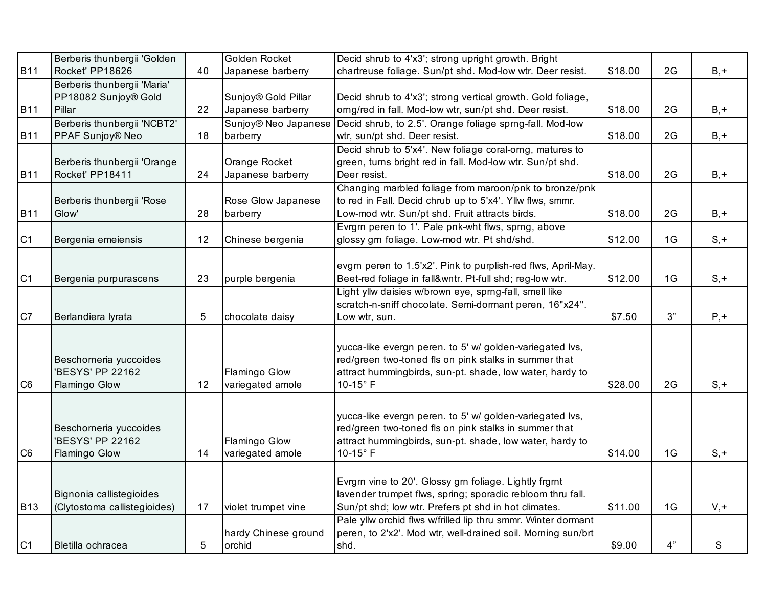|                | Berberis thunbergii 'Golden  |            | Golden Rocket        | Decid shrub to 4'x3'; strong upright growth. Bright           |         |    |             |
|----------------|------------------------------|------------|----------------------|---------------------------------------------------------------|---------|----|-------------|
| <b>B11</b>     | Rocket' PP18626              | 40         | Japanese barberry    | chartreuse foliage. Sun/pt shd. Mod-low wtr. Deer resist.     | \$18.00 | 2G | $B, +$      |
|                | Berberis thunbergii 'Maria'  |            |                      |                                                               |         |    |             |
|                | PP18082 Sunjoy® Gold         |            | Sunjoy® Gold Pillar  | Decid shrub to 4'x3'; strong vertical growth. Gold foliage,   |         |    |             |
| <b>B11</b>     | Pillar                       | 22         | Japanese barberry    | orng/red in fall. Mod-low wtr, sun/pt shd. Deer resist.       | \$18.00 | 2G | $B, +$      |
|                | Berberis thunbergii 'NCBT2'  |            | Sunjoy® Neo Japanese | Decid shrub, to 2.5'. Orange foliage sprng-fall. Mod-low      |         |    |             |
| <b>B11</b>     | PPAF Sunjoy® Neo             | 18         | barberry             | wtr, sun/pt shd. Deer resist.                                 | \$18.00 | 2G | $B, +$      |
|                |                              |            |                      | Decid shrub to 5'x4'. New foliage coral-orng, matures to      |         |    |             |
|                | Berberis thunbergii 'Orange  |            | Orange Rocket        | green, turns bright red in fall. Mod-low wtr. Sun/pt shd.     |         |    |             |
| <b>B11</b>     | Rocket' PP18411              | 24         | Japanese barberry    | Deer resist.                                                  | \$18.00 | 2G | $B, +$      |
|                |                              |            |                      | Changing marbled foliage from maroon/pnk to bronze/pnk        |         |    |             |
|                | Berberis thunbergii 'Rose    |            | Rose Glow Japanese   | to red in Fall. Decid chrub up to 5'x4'. Yllw flws, smmr.     |         |    |             |
| <b>B11</b>     | Glow'                        | 28         | barberry             | Low-mod wtr. Sun/pt shd. Fruit attracts birds.                | \$18.00 | 2G | $B, +$      |
|                |                              |            |                      | Evrgm peren to 1'. Pale pnk-wht flws, spmg, above             |         |    |             |
| C <sub>1</sub> | Bergenia emeiensis           | 12         | Chinese bergenia     | glossy grn foliage. Low-mod wtr. Pt shd/shd.                  | \$12.00 | 1G | $S, +$      |
|                |                              |            |                      |                                                               |         |    |             |
|                |                              |            |                      | evgrn peren to 1.5'x2'. Pink to purplish-red flws, April-May. |         |    |             |
| C <sub>1</sub> | Bergenia purpurascens        | 23         | purple bergenia      | Beet-red foliage in fall&wntr. Pt-full shd; reg-low wtr.      | \$12.00 | 1G | $S, +$      |
|                |                              |            |                      | Light yllw daisies w/brown eye, sprng-fall, smell like        |         |    |             |
|                |                              |            |                      | scratch-n-sniff chocolate. Semi-dormant peren, 16"x24".       |         |    |             |
| C7             | Berlandiera lyrata           | $\sqrt{5}$ | chocolate daisy      | Low wtr, sun.                                                 | \$7.50  | 3" | $P, +$      |
|                |                              |            |                      |                                                               |         |    |             |
|                |                              |            |                      | yucca-like evergn peren. to 5' w/ golden-variegated lvs,      |         |    |             |
|                | Beschorneria yuccoides       |            |                      | red/green two-toned fls on pink stalks in summer that         |         |    |             |
|                | 'BESYS' PP 22162             |            | Flamingo Glow        | attract hummingbirds, sun-pt. shade, low water, hardy to      |         |    |             |
| C <sub>6</sub> | Flamingo Glow                | 12         | variegated amole     | $10-15$ °F                                                    | \$28.00 | 2G | $S, +$      |
|                |                              |            |                      |                                                               |         |    |             |
|                |                              |            |                      |                                                               |         |    |             |
|                |                              |            |                      | yucca-like evergn peren. to 5' w/ golden-variegated lvs,      |         |    |             |
|                | Beschorneria yuccoides       |            |                      | red/green two-toned fls on pink stalks in summer that         |         |    |             |
|                | 'BESYS' PP 22162             |            | Flamingo Glow        | attract hummingbirds, sun-pt. shade, low water, hardy to      |         |    |             |
| C <sub>6</sub> | Flamingo Glow                | 14         | variegated amole     | 10-15°F                                                       | \$14.00 | 1G | $S, +$      |
|                |                              |            |                      |                                                               |         |    |             |
|                |                              |            |                      | Evrgm vine to 20'. Glossy grn foliage. Lightly frgmt          |         |    |             |
|                | Bignonia callistegioides     |            |                      | lavender trumpet flws, spring; sporadic rebloom thru fall.    |         |    |             |
| <b>B13</b>     | (Clytostoma callistegioides) | 17         | violet trumpet vine  | Sun/pt shd; low wtr. Prefers pt shd in hot climates.          | \$11.00 | 1G | $V, +$      |
|                |                              |            |                      | Pale yllw orchid flws w/frilled lip thru smmr. Winter dormant |         |    |             |
|                |                              |            | hardy Chinese ground | peren, to 2'x2'. Mod wtr, well-drained soil. Morning sun/brt  |         |    |             |
| C <sub>1</sub> | Bletilla ochracea            | 5          | orchid               | shd.                                                          | \$9.00  | 4" | $\mathsf S$ |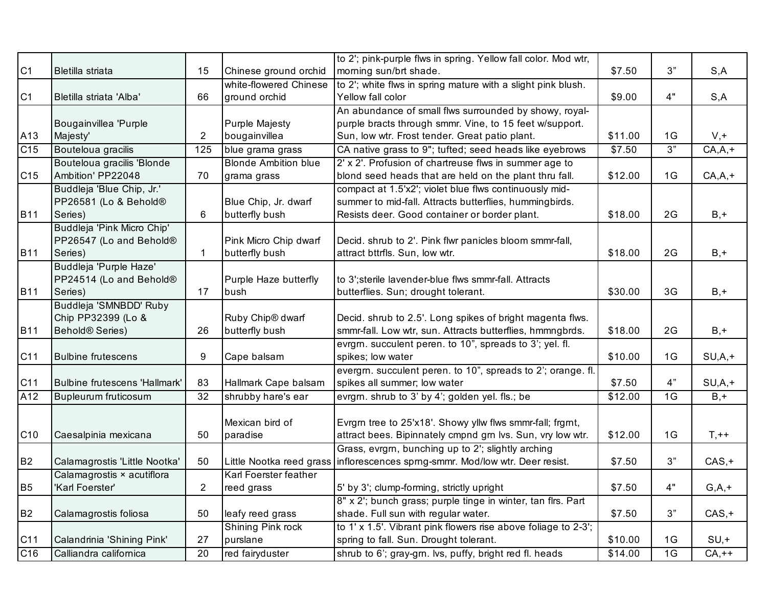|                 |                               |                |                             | to 2'; pink-purple flws in spring. Yellow fall color. Mod wtr, |         |    |            |
|-----------------|-------------------------------|----------------|-----------------------------|----------------------------------------------------------------|---------|----|------------|
| C1              | Bletilla striata              | 15             | Chinese ground orchid       | morning sun/brt shade.                                         | \$7.50  | 3" | S, A       |
|                 |                               |                | white-flowered Chinese      | to 2'; white flws in spring mature with a slight pink blush.   |         |    |            |
| C <sub>1</sub>  | Bletilla striata 'Alba'       | 66             | ground orchid               | Yellow fall color                                              | \$9.00  | 4" | S, A       |
|                 |                               |                |                             | An abundance of small flws surrounded by showy, royal-         |         |    |            |
|                 | Bougainvillea 'Purple         |                | <b>Purple Majesty</b>       | purple bracts through smmr. Vine, to 15 feet w/support.        |         |    |            |
| A13             | Majesty'                      | 2              | bougainvillea               | Sun, low wtr. Frost tender. Great patio plant.                 | \$11.00 | 1G | $V, +$     |
| C15             | Bouteloua gracilis            | 125            | blue grama grass            | CA native grass to 9"; tufted; seed heads like eyebrows        | \$7.50  | 3" | $CA, A, +$ |
|                 | Bouteloua gracilis 'Blonde    |                | <b>Blonde Ambition blue</b> | 2' x 2'. Profusion of chartreuse flws in summer age to         |         |    |            |
| C <sub>15</sub> | Ambition' PP22048             | 70             | grama grass                 | blond seed heads that are held on the plant thru fall.         | \$12.00 | 1G | $CA, A, +$ |
|                 | Buddleja 'Blue Chip, Jr.'     |                |                             | compact at 1.5'x2'; violet blue flws continuously mid-         |         |    |            |
|                 | PP26581 (Lo & Behold®         |                | Blue Chip, Jr. dwarf        | summer to mid-fall. Attracts butterflies, hummingbirds.        |         |    |            |
| <b>B11</b>      | Series)                       | 6              | butterfly bush              | Resists deer. Good container or border plant.                  | \$18.00 | 2G | $B, +$     |
|                 | Buddleja 'Pink Micro Chip'    |                |                             |                                                                |         |    |            |
|                 | PP26547 (Lo and Behold®       |                | Pink Micro Chip dwarf       | Decid. shrub to 2'. Pink flwr panicles bloom smmr-fall,        |         |    |            |
| <b>B11</b>      | Series)                       | 1              | butterfly bush              | attract bttrfls. Sun, low wtr.                                 | \$18.00 | 2G | $B, +$     |
|                 | Buddleja 'Purple Haze'        |                |                             |                                                                |         |    |            |
|                 | PP24514 (Lo and Behold®       |                | Purple Haze butterfly       | to 3'; sterile lavender-blue flws smmr-fall. Attracts          |         |    |            |
| <b>B11</b>      | Series)                       | 17             | bush                        | butterflies. Sun; drought tolerant.                            | \$30.00 | 3G | $B, +$     |
|                 | Buddleja 'SMNBDD' Ruby        |                |                             |                                                                |         |    |            |
|                 | Chip PP32399 (Lo &            |                | Ruby Chip® dwarf            | Decid. shrub to 2.5'. Long spikes of bright magenta flws.      |         |    |            |
| <b>B11</b>      | Behold <sup>®</sup> Series)   | 26             | butterfly bush              | smmr-fall. Low wtr, sun. Attracts butterflies, hmmngbrds.      | \$18.00 | 2G | $B, +$     |
|                 |                               |                |                             | evrgrn. succulent peren. to 10", spreads to 3'; yel. fl.       |         |    |            |
| C11             | <b>Bulbine frutescens</b>     | 9              | Cape balsam                 | spikes; low water                                              | \$10.00 | 1G | $SU, A, +$ |
|                 |                               |                |                             | evergrn. succulent peren. to 10", spreads to 2'; orange. fl.   |         |    |            |
| C11             | Bulbine frutescens 'Hallmark' | 83             | Hallmark Cape balsam        | spikes all summer; low water                                   | \$7.50  | 4" | $SU, A, +$ |
| A12             | Bupleurum fruticosum          | 32             | shrubby hare's ear          | evrgrn. shrub to 3' by 4'; golden yel. fls.; be                | \$12.00 | 1G | $B, +$     |
|                 |                               |                |                             |                                                                |         |    |            |
|                 |                               |                | Mexican bird of             | Evrgrn tree to 25'x18'. Showy yllw flws smmr-fall; frgrnt,     |         |    |            |
| C <sub>10</sub> | Caesalpinia mexicana          | 50             | paradise                    | attract bees. Bipinnately cmpnd grn lvs. Sun, vry low wtr.     | \$12.00 | 1G | $T, ++$    |
|                 |                               |                |                             | Grass, evrgm, bunching up to 2'; slightly arching              |         |    |            |
| B <sub>2</sub>  | Calamagrostis 'Little Nootka' | 50             | Little Nootka reed grass    | inflorescences sprng-smmr. Mod/low wtr. Deer resist.           | \$7.50  | 3" | $CAS, +$   |
|                 | Calamagrostis × acutiflora    |                | Karl Foerster feather       |                                                                |         |    |            |
| <b>B5</b>       | 'Karl Foerster'               | $\overline{2}$ | reed grass                  | 5' by 3'; clump-forming, strictly upright                      | \$7.50  | 4" | $G, A, +$  |
|                 |                               |                |                             | 8" x 2'; bunch grass; purple tinge in winter, tan flrs. Part   |         |    |            |
| <b>B2</b>       | Calamagrostis foliosa         | 50             | leafy reed grass            | shade. Full sun with regular water.                            | \$7.50  | 3" | $CAS, +$   |
|                 |                               |                | Shining Pink rock           | to 1' x 1.5'. Vibrant pink flowers rise above foliage to 2-3'; |         |    |            |
| C11             | Calandrinia 'Shining Pink'    | 27             | purslane                    | spring to fall. Sun. Drought tolerant.                         | \$10.00 | 1G | $SU, +$    |
| C16             | Calliandra californica        | 20             | red fairyduster             | shrub to 6'; gray-grn. lvs, puffy, bright red fl. heads        | \$14.00 | 1G | $CA,++$    |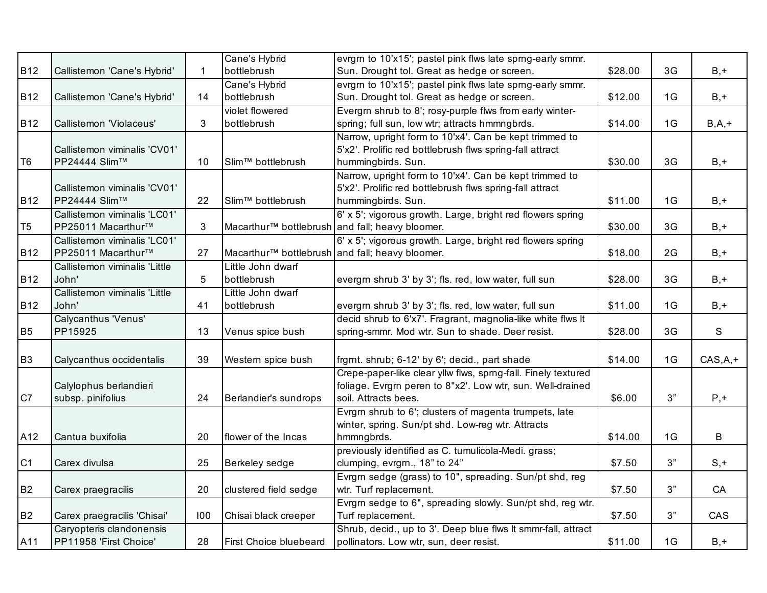|                |                               |              | Cane's Hybrid                                   | evrgm to 10'x15'; pastel pink flws late sprng-early smmr.     |         |                |              |
|----------------|-------------------------------|--------------|-------------------------------------------------|---------------------------------------------------------------|---------|----------------|--------------|
| <b>B12</b>     | Callistemon 'Cane's Hybrid'   | $\mathbf{1}$ | bottlebrush                                     | Sun. Drought tol. Great as hedge or screen.                   | \$28.00 | 3G             | $B, +$       |
|                |                               |              | Cane's Hybrid                                   | evrgm to 10'x15'; pastel pink flws late sprng-early smmr.     |         |                |              |
| <b>B12</b>     | Callistemon 'Cane's Hybrid'   | 14           | bottlebrush                                     | Sun. Drought tol. Great as hedge or screen.                   | \$12.00 | 1G             | $B, +$       |
|                |                               |              | violet flowered                                 | Evergm shrub to 8'; rosy-purple flws from early winter-       |         |                |              |
| <b>B12</b>     | Callistemon 'Violaceus'       | 3            | bottlebrush                                     | spring; full sun, low wtr; attracts hmmngbrds.                | \$14.00 | 1G             | $B, A, +$    |
|                |                               |              |                                                 | Narrow, upright form to 10'x4'. Can be kept trimmed to        |         |                |              |
|                | Callistemon viminalis 'CV01'  |              |                                                 | 5'x2'. Prolific red bottlebrush flws spring-fall attract      |         |                |              |
| T <sub>6</sub> | PP24444 Slim™                 | 10           | Slim <sup>™</sup> bottlebrush                   | hummingbirds. Sun.                                            | \$30.00 | 3 <sub>G</sub> | $B, +$       |
|                |                               |              |                                                 | Narrow, upright form to 10'x4'. Can be kept trimmed to        |         |                |              |
|                | Callistemon viminalis 'CV01'  |              |                                                 | 5'x2'. Prolific red bottlebrush flws spring-fall attract      |         |                |              |
| <b>B12</b>     | PP24444 Slim™                 | 22           | Slim <sup>™</sup> bottlebrush                   | hummingbirds. Sun.                                            | \$11.00 | 1G             | $B, +$       |
|                | Callistemon viminalis 'LC01'  |              |                                                 | 6' x 5'; vigorous growth. Large, bright red flowers spring    |         |                |              |
| T <sub>5</sub> | PP25011 Macarthur™            | 3            |                                                 | Macarthur™ bottlebrush and fall; heavy bloomer.               | \$30.00 | 3G             | $B, +$       |
|                | Callistemon viminalis 'LC01'  |              |                                                 | 6' x 5'; vigorous growth. Large, bright red flowers spring    |         |                |              |
| <b>B12</b>     | PP25011 Macarthur™            | 27           | Macarthur™ bottlebrush and fall; heavy bloomer. |                                                               | \$18.00 | 2G             | $B, +$       |
|                | Callistemon viminalis 'Little |              | Little John dwarf                               |                                                               |         |                |              |
| <b>B12</b>     | John'                         | 5            | bottlebrush                                     | evergrn shrub 3' by 3'; fls. red, low water, full sun         | \$28.00 | 3G             | $B, +$       |
|                | Callistemon viminalis 'Little |              | Little John dwarf                               |                                                               |         |                |              |
| <b>B12</b>     | John'                         | 41           | bottlebrush                                     | evergrn shrub 3' by 3'; fls. red, low water, full sun         | \$11.00 | 1G             | $B, +$       |
|                | Calycanthus 'Venus'           |              |                                                 | decid shrub to 6'x7'. Fragrant, magnolia-like white flws It   |         |                |              |
| <b>B5</b>      | PP15925                       | 13           | Venus spice bush                                | spring-smmr. Mod wtr. Sun to shade. Deer resist.              | \$28.00 | 3G             | $\mathsf{s}$ |
|                |                               |              |                                                 |                                                               |         |                |              |
| B <sub>3</sub> | Calycanthus occidentalis      | 39           | Western spice bush                              | frgmt. shrub; 6-12' by 6'; decid., part shade                 | \$14.00 | 1G             | $CAS,A,+$    |
|                |                               |              |                                                 | Crepe-paper-like clear yllw flws, sprng-fall. Finely textured |         |                |              |
|                | Calylophus berlandieri        |              |                                                 | foliage. Evrgrn peren to 8"x2'. Low wtr, sun. Well-drained    |         |                |              |
| C7             | subsp. pinifolius             | 24           | Berlandier's sundrops                           | soil. Attracts bees.                                          | \$6.00  | 3"             | $P, +$       |
|                |                               |              |                                                 | Evrgm shrub to 6'; clusters of magenta trumpets, late         |         |                |              |
|                |                               |              |                                                 | winter, spring. Sun/pt shd. Low-reg wtr. Attracts             |         |                |              |
| A12            | Cantua buxifolia              | 20           | flower of the Incas                             | hmmngbrds.                                                    | \$14.00 | 1G             | B            |
|                |                               |              |                                                 | previously identified as C. tumulicola-Medi. grass;           |         |                |              |
| C <sub>1</sub> | Carex divulsa                 | 25           | Berkeley sedge                                  | clumping, evrgrn., 18" to 24"                                 | \$7.50  | 3"             | $S, +$       |
|                |                               |              |                                                 | Evrgm sedge (grass) to 10", spreading. Sun/pt shd, reg        |         |                |              |
| <b>B2</b>      | Carex praegracilis            | 20           | clustered field sedge                           | wtr. Turf replacement.                                        | \$7.50  | 3"             | CA           |
|                |                               |              |                                                 | Evrgrn sedge to 6", spreading slowly. Sun/pt shd, reg wtr.    |         |                |              |
| <b>B2</b>      | Carex praegracilis 'Chisai'   | 100          | Chisai black creeper                            | Turf replacement.                                             | \$7.50  | $3"$           | CAS          |
|                | Caryopteris clandonensis      |              |                                                 | Shrub, decid., up to 3'. Deep blue flws It smmr-fall, attract |         |                |              |
| A11            | PP11958 'First Choice'        | 28           | <b>First Choice bluebeard</b>                   | pollinators. Low wtr, sun, deer resist.                       | \$11.00 | 1G             | $B, +$       |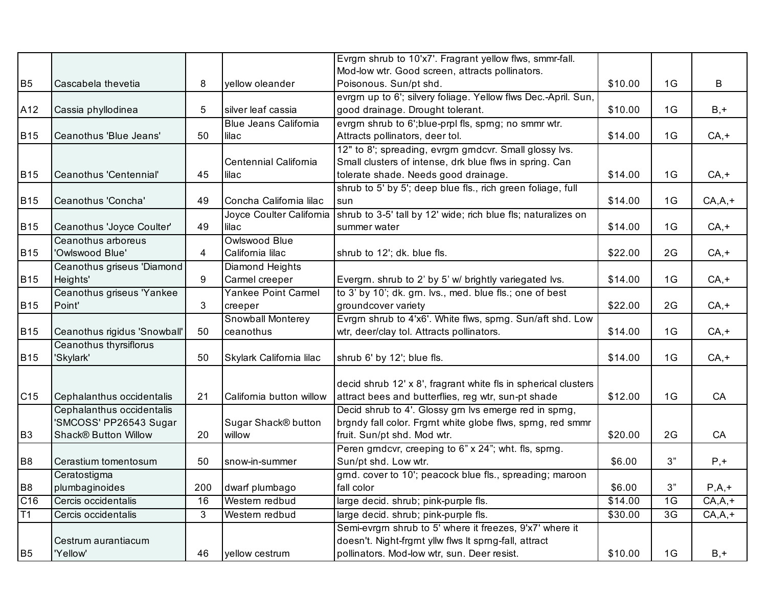|                 |                              |     |                              | Evrgrn shrub to 10'x7'. Fragrant yellow flws, smmr-fall.       |         |                |            |
|-----------------|------------------------------|-----|------------------------------|----------------------------------------------------------------|---------|----------------|------------|
|                 |                              |     |                              | Mod-low wtr. Good screen, attracts pollinators.                |         |                |            |
| B <sub>5</sub>  | Cascabela thevetia           | 8   | yellow oleander              | Poisonous. Sun/pt shd.                                         | \$10.00 | 1G             | B          |
|                 |                              |     |                              | evrgrn up to 6'; silvery foliage. Yellow flws Dec.-April. Sun, |         |                |            |
| A12             | Cassia phyllodinea           | 5   | silver leaf cassia           | good drainage. Drought tolerant.                               | \$10.00 | 1G             | $B, +$     |
|                 |                              |     | <b>Blue Jeans California</b> | evrgm shrub to 6';blue-prpl fls, sprng; no smmr wtr.           |         |                |            |
| <b>B15</b>      | Ceanothus 'Blue Jeans'       | 50  | lilac                        | Attracts pollinators, deer tol.                                | \$14.00 | 1G             | $CA, +$    |
|                 |                              |     |                              | 12" to 8'; spreading, evrgrn grndcvr. Small glossy lvs.        |         |                |            |
|                 |                              |     | Centennial California        | Small clusters of intense, drk blue flws in spring. Can        |         |                |            |
| <b>B15</b>      | Ceanothus 'Centennial'       | 45  | lilac                        | tolerate shade. Needs good drainage.                           | \$14.00 | 1G             | $CA, +$    |
|                 |                              |     |                              | shrub to 5' by 5'; deep blue fls., rich green foliage, full    |         |                |            |
| <b>B15</b>      | Ceanothus 'Concha'           | 49  | Concha California lilac      | sun                                                            | \$14.00 | 1G             | $CA, A, +$ |
|                 |                              |     | Joyce Coulter California     | shrub to 3-5' tall by 12' wide; rich blue fls; naturalizes on  |         |                |            |
| <b>B15</b>      | Ceanothus 'Joyce Coulter'    | 49  | lilac                        | summer water                                                   | \$14.00 | 1G             | $CA, +$    |
|                 | Ceanothus arboreus           |     | Owlswood Blue                |                                                                |         |                |            |
| <b>B15</b>      | 'Owlswood Blue'              | 4   | California lilac             | shrub to 12'; dk. blue fls.                                    | \$22.00 | 2G             | $CA, +$    |
|                 | Ceanothus griseus 'Diamond   |     | Diamond Heights              |                                                                |         |                |            |
| <b>B15</b>      | Heights'                     | 9   | Carmel creeper               | Evergm. shrub to 2' by 5' w/ brightly variegated lvs.          | \$14.00 | 1G             | $CA, +$    |
|                 | Ceanothus griseus 'Yankee    |     | Yankee Point Carmel          | to 3' by 10'; dk. grn. lvs., med. blue fls.; one of best       |         |                |            |
| <b>B15</b>      | Point'                       | 3   | creeper                      | groundcover variety                                            | \$22.00 | 2G             | $CA, +$    |
|                 |                              |     | Snowball Monterey            | Evrgrn shrub to 4'x6'. White flws, sprng. Sun/aft shd. Low     |         |                |            |
| <b>B15</b>      | Ceanothus rigidus 'Snowball' | 50  | ceanothus                    | wtr, deer/clay tol. Attracts pollinators.                      | \$14.00 | 1G             | $CA, +$    |
|                 | Ceanothus thyrsiflorus       |     |                              |                                                                |         |                |            |
| <b>B15</b>      | 'Skylark'                    | 50  | Skylark California lilac     | shrub 6' by 12'; blue fls.                                     | \$14.00 | 1G             | $CA, +$    |
|                 |                              |     |                              |                                                                |         |                |            |
|                 |                              |     |                              | decid shrub 12' x 8', fragrant white fls in spherical clusters |         |                |            |
| C <sub>15</sub> | Cephalanthus occidentalis    | 21  | California button willow     | attract bees and butterflies, reg wtr, sun-pt shade            | \$12.00 | 1G             | CA         |
|                 | Cephalanthus occidentalis    |     |                              | Decid shrub to 4'. Glossy grn lvs emerge red in sprng,         |         |                |            |
|                 | 'SMCOSS' PP26543 Sugar       |     | Sugar Shack® button          | brgndy fall color. Frgmt white globe flws, sprng, red smmr     |         |                |            |
| B <sub>3</sub>  | <b>Shack® Button Willow</b>  | 20  | willow                       | fruit. Sun/pt shd. Mod wtr.                                    | \$20.00 | 2G             | CA         |
|                 |                              |     |                              | Peren grndcvr, creeping to 6" x 24"; wht. fls, sprng.          |         |                |            |
| B <sub>8</sub>  | Cerastium tomentosum         | 50  | snow-in-summer               | Sun/pt shd. Low wtr.                                           | \$6.00  | 3"             | $P, +$     |
|                 | Ceratostigma                 |     |                              | grnd. cover to 10'; peacock blue fls., spreading; maroon       |         |                |            |
| B <sub>8</sub>  | plumbaginoides               | 200 | dwarf plumbago               | fall color                                                     | \$6.00  | 3"             | $P,A,+$    |
| C <sub>16</sub> | Cercis occidentalis          | 16  | Western redbud               | large decid. shrub; pink-purple fls.                           | \$14.00 | 1G             | $CA, A, +$ |
| T1              | Cercis occidentalis          | 3   | Western redbud               | large decid. shrub; pink-purple fls.                           | \$30.00 | 3 <sub>G</sub> | $CA, A, +$ |
|                 |                              |     |                              | Semi-evrgm shrub to 5' where it freezes, 9'x7' where it        |         |                |            |
|                 | Cestrum aurantiacum          |     |                              | doesn't. Night-frgmt yllw flws It spmg-fall, attract           |         |                |            |
| B <sub>5</sub>  | 'Yellow'                     | 46  | yellow cestrum               | pollinators. Mod-low wtr, sun. Deer resist.                    | \$10.00 | 1G             | $B, +$     |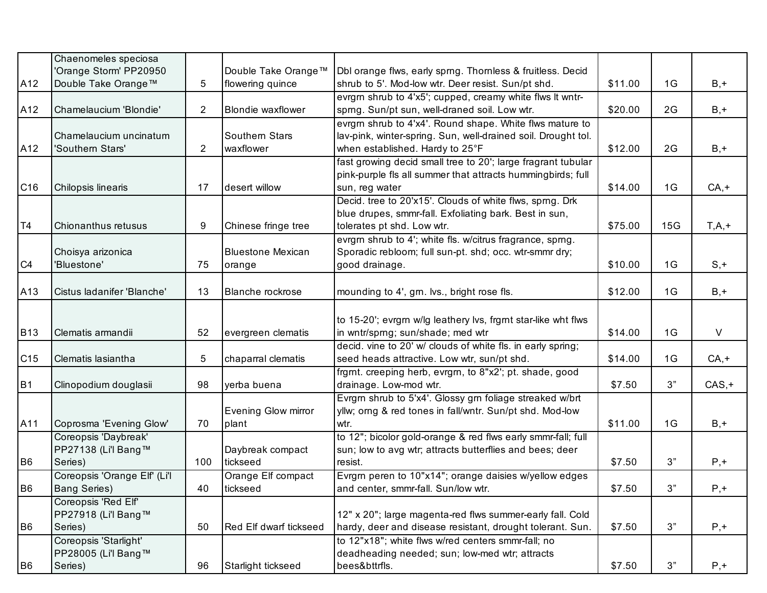|                 | Chaenomeles speciosa         |                |                               |                                                                |         |     |          |
|-----------------|------------------------------|----------------|-------------------------------|----------------------------------------------------------------|---------|-----|----------|
|                 | 'Orange Storm' PP20950       |                | Double Take Orange™           | Dbl orange flws, early sprng. Thornless & fruitless. Decid     |         |     |          |
| A12             | Double Take Orange™          | 5              | flowering quince              | shrub to 5'. Mod-low wtr. Deer resist. Sun/pt shd.             | \$11.00 | 1G  | $B, +$   |
|                 |                              |                |                               | evrgrn shrub to 4'x5'; cupped, creamy white flws It wntr-      |         |     |          |
| A12             | Chamelaucium 'Blondie'       | $\overline{2}$ | <b>Blondie waxflower</b>      | sprng. Sun/pt sun, well-draned soil. Low wtr.                  | \$20.00 | 2G  | $B, +$   |
|                 |                              |                |                               | evrgm shrub to 4'x4'. Round shape. White flws mature to        |         |     |          |
|                 | Chamelaucium uncinatum       |                | Southern Stars                | lav-pink, winter-spring. Sun, well-drained soil. Drought tol.  |         |     |          |
| A12             | 'Southern Stars'             | $\overline{2}$ | waxflower                     | when established. Hardy to 25°F                                | \$12.00 | 2G  | $B, +$   |
|                 |                              |                |                               | fast growing decid small tree to 20'; large fragrant tubular   |         |     |          |
|                 |                              |                |                               | pink-purple fls all summer that attracts hummingbirds; full    |         |     |          |
| C <sub>16</sub> | Chilopsis linearis           | 17             | desert willow                 | sun, reg water                                                 | \$14.00 | 1G  | $CA, +$  |
|                 |                              |                |                               | Decid. tree to 20'x15'. Clouds of white flws, sprng. Drk       |         |     |          |
|                 |                              |                |                               | blue drupes, smmr-fall. Exfoliating bark. Best in sun,         |         |     |          |
| T <sub>4</sub>  | Chionanthus retusus          | 9              | Chinese fringe tree           | tolerates pt shd. Low wtr.                                     | \$75.00 | 15G | $T,A,+$  |
|                 |                              |                |                               | evrgm shrub to 4'; white fls. w/citrus fragrance, sprng.       |         |     |          |
|                 | Choisya arizonica            |                | <b>Bluestone Mexican</b>      | Sporadic rebloom; full sun-pt. shd; occ. wtr-smmr dry;         |         |     |          |
| C4              | 'Bluestone'                  | 75             | orange                        | good drainage.                                                 | \$10.00 | 1G  | $S, +$   |
|                 |                              |                |                               |                                                                |         |     |          |
| A13             | Cistus ladanifer 'Blanche'   | 13             | Blanche rockrose              | mounding to 4', grn. lvs., bright rose fls.                    | \$12.00 | 1G  | $B, +$   |
|                 |                              |                |                               |                                                                |         |     |          |
|                 |                              |                |                               | to 15-20'; evrgrn w/lg leathery lvs, frgrnt star-like wht flws |         |     |          |
| <b>B13</b>      | Clematis armandii            | 52             | evergreen clematis            | in wntr/sprng; sun/shade; med wtr                              | \$14.00 | 1G  | $\vee$   |
|                 |                              |                |                               | decid. vine to 20' w/ clouds of white fls. in early spring;    |         |     |          |
| C15             | Clematis lasiantha           | 5              | chaparral clematis            | seed heads attractive. Low wtr, sun/pt shd.                    | \$14.00 | 1G  | $CA, +$  |
|                 |                              |                |                               | frgmt. creeping herb, evrgm, to 8"x2'; pt. shade, good         |         |     |          |
| B <sub>1</sub>  | Clinopodium douglasii        | 98             | yerba buena                   | drainage. Low-mod wtr.                                         | \$7.50  | 3"  | $CAS, +$ |
|                 |                              |                |                               | Evrgm shrub to 5'x4'. Glossy gm foliage streaked w/brt         |         |     |          |
|                 |                              |                | Evening Glow mirror           | yllw; orng & red tones in fall/wntr. Sun/pt shd. Mod-low       |         |     |          |
| A11             | Coprosma 'Evening Glow'      | 70             | plant                         | wtr.                                                           | \$11.00 | 1G  | $B, +$   |
|                 | Coreopsis 'Daybreak'         |                |                               | to 12"; bicolor gold-orange & red flws early smmr-fall; full   |         |     |          |
|                 | PP27138 (Li'l Bang™          |                | Daybreak compact              | sun; low to avg wtr; attracts butterflies and bees; deer       |         |     |          |
| B <sub>6</sub>  | Series)                      | 100            | tickseed                      | resist.                                                        | \$7.50  | 3"  | $P, +$   |
|                 | Coreopsis 'Orange Elf' (Li'l |                | Orange Elf compact            | Evrgrn peren to 10"x14"; orange daisies w/yellow edges         |         |     |          |
| B <sub>6</sub>  | <b>Bang Series)</b>          | 40             | tickseed                      | and center, smmr-fall. Sun/low wtr.                            | \$7.50  | 3"  | $P, +$   |
|                 | Coreopsis 'Red Elf'          |                |                               |                                                                |         |     |          |
|                 | PP27918 (Li'l Bang™          |                |                               | 12" x 20"; large magenta-red flws summer-early fall. Cold      |         |     |          |
| B <sub>6</sub>  | Series)                      | 50             | <b>Red Elf dwarf tickseed</b> | hardy, deer and disease resistant, drought tolerant. Sun.      | \$7.50  | 3"  | $P, +$   |
|                 | Coreopsis 'Starlight'        |                |                               | to 12"x18"; white flws w/red centers smmr-fall; no             |         |     |          |
|                 | PP28005 (Li'l Bang™          |                |                               | deadheading needed; sun; low-med wtr; attracts                 |         |     |          |
| B <sub>6</sub>  | Series)                      | 96             | Starlight tickseed            | bees&bttrfls.                                                  | \$7.50  | 3"  | $P, +$   |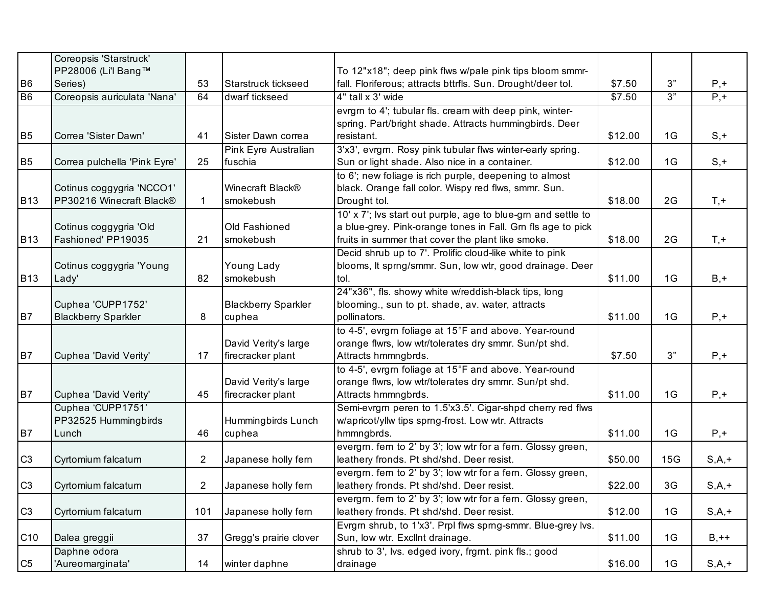|                | Coreopsis 'Starstruck'       |                       |                            |                                                               |                    |     |           |
|----------------|------------------------------|-----------------------|----------------------------|---------------------------------------------------------------|--------------------|-----|-----------|
|                | PP28006 (Li'l Bang™          |                       |                            | To 12"x18"; deep pink flws w/pale pink tips bloom smmr-       |                    |     |           |
| B <sub>6</sub> | Series)                      | 53                    | Starstruck tickseed        | fall. Floriferous; attracts bttrfls. Sun. Drought/deer tol.   | \$7.50             | 3"  | $P, +$    |
| B <sub>6</sub> | Coreopsis auriculata 'Nana'  | 64                    | dwarf tickseed             | 4" tall x 3' wide                                             | $\overline{$}7.50$ | 3"  | $P, +$    |
|                |                              |                       |                            | evrgm to 4'; tubular fls. cream with deep pink, winter-       |                    |     |           |
|                |                              |                       |                            | spring. Part/bright shade. Attracts hummingbirds. Deer        |                    |     |           |
| B <sub>5</sub> | Correa 'Sister Dawn'         | 41                    | Sister Dawn correa         | resistant.                                                    | \$12.00            | 1G  | $S, +$    |
|                |                              |                       | Pink Eyre Australian       | 3'x3', evrgrn. Rosy pink tubular flws winter-early spring.    |                    |     |           |
| B <sub>5</sub> | Correa pulchella 'Pink Eyre' | 25                    | fuschia                    | Sun or light shade. Also nice in a container.                 | \$12.00            | 1G  | $S, +$    |
|                |                              |                       |                            | to 6'; new foliage is rich purple, deepening to almost        |                    |     |           |
|                | Cotinus coggygria 'NCCO1'    |                       | Winecraft Black®           | black. Orange fall color. Wispy red flws, smmr. Sun.          |                    |     |           |
| <b>B13</b>     | PP30216 Winecraft Black®     | 1                     | smokebush                  | Drought tol.                                                  | \$18.00            | 2G  | $T, +$    |
|                |                              |                       |                            | 10' x 7'; lvs start out purple, age to blue-grn and settle to |                    |     |           |
|                | Cotinus coggygria 'Old       |                       | Old Fashioned              | a blue-grey. Pink-orange tones in Fall. Grn fls age to pick   |                    |     |           |
| <b>B13</b>     | Fashioned' PP19035           | 21                    | smokebush                  | fruits in summer that cover the plant like smoke.             | \$18.00            | 2G  | $T, +$    |
|                |                              |                       |                            | Decid shrub up to 7'. Prolific cloud-like white to pink       |                    |     |           |
|                | Cotinus coggygria 'Young     |                       | Young Lady                 | blooms, It sprng/smmr. Sun, low wtr, good drainage. Deer      |                    |     |           |
| <b>B13</b>     | Lady'                        | 82                    | smokebush                  | tol.                                                          | \$11.00            | 1G  | $B, +$    |
|                |                              |                       |                            | 24"x36", fls. showy white w/reddish-black tips, long          |                    |     |           |
|                | Cuphea 'CUPP1752'            |                       | <b>Blackberry Sparkler</b> | blooming., sun to pt. shade, av. water, attracts              |                    |     |           |
| B7             | <b>Blackberry Sparkler</b>   | 8                     | cuphea                     | pollinators.                                                  | \$11.00            | 1G  | $P, +$    |
|                |                              |                       |                            | to 4-5', evrgrn foliage at 15°F and above. Year-round         |                    |     |           |
|                |                              |                       | David Verity's large       | orange flwrs, low wtr/tolerates dry smmr. Sun/pt shd.         |                    |     |           |
| B7             | Cuphea 'David Verity'        | 17                    | firecracker plant          | Attracts hmmngbrds.                                           | \$7.50             | 3"  | $P, +$    |
|                |                              |                       |                            | to 4-5', evrgrn foliage at 15°F and above. Year-round         |                    |     |           |
|                |                              |                       | David Verity's large       | orange flwrs, low wtr/tolerates dry smmr. Sun/pt shd.         |                    |     |           |
| B7             | Cuphea 'David Verity'        | 45                    | firecracker plant          | Attracts hmmngbrds.                                           | \$11.00            | 1G  | $P, +$    |
|                | Cuphea 'CUPP1751'            |                       |                            | Semi-evrgrn peren to 1.5'x3.5'. Cigar-shpd cherry red flws    |                    |     |           |
|                | PP32525 Hummingbirds         |                       | Hummingbirds Lunch         | w/apricot/yllw tips sprng-frost. Low wtr. Attracts            |                    |     |           |
| B7             | Lunch                        | 46                    | cuphea                     | hmmngbrds.                                                    | \$11.00            | 1G  | $P, +$    |
|                |                              |                       |                            | evergm. fem to 2' by 3'; low wtr for a fem. Glossy green,     |                    |     |           |
| C <sub>3</sub> | Cyrtomium falcatum           | $\mathbf{2}^{\prime}$ | Japanese holly fern        | leathery fronds. Pt shd/shd. Deer resist.                     | \$50.00            | 15G | $S, A, +$ |
|                |                              |                       |                            | evergm. fem to 2' by 3'; low wtr for a fem. Glossy green,     |                    |     |           |
| C3             | Cyrtomium falcatum           | $\overline{2}$        | Japanese holly fern        | leathery fronds. Pt shd/shd. Deer resist.                     | \$22.00            | 3G  | $S, A, +$ |
|                |                              |                       |                            | evergm. fem to 2' by 3'; low wtr for a fem. Glossy green,     |                    |     |           |
| C <sub>3</sub> | Cyrtomium falcatum           | 101                   | Japanese holly fern        | leathery fronds. Pt shd/shd. Deer resist.                     | \$12.00            | 1G  | $S, A, +$ |
|                |                              |                       |                            | Evrgrn shrub, to 1'x3'. Prpl flws sprng-smmr. Blue-grey lvs.  |                    |     |           |
| C10            | Dalea greggii                | 37                    | Gregg's prairie clover     | Sun, low wtr. Excllnt drainage.                               | \$11.00            | 1G  | $B, ++$   |
|                | Daphne odora                 |                       |                            | shrub to 3', lvs. edged ivory, frgmt. pink fls.; good         |                    |     |           |
| C <sub>5</sub> | 'Aureomarginata'             | 14                    | winter daphne              | drainage                                                      | \$16.00            | 1G  | $S, A, +$ |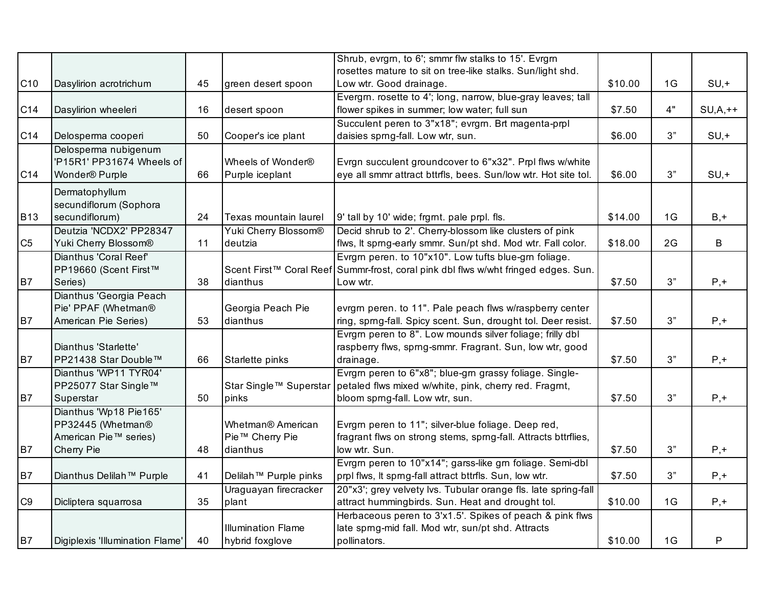|                 |                                      |    |                                   | Shrub, evrgrn, to 6'; smmr flw stalks to 15'. Evrgrn                               |         |    |              |
|-----------------|--------------------------------------|----|-----------------------------------|------------------------------------------------------------------------------------|---------|----|--------------|
|                 |                                      |    |                                   | rosettes mature to sit on tree-like stalks. Sun/light shd.                         |         |    |              |
| C <sub>10</sub> | Dasylirion acrotrichum               | 45 | green desert spoon                | Low wtr. Good drainage.                                                            | \$10.00 | 1G | $SU, +$      |
|                 |                                      |    |                                   | Evergm. rosette to 4'; long, narrow, blue-gray leaves; tall                        |         |    |              |
| C14             | Dasylirion wheeleri                  | 16 | desert spoon                      | flower spikes in summer; low water; full sun                                       | \$7.50  | 4" | $SU, A, ++$  |
|                 |                                      |    |                                   | Succulent peren to 3"x18"; evrgrn. Brt magenta-prpl                                |         |    |              |
| C14             | Delosperma cooperi                   | 50 | Cooper's ice plant                | daisies sprng-fall. Low wtr, sun.                                                  | \$6.00  | 3" | $SU, +$      |
|                 | Delosperma nubigenum                 |    |                                   |                                                                                    |         |    |              |
|                 | 'P15R1' PP31674 Wheels of            |    | Wheels of Wonder®                 | Evrgn succulent groundcover to 6"x32". Prpl flws w/white                           |         |    |              |
| C14             | Wonder <sup>®</sup> Purple           | 66 | Purple iceplant                   | eye all smmr attract bttrfls, bees. Sun/low wtr. Hot site tol.                     | \$6.00  | 3" | $SU, +$      |
|                 | Dermatophyllum                       |    |                                   |                                                                                    |         |    |              |
|                 | secundiflorum (Sophora               |    |                                   |                                                                                    |         |    |              |
| <b>B13</b>      | secundiflorum)                       | 24 | Texas mountain laurel             | 9' tall by 10' wide; frgmt. pale prpl. fls.                                        | \$14.00 | 1G | $B, +$       |
|                 | Deutzia 'NCDX2' PP28347              |    | Yuki Cherry Blossom®              | Decid shrub to 2'. Cherry-blossom like clusters of pink                            |         |    |              |
| C <sub>5</sub>  | Yuki Cherry Blossom®                 | 11 | deutzia                           | flws, It sprng-early smmr. Sun/pt shd. Mod wtr. Fall color.                        | \$18.00 | 2G | B            |
|                 | Dianthus 'Coral Reef'                |    |                                   | Evrgm peren. to 10"x10". Low tufts blue-gm foliage.                                |         |    |              |
|                 | PP19660 (Scent First™                |    |                                   | Scent First™ Coral Reef Summr-frost, coral pink dbl flws w/wht fringed edges. Sun. |         |    |              |
| <b>B7</b>       | Series)                              | 38 | dianthus                          | Low wtr.                                                                           | \$7.50  | 3" | $P, +$       |
|                 | Dianthus 'Georgia Peach              |    |                                   |                                                                                    |         |    |              |
|                 | Pie' PPAF (Whetman®                  |    | Georgia Peach Pie                 | evrgm peren. to 11". Pale peach flws w/raspberry center                            |         |    |              |
| <b>B7</b>       | American Pie Series)                 | 53 | dianthus                          | ring, sprng-fall. Spicy scent. Sun, drought tol. Deer resist.                      | \$7.50  | 3" | $P, +$       |
|                 |                                      |    |                                   | Evrgm peren to 8". Low mounds silver foliage; frilly dbl                           |         |    |              |
|                 | Dianthus 'Starlette'                 |    |                                   | raspberry flws, sprng-smmr. Fragrant. Sun, low wtr, good                           |         |    |              |
| B7              | PP21438 Star Double™                 | 66 | Starlette pinks                   | drainage.                                                                          | \$7.50  | 3" | $P, +$       |
|                 | Dianthus 'WP11 TYR04'                |    |                                   | Evrgm peren to 6"x8"; blue-gm grassy foliage. Single-                              |         |    |              |
|                 | PP25077 Star Single™                 |    | Star Single™ Superstar            | petaled flws mixed w/white, pink, cherry red. Fragmt,                              |         |    |              |
| <b>B7</b>       | Superstar                            | 50 | pinks                             | bloom sprng-fall. Low wtr, sun.                                                    | \$7.50  | 3" | $P, +$       |
|                 | Dianthus 'Wp18 Pie165'               |    |                                   |                                                                                    |         |    |              |
|                 | PP32445 (Whetman®                    |    | Whetman <sup>®</sup> American     | Evrgrn peren to 11"; silver-blue foliage. Deep red,                                |         |    |              |
|                 | American Pie™ series)                |    | Pie™ Cherry Pie                   | fragrant flws on strong stems, sprng-fall. Attracts bttrflies,                     |         |    |              |
| B7              | Cherry Pie                           | 48 | dianthus                          | low wtr. Sun.                                                                      | \$7.50  | 3" | $P, +$       |
|                 |                                      |    |                                   | Evrgrn peren to 10"x14"; garss-like grn foliage. Semi-dbl                          |         |    |              |
| <b>B7</b>       | Dianthus Delilah <sup>™</sup> Purple | 41 | Delilah <sup>™</sup> Purple pinks | prpl flws, It sprng-fall attract bttrfls. Sun, low wtr.                            | \$7.50  | 3" | $P, +$       |
|                 |                                      |    | Uraguayan firecracker             | 20"x3'; grey velvety lvs. Tubular orange fls. late spring-fall                     |         |    |              |
| C <sub>9</sub>  | Dicliptera squarrosa                 | 35 | plant                             | attract hummingbirds. Sun. Heat and drought tol.                                   | \$10.00 | 1G | $P, +$       |
|                 |                                      |    |                                   | Herbaceous peren to 3'x1.5'. Spikes of peach & pink flws                           |         |    |              |
|                 |                                      |    | <b>Illumination Flame</b>         | late sprng-mid fall. Mod wtr, sun/pt shd. Attracts                                 |         |    |              |
| <b>B7</b>       | Digiplexis 'Illumination Flame'      | 40 | hybrid foxglove                   | pollinators.                                                                       | \$10.00 | 1G | $\mathsf{P}$ |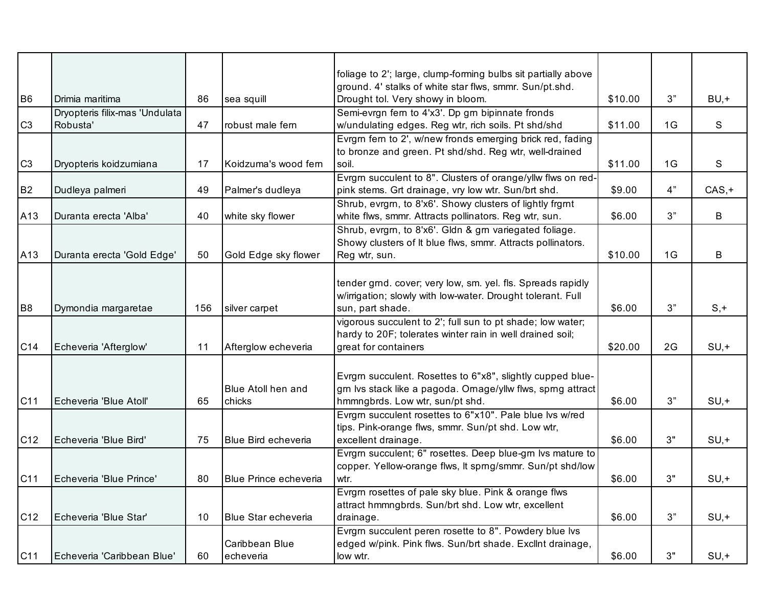|                 |                                |     |                            | foliage to 2'; large, clump-forming bulbs sit partially above |         |    |          |
|-----------------|--------------------------------|-----|----------------------------|---------------------------------------------------------------|---------|----|----------|
|                 |                                |     |                            | ground. 4' stalks of white star flws, smmr. Sun/pt.shd.       |         |    |          |
| B <sub>6</sub>  | Drimia maritima                | 86  | sea squill                 | Drought tol. Very showy in bloom.                             | \$10.00 | 3" | $BU, +$  |
|                 | Dryopteris filix-mas 'Undulata |     |                            | Semi-evrgn fern to 4'x3'. Dp grn bipinnate fronds             |         |    |          |
| C <sub>3</sub>  | Robusta'                       | 47  | robust male fern           | w/undulating edges. Reg wtr, rich soils. Pt shd/shd           | \$11.00 | 1G | S        |
|                 |                                |     |                            | Evrgm fern to 2', w/new fronds emerging brick red, fading     |         |    |          |
|                 |                                |     |                            | to bronze and green. Pt shd/shd. Reg wtr, well-drained        |         |    |          |
| C <sub>3</sub>  | Dryopteris koidzumiana         | 17  | Koidzuma's wood fern       | soil.                                                         | \$11.00 | 1G | S        |
|                 |                                |     |                            | Evrgrn succulent to 8". Clusters of orange/yllw flws on red-  |         |    |          |
| B <sub>2</sub>  | Dudleya palmeri                | 49  | Palmer's dudleya           | pink stems. Grt drainage, vry low wtr. Sun/brt shd.           | \$9.00  | 4" | $CAS, +$ |
|                 |                                |     |                            | Shrub, evrgrn, to 8'x6'. Showy clusters of lightly frgrnt     |         |    |          |
| A13             | Duranta erecta 'Alba'          | 40  | white sky flower           | white flws, smmr. Attracts pollinators. Reg wtr, sun.         | \$6.00  | 3" | B        |
|                 |                                |     |                            | Shrub, evrgm, to 8'x6'. Gldn & grn variegated foliage.        |         |    |          |
|                 |                                |     |                            | Showy clusters of It blue flws, smmr. Attracts pollinators.   |         |    |          |
| A13             | Duranta erecta 'Gold Edge'     | 50  | Gold Edge sky flower       | Reg wtr, sun.                                                 | \$10.00 | 1G | B        |
|                 |                                |     |                            |                                                               |         |    |          |
|                 |                                |     |                            | tender grnd. cover; very low, sm. yel. fls. Spreads rapidly   |         |    |          |
|                 |                                |     |                            | w/irrigation; slowly with low-water. Drought tolerant. Full   |         |    |          |
| B <sub>8</sub>  | Dymondia margaretae            | 156 | silver carpet              | sun, part shade.                                              | \$6.00  | 3" | $S, +$   |
|                 |                                |     |                            | vigorous succulent to 2'; full sun to pt shade; low water;    |         |    |          |
|                 |                                |     |                            | hardy to 20F; tolerates winter rain in well drained soil;     |         |    |          |
| C <sub>14</sub> | Echeveria 'Afterglow'          | 11  | Afterglow echeveria        | great for containers                                          | \$20.00 | 2G | $SU, +$  |
|                 |                                |     |                            |                                                               |         |    |          |
|                 |                                |     |                            | Evrgrn succulent. Rosettes to 6"x8", slightly cupped blue-    |         |    |          |
|                 |                                |     | <b>Blue Atoll hen and</b>  | grn lvs stack like a pagoda. Ornage/yllw flws, sprng attract  |         |    |          |
| C11             | Echeveria 'Blue Atoll'         | 65  | chicks                     | hmmngbrds. Low wtr, sun/pt shd.                               | \$6.00  | 3" | $SU, +$  |
|                 |                                |     |                            | Evrgm succulent rosettes to 6"x10". Pale blue lvs w/red       |         |    |          |
|                 |                                |     |                            | tips. Pink-orange flws, smmr. Sun/pt shd. Low wtr,            |         |    |          |
| C <sub>12</sub> | Echeveria 'Blue Bird'          | 75  | <b>Blue Bird echeveria</b> | excellent drainage.                                           | \$6.00  | 3" | $SU, +$  |
|                 |                                |     |                            | Evrgm succulent; 6" rosettes. Deep blue-gm lvs mature to      |         |    |          |
|                 |                                |     |                            | copper. Yellow-orange flws, It sprng/smmr. Sun/pt shd/low     |         |    |          |
| C <sub>11</sub> | Echeveria 'Blue Prince'        | 80  | Blue Prince echeveria      | wtr.                                                          | \$6.00  | 3" | $SU, +$  |
|                 |                                |     |                            | Evrgrn rosettes of pale sky blue. Pink & orange flws          |         |    |          |
|                 |                                |     |                            | attract hmmngbrds. Sun/brt shd. Low wtr, excellent            |         |    |          |
| C <sub>12</sub> | Echeveria 'Blue Star'          | 10  | <b>Blue Star echeveria</b> | drainage.                                                     | \$6.00  | 3" | $SU, +$  |
|                 |                                |     |                            | Evrgm succulent peren rosette to 8". Powdery blue lvs         |         |    |          |
|                 |                                |     | Caribbean Blue             | edged w/pink. Pink flws. Sun/brt shade. Excllnt drainage,     |         |    |          |
| C11             | Echeveria 'Caribbean Blue'     | 60  | echeveria                  | low wtr.                                                      | \$6.00  | 3" | $SU, +$  |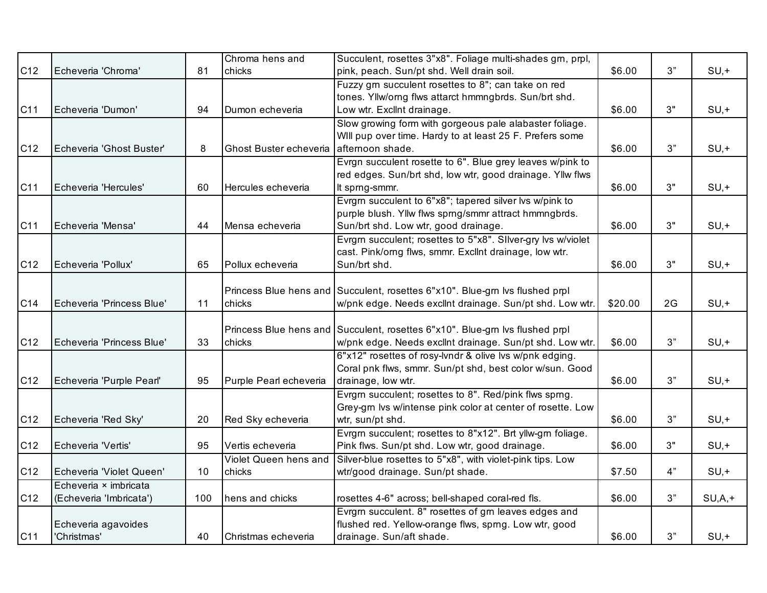|                 |                           |     | Chroma hens and        | Succulent, rosettes 3"x8". Foliage multi-shades grn, prpl,                   |         |      |            |
|-----------------|---------------------------|-----|------------------------|------------------------------------------------------------------------------|---------|------|------------|
| C12             | Echeveria 'Chroma'        | 81  | chicks                 | pink, peach. Sun/pt shd. Well drain soil.                                    | \$6.00  | 3"   | $SU, +$    |
|                 |                           |     |                        | Fuzzy gm succulent rosettes to 8"; can take on red                           |         |      |            |
|                 |                           |     |                        | tones. Yllw/orng flws attarct hmmngbrds. Sun/brt shd.                        |         |      |            |
| C11             | Echeveria 'Dumon'         | 94  | Dumon echeveria        | Low wtr. Exclint drainage.                                                   | \$6.00  | 3"   | $SU, +$    |
|                 |                           |     |                        | Slow growing form with gorgeous pale alabaster foliage.                      |         |      |            |
|                 |                           |     |                        | WIII pup over time. Hardy to at least 25 F. Prefers some                     |         |      |            |
| C <sub>12</sub> | Echeveria 'Ghost Buster'  | 8   | Ghost Buster echeveria | afternoon shade.                                                             | \$6.00  | 3"   | $SU, +$    |
|                 |                           |     |                        | Evrgn succulent rosette to 6". Blue grey leaves w/pink to                    |         |      |            |
|                 |                           |     |                        | red edges. Sun/brt shd, low wtr, good drainage. Yllw flws                    |         |      |            |
| C11             | Echeveria 'Hercules'      | 60  | Hercules echeveria     | It sprng-smmr.                                                               | \$6.00  | 3"   | $SU, +$    |
|                 |                           |     |                        | Evrgm succulent to 6"x8"; tapered silver lvs w/pink to                       |         |      |            |
|                 |                           |     |                        | purple blush. Yllw flws sprng/smmr attract hmmngbrds.                        |         |      |            |
| C11             | Echeveria 'Mensa'         | 44  | Mensa echeveria        | Sun/brt shd. Low wtr, good drainage.                                         | \$6.00  | 3"   | $SU, +$    |
|                 |                           |     |                        | Evrgm succulent; rosettes to 5"x8". Silver-gry lvs w/violet                  |         |      |            |
|                 |                           |     |                        | cast. Pink/orng flws, smmr. Excllnt drainage, low wtr.                       |         |      |            |
| C <sub>12</sub> | Echeveria 'Pollux'        | 65  | Pollux echeveria       | Sun/brt shd.                                                                 | \$6.00  | 3"   | $SU, +$    |
|                 |                           |     |                        |                                                                              |         |      |            |
|                 |                           |     |                        | Princess Blue hens and Succulent, rosettes 6"x10". Blue-grn lvs flushed prpl |         |      |            |
| C14             | Echeveria 'Princess Blue' | 11  | chicks                 | w/pnk edge. Needs exclint drainage. Sun/pt shd. Low wtr.                     | \$20.00 | 2G   | $SU, +$    |
|                 |                           |     |                        |                                                                              |         |      |            |
|                 |                           |     |                        | Princess Blue hens and Succulent, rosettes 6"x10". Blue-grn lvs flushed prpl |         |      |            |
| C <sub>12</sub> | Echeveria 'Princess Blue' | 33  | chicks                 | w/pnk edge. Needs excllnt drainage. Sun/pt shd. Low wtr.                     | \$6.00  | 3"   | $SU, +$    |
|                 |                           |     |                        | 6"x12" rosettes of rosy-lvndr & olive lvs w/pnk edging.                      |         |      |            |
|                 |                           |     |                        | Coral pnk flws, smmr. Sun/pt shd, best color w/sun. Good                     |         |      |            |
| C <sub>12</sub> | Echeveria 'Purple Pearl'  | 95  | Purple Pearl echeveria | drainage, low wtr.                                                           | \$6.00  | 3"   | $SU, +$    |
|                 |                           |     |                        | Evrgrn succulent; rosettes to 8". Red/pink flws sprng.                       |         |      |            |
|                 |                           |     |                        | Grey-grn lvs w/intense pink color at center of rosette. Low                  |         |      |            |
| C12             | Echeveria 'Red Sky'       | 20  | Red Sky echeveria      | wtr, sun/pt shd.                                                             | \$6.00  | 3"   | $SU, +$    |
|                 |                           |     |                        | Evrgm succulent; rosettes to 8"x12". Brt yllw-gm foliage.                    |         |      |            |
| C <sub>12</sub> | Echeveria 'Vertis'        | 95  | Vertis echeveria       | Pink flws. Sun/pt shd. Low wtr, good drainage.                               | \$6.00  | 3"   | $SU, +$    |
|                 |                           |     | Violet Queen hens and  | Silver-blue rosettes to 5"x8", with violet-pink tips. Low                    |         |      |            |
| C12             | Echeveria 'Violet Queen'  | 10  | chicks                 | wtr/good drainage. Sun/pt shade.                                             | \$7.50  | 4"   | $SU, +$    |
|                 | Echeveria × imbricata     |     |                        |                                                                              |         |      |            |
| C12             | (Echeveria 'Imbricata')   | 100 | hens and chicks        | rosettes 4-6" across; bell-shaped coral-red fls.                             | \$6.00  | $3"$ | $SU, A, +$ |
|                 |                           |     |                        | Evrgm succulent. 8" rosettes of gm leaves edges and                          |         |      |            |
|                 | Echeveria agavoides       |     |                        | flushed red. Yellow-orange flws, sprng. Low wtr, good                        |         |      |            |
| C11             | 'Christmas'               | 40  | Christmas echeveria    | drainage. Sun/aft shade.                                                     | \$6.00  | 3"   | $SU, +$    |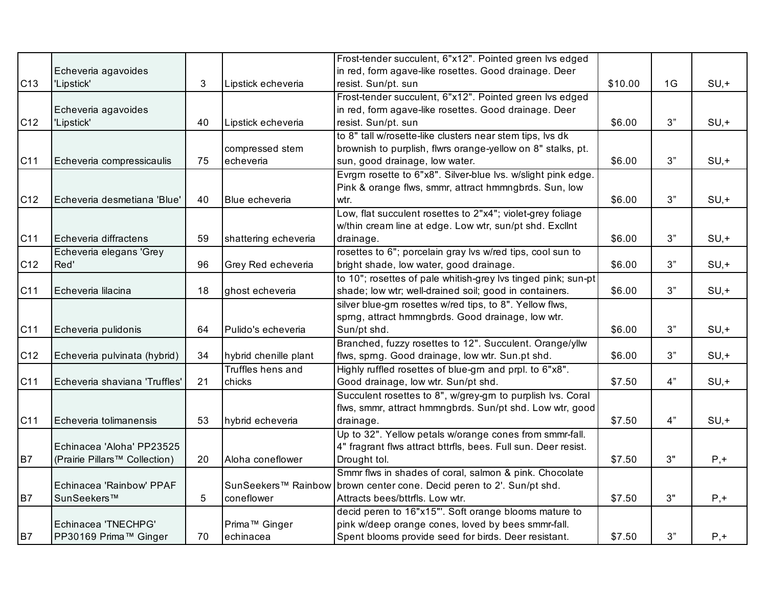|     |                               |    |                           | Frost-tender succulent, 6"x12". Pointed green lvs edged                 |         |    |         |
|-----|-------------------------------|----|---------------------------|-------------------------------------------------------------------------|---------|----|---------|
|     | Echeveria agavoides           |    |                           | in red, form agave-like rosettes. Good drainage. Deer                   |         |    |         |
| C13 | 'Lipstick'                    | 3  | Lipstick echeveria        | resist. Sun/pt. sun                                                     | \$10.00 | 1G | $SU, +$ |
|     |                               |    |                           | Frost-tender succulent, 6"x12". Pointed green lvs edged                 |         |    |         |
|     | Echeveria agavoides           |    |                           | in red, form agave-like rosettes. Good drainage. Deer                   |         |    |         |
| C12 | 'Lipstick'                    | 40 | Lipstick echeveria        | resist. Sun/pt. sun                                                     | \$6.00  | 3" | $SU, +$ |
|     |                               |    |                           | to 8" tall w/rosette-like clusters near stem tips, lvs dk               |         |    |         |
|     |                               |    | compressed stem           | brownish to purplish, flwrs orange-yellow on 8" stalks, pt.             |         |    |         |
| C11 | Echeveria compressicaulis     | 75 | echeveria                 | sun, good drainage, low water.                                          | \$6.00  | 3" | $SU, +$ |
|     |                               |    |                           | Evrgm rosette to 6"x8". Silver-blue lvs. w/slight pink edge.            |         |    |         |
|     |                               |    |                           | Pink & orange flws, smmr, attract hmmngbrds. Sun, low                   |         |    |         |
| C12 | Echeveria desmetiana 'Blue'   | 40 | Blue echeveria            | wtr.                                                                    | \$6.00  | 3" | $SU, +$ |
|     |                               |    |                           | Low, flat succulent rosettes to 2"x4"; violet-grey foliage              |         |    |         |
|     |                               |    |                           | w/thin cream line at edge. Low wtr, sun/pt shd. Excllnt                 |         |    |         |
| C11 | Echeveria diffractens         | 59 | shattering echeveria      | drainage.                                                               | \$6.00  | 3" | $SU, +$ |
|     | Echeveria elegans 'Grey       |    |                           | rosettes to 6"; porcelain gray lvs w/red tips, cool sun to              |         |    |         |
| C12 | Red'                          | 96 | Grey Red echeveria        | bright shade, low water, good drainage.                                 | \$6.00  | 3" | $SU, +$ |
|     |                               |    |                           | to 10"; rosettes of pale whitish-grey lvs tinged pink; sun-pt           |         |    |         |
| C11 | Echeveria lilacina            | 18 | ghost echeveria           | shade; low wtr; well-drained soil; good in containers.                  | \$6.00  | 3" | $SU, +$ |
|     |                               |    |                           | silver blue-grn rosettes w/red tips, to 8". Yellow flws,                |         |    |         |
|     |                               |    |                           | sprng, attract hmmngbrds. Good drainage, low wtr.                       |         |    |         |
| C11 | Echeveria pulidonis           | 64 | Pulido's echeveria        | Sun/pt shd.                                                             | \$6.00  | 3" | $SU, +$ |
|     |                               |    |                           | Branched, fuzzy rosettes to 12". Succulent. Orange/yllw                 |         |    |         |
| C12 | Echeveria pulvinata (hybrid)  | 34 | hybrid chenille plant     | flws, sprng. Good drainage, low wtr. Sun.pt shd.                        | \$6.00  | 3" | $SU, +$ |
|     |                               |    | Truffles hens and         | Highly ruffled rosettes of blue-grn and prpl. to 6"x8".                 |         |    |         |
| C11 | Echeveria shaviana 'Truffles' | 21 | chicks                    | Good drainage, low wtr. Sun/pt shd.                                     | \$7.50  | 4" | $SU, +$ |
|     |                               |    |                           | Succulent rosettes to 8", w/grey-grn to purplish lvs. Coral             |         |    |         |
|     |                               |    |                           | flws, smmr, attract hmmngbrds. Sun/pt shd. Low wtr, good                |         |    |         |
| C11 | Echeveria tolimanensis        | 53 | hybrid echeveria          | drainage.                                                               | \$7.50  | 4" | $SU, +$ |
|     |                               |    |                           | Up to 32". Yellow petals w/orange cones from smmr-fall.                 |         |    |         |
|     | Echinacea 'Aloha' PP23525     |    |                           | 4" fragrant flws attract bttrfls, bees. Full sun. Deer resist.          |         |    |         |
| B7  | (Prairie Pillars™ Collection) | 20 | Aloha coneflower          | Drought tol.                                                            | \$7.50  | 3" | $P, +$  |
|     |                               |    |                           | Smmr flws in shades of coral, salmon & pink. Chocolate                  |         |    |         |
|     | Echinacea 'Rainbow' PPAF      |    |                           | SunSeekers™ Rainbow   brown center cone. Decid peren to 2'. Sun/pt shd. |         |    |         |
| B7  | SunSeekers™                   | 5  | coneflower                | Attracts bees/bttrfls. Low wtr.                                         | \$7.50  | 3" | $P, +$  |
|     |                               |    |                           | decid peren to 16"x15"'. Soft orange blooms mature to                   |         |    |         |
|     | Echinacea 'TNECHPG'           |    | Prima <sup>™</sup> Ginger | pink w/deep orange cones, loved by bees smmr-fall.                      |         |    |         |
| B7  | PP30169 Prima™ Ginger         | 70 | echinacea                 | Spent blooms provide seed for birds. Deer resistant.                    | \$7.50  | 3" | $P, +$  |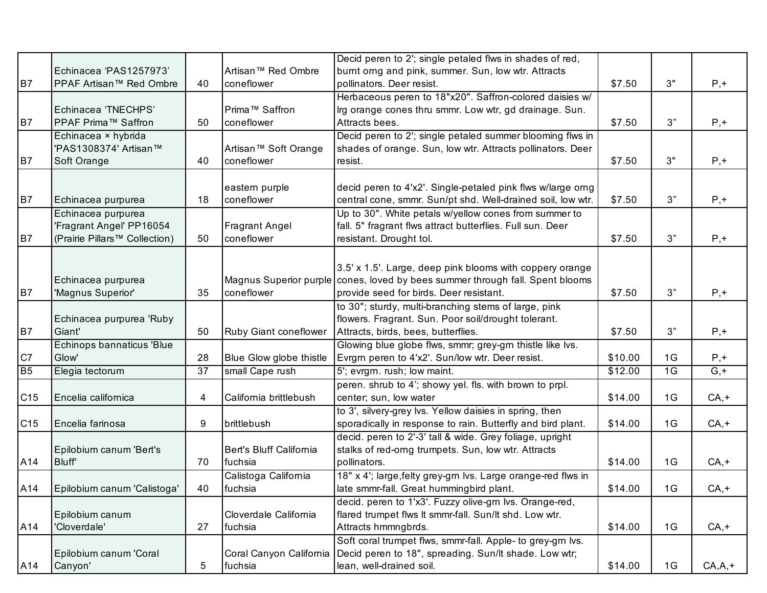|                 |                               |    |                                  | Decid peren to 2'; single petaled flws in shades of red,      |         |    |                  |
|-----------------|-------------------------------|----|----------------------------------|---------------------------------------------------------------|---------|----|------------------|
|                 | Echinacea 'PAS1257973'        |    | Artisan™ Red Ombre               | burnt orng and pink, summer. Sun, low wtr. Attracts           |         |    |                  |
| B7              | PPAF Artisan™ Red Ombre       | 40 | coneflower                       | pollinators. Deer resist.                                     | \$7.50  | 3" | $P, +$           |
|                 |                               |    |                                  | Herbaceous peren to 18"x20". Saffron-colored daisies w/       |         |    |                  |
|                 | Echinacea 'TNECHPS'           |    | Prima <sup>™</sup> Saffron       | Irg orange cones thru smmr. Low wtr, gd drainage. Sun.        |         |    |                  |
| B7              | <b>PPAF Prima™ Saffron</b>    | 50 | coneflower                       | Attracts bees.                                                | \$7.50  | 3" | $P, +$           |
|                 | Echinacea × hybrida           |    |                                  | Decid peren to 2'; single petaled summer blooming flws in     |         |    |                  |
|                 | 'PAS1308374' Artisan™         |    | Artisan <sup>™</sup> Soft Orange | shades of orange. Sun, low wtr. Attracts pollinators. Deer    |         |    |                  |
| <b>B7</b>       | Soft Orange                   | 40 | coneflower                       | resist.                                                       | \$7.50  | 3" | $P, +$           |
|                 |                               |    |                                  |                                                               |         |    |                  |
|                 |                               |    | eastern purple                   | decid peren to 4'x2'. Single-petaled pink flws w/large orng   |         |    |                  |
| B7              | Echinacea purpurea            | 18 | coneflower                       | central cone, smmr. Sun/pt shd. Well-drained soil, low wtr.   | \$7.50  | 3" | $P, +$           |
|                 | Echinacea purpurea            |    |                                  | Up to 30". White petals w/yellow cones from summer to         |         |    |                  |
|                 | 'Fragrant Angel' PP16054      |    | <b>Fragrant Angel</b>            | fall. 5" fragrant flws attract butterflies. Full sun. Deer    |         |    |                  |
| <b>B7</b>       | (Prairie Pillars™ Collection) | 50 | coneflower                       | resistant. Drought tol.                                       | \$7.50  | 3" | $P, +$           |
|                 |                               |    |                                  |                                                               |         |    |                  |
|                 |                               |    |                                  |                                                               |         |    |                  |
|                 |                               |    |                                  | 3.5' x 1.5'. Large, deep pink blooms with coppery orange      |         |    |                  |
|                 | Echinacea purpurea            |    | Magnus Superior purple           | cones, loved by bees summer through fall. Spent blooms        |         |    |                  |
| B7              | 'Magnus Superior'             | 35 | coneflower                       | provide seed for birds. Deer resistant.                       | \$7.50  | 3" | $P, +$           |
|                 |                               |    |                                  | to 30"; sturdy, multi-branching stems of large, pink          |         |    |                  |
|                 | Echinacea purpurea 'Ruby      |    |                                  | flowers. Fragrant. Sun. Poor soil/drought tolerant.           |         |    |                  |
| B7              | Giant'                        | 50 | Ruby Giant coneflower            | Attracts, birds, bees, butterflies.                           | \$7.50  | 3" | $P, +$           |
|                 | Echinops bannaticus 'Blue     |    |                                  | Glowing blue globe flws, smmr; grey-grn thistle like lvs.     |         |    |                  |
| C7              | Glow'                         | 28 | Blue Glow globe thistle          | Evrgrn peren to 4'x2'. Sun/low wtr. Deer resist.              | \$10.00 | 1G | $P, +$           |
| <b>B5</b>       | Elegia tectorum               | 37 | small Cape rush                  | 5'; evrgrn. rush; low maint.                                  | \$12.00 | 1G | $\overline{G,+}$ |
|                 |                               |    |                                  | peren. shrub to 4'; showy yel. fls. with brown to prpl.       |         |    |                  |
| C <sub>15</sub> | Encelia californica           | 4  | California brittlebush           | center; sun, low water                                        | \$14.00 | 1G | $CA, +$          |
|                 |                               |    |                                  | to 3', silvery-grey lvs. Yellow daisies in spring, then       |         |    |                  |
| C15             | Encelia farinosa              | 9  | brittlebush                      | sporadically in response to rain. Butterfly and bird plant.   | \$14.00 | 1G | $CA, +$          |
|                 |                               |    |                                  | decid. peren to 2'-3' tall & wide. Grey foliage, upright      |         |    |                  |
|                 | Epilobium canum 'Bert's       |    | Bert's Bluff California          | stalks of red-orng trumpets. Sun, low wtr. Attracts           |         |    |                  |
| A14             | <b>Bluff</b>                  | 70 | fuchsia                          | pollinators.                                                  | \$14.00 | 1G | $CA, +$          |
|                 |                               |    | Calistoga California             | 18" x 4'; large, felty grey-grn lvs. Large orange-red flws in |         |    |                  |
| A14             | Epilobium canum 'Calistoga'   | 40 | fuchsia                          | late smmr-fall. Great hummingbird plant.                      | \$14.00 | 1G | CA,+             |
|                 |                               |    |                                  | decid. peren to 1'x3'. Fuzzy olive-grn lvs. Orange-red,       |         |    |                  |
|                 | Epilobium canum               |    | Cloverdale California            | flared trumpet flws It smmr-fall. Sun/It shd. Low wtr.        |         |    |                  |
| A14             | 'Cloverdale'                  | 27 | fuchsia                          | Attracts hmmngbrds.                                           | \$14.00 | 1G | $CA, +$          |
|                 |                               |    |                                  | Soft coral trumpet flws, smmr-fall. Apple- to grey-grn lvs.   |         |    |                  |
|                 | Epilobium canum 'Coral        |    | Coral Canyon California          | Decid peren to 18", spreading. Sun/It shade. Low wtr;         |         |    |                  |
| A14             | Canyon'                       | 5  | fuchsia                          | lean, well-drained soil.                                      | \$14.00 | 1G | $CA, A, +$       |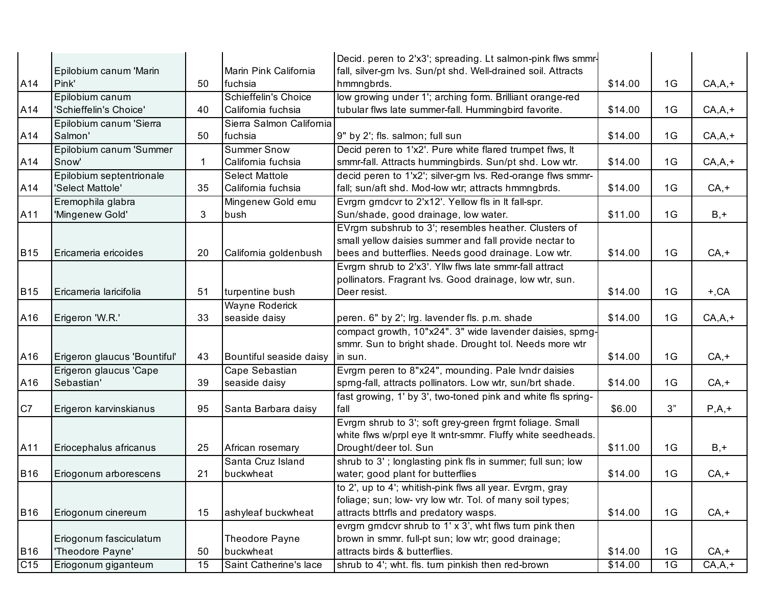|                 |                              |             |                          | Decid. peren to 2'x3'; spreading. Lt salmon-pink flws smmr-   |         |    |            |
|-----------------|------------------------------|-------------|--------------------------|---------------------------------------------------------------|---------|----|------------|
|                 | Epilobium canum 'Marin       |             | Marin Pink California    | fall, silver-grn lvs. Sun/pt shd. Well-drained soil. Attracts |         |    |            |
| A14             | Pink'                        | 50          | fuchsia                  | hmmngbrds.                                                    | \$14.00 | 1G | $CA, A, +$ |
|                 | Epilobium canum              |             | Schieffelin's Choice     | low growing under 1'; arching form. Brilliant orange-red      |         |    |            |
| A14             | 'Schieffelin's Choice'       | 40          | California fuchsia       | tubular flws late summer-fall. Hummingbird favorite.          | \$14.00 | 1G | $CA, A, +$ |
|                 | Epilobium canum 'Sierra      |             | Sierra Salmon California |                                                               |         |    |            |
| A14             | Salmon'                      | 50          | fuchsia                  | 9" by 2'; fls. salmon; full sun                               | \$14.00 | 1G | $CA, A, +$ |
|                 | Epilobium canum 'Summer      |             | <b>Summer Snow</b>       | Decid peren to 1'x2'. Pure white flared trumpet flws, It      |         |    |            |
| A14             | Snow'                        | $\mathbf 1$ | California fuchsia       | smmr-fall. Attracts hummingbirds. Sun/pt shd. Low wtr.        | \$14.00 | 1G | $CA, A, +$ |
|                 | Epilobium septentrionale     |             | <b>Select Mattole</b>    | decid peren to 1'x2'; silver-grn lvs. Red-orange flws smmr-   |         |    |            |
| A14             | 'Select Mattole'             | 35          | California fuchsia       | fall; sun/aft shd. Mod-low wtr; attracts hmmngbrds.           | \$14.00 | 1G | $CA, +$    |
|                 | Eremophila glabra            |             | Mingenew Gold emu        | Evrgrn grndcvr to 2'x12'. Yellow fls in It fall-spr.          |         |    |            |
| A11             | 'Mingenew Gold'              | 3           | bush                     | Sun/shade, good drainage, low water.                          | \$11.00 | 1G | $B, +$     |
|                 |                              |             |                          | EVrgm subshrub to 3'; resembles heather. Clusters of          |         |    |            |
|                 |                              |             |                          | small yellow daisies summer and fall provide nectar to        |         |    |            |
| <b>B15</b>      | Ericameria ericoides         | 20          | California goldenbush    | bees and butterflies. Needs good drainage. Low wtr.           | \$14.00 | 1G | $CA, +$    |
|                 |                              |             |                          | Evrgrn shrub to 2'x3'. Yllw flws late smmr-fall attract       |         |    |            |
|                 |                              |             |                          | pollinators. Fragrant lvs. Good drainage, low wtr, sun.       |         |    |            |
| <b>B15</b>      | Ericameria laricifolia       | 51          | turpentine bush          | Deer resist.                                                  | \$14.00 | 1G | $+, CA$    |
|                 |                              |             | <b>Wayne Roderick</b>    |                                                               |         |    |            |
| A16             | Erigeron 'W.R.'              | 33          | seaside daisy            | peren. 6" by 2'; lrg. lavender fls. p.m. shade                | \$14.00 | 1G | $CA, A, +$ |
|                 |                              |             |                          | compact growth, 10"x24". 3" wide lavender daisies, sprng-     |         |    |            |
|                 |                              |             |                          | smmr. Sun to bright shade. Drought tol. Needs more wtr        |         |    |            |
| A16             | Erigeron glaucus 'Bountiful' | 43          | Bountiful seaside daisy  | in sun.                                                       | \$14.00 | 1G | $CA, +$    |
|                 | Erigeron glaucus 'Cape       |             | Cape Sebastian           | Evrgrn peren to 8"x24", mounding. Pale lvndr daisies          |         |    |            |
| A16             | Sebastian'                   | 39          | seaside daisy            | sprng-fall, attracts pollinators. Low wtr, sun/brt shade.     | \$14.00 | 1G | $CA, +$    |
|                 |                              |             |                          | fast growing, 1' by 3', two-toned pink and white fls spring-  |         |    |            |
| C7              | Erigeron karvinskianus       | 95          | Santa Barbara daisy      | fall                                                          | \$6.00  | 3" | $P,A,+$    |
|                 |                              |             |                          | Evrgrn shrub to 3'; soft grey-green frgrnt foliage. Small     |         |    |            |
|                 |                              |             |                          | white flws w/prpl eye It wntr-smmr. Fluffy white seedheads.   |         |    |            |
| A11             | Eriocephalus africanus       | 25          | African rosemary         | Drought/deer tol. Sun                                         | \$11.00 | 1G | $B, +$     |
|                 |                              |             | Santa Cruz Island        | shrub to 3'; longlasting pink fls in summer; full sun; low    |         |    |            |
| <b>B16</b>      | Eriogonum arborescens        | 21          | buckwheat                | water; good plant for butterflies                             | \$14.00 | 1G | $CA, +$    |
|                 |                              |             |                          | to 2', up to 4'; whitish-pink flws all year. Evrgrn, gray     |         |    |            |
|                 |                              |             |                          | foliage; sun; low- vry low wtr. Tol. of many soil types;      |         |    |            |
| <b>B16</b>      | Eriogonum cinereum           | 15          | ashyleaf buckwheat       | attracts bttrfls and predatory wasps.                         | \$14.00 | 1G | $CA, +$    |
|                 |                              |             |                          | evrgrn grndcvr shrub to 1' x 3', wht flws turn pink then      |         |    |            |
|                 | Eriogonum fasciculatum       |             | Theodore Payne           | brown in smmr. full-pt sun; low wtr; good drainage;           |         |    |            |
| <b>B16</b>      | 'Theodore Payne'             | 50          | buckwheat                | attracts birds & butterflies.                                 | \$14.00 | 1G | $CA, +$    |
| C <sub>15</sub> | Eriogonum giganteum          | 15          | Saint Catherine's lace   | shrub to 4'; wht. fls. turn pinkish then red-brown            | \$14.00 | 1G | $CA, A, +$ |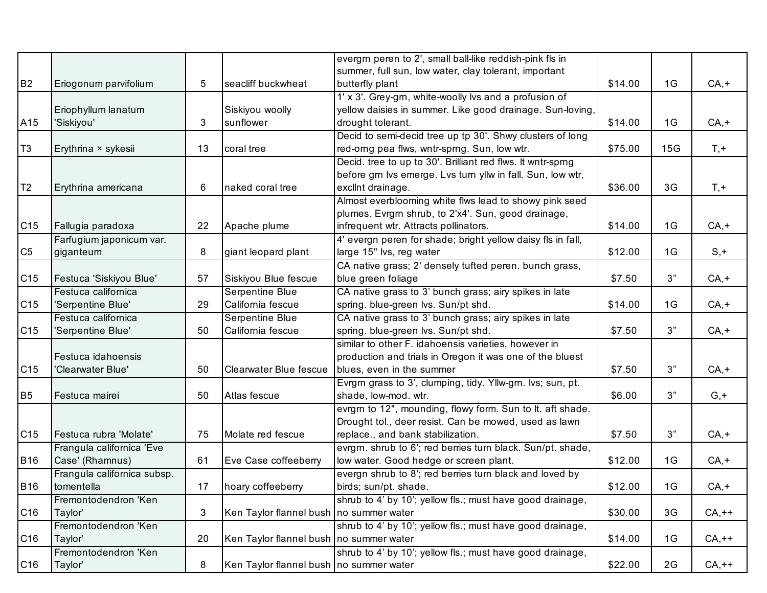|                 |                             |    |                                         | evergm peren to 2', small ball-like reddish-pink fls in     |         |     |         |
|-----------------|-----------------------------|----|-----------------------------------------|-------------------------------------------------------------|---------|-----|---------|
|                 |                             |    |                                         | summer, full sun, low water, clay tolerant, important       |         |     |         |
| <b>B2</b>       | Eriogonum parvifolium       | 5  | seacliff buckwheat                      | butterfly plant                                             | \$14.00 | 1G  | $CA, +$ |
|                 |                             |    |                                         | 1' x 3'. Grey-grn, white-woolly lvs and a profusion of      |         |     |         |
|                 | Eriophyllum lanatum         |    | Siskiyou woolly                         | yellow daisies in summer. Like good drainage. Sun-loving,   |         |     |         |
| A15             | 'Siskiyou'                  | 3  | sunflower                               | drought tolerant.                                           | \$14.00 | 1G  | $CA, +$ |
|                 |                             |    |                                         | Decid to semi-decid tree up tp 30'. Shwy clusters of long   |         |     |         |
| T <sub>3</sub>  | Erythrina × sykesii         | 13 | coral tree                              | red-orng pea flws, wntr-sprng. Sun, low wtr.                | \$75.00 | 15G | $T, +$  |
|                 |                             |    |                                         | Decid. tree to up to 30'. Brilliant red flws. It wntr-sprng |         |     |         |
|                 |                             |    |                                         | before grn lvs emerge. Lvs turn yllw in fall. Sun, low wtr, |         |     |         |
| T <sub>2</sub>  | Erythrina americana         | 6  | naked coral tree                        | excllnt drainage.                                           | \$36.00 | 3G  | $T, +$  |
|                 |                             |    |                                         | Almost everblooming white flws lead to showy pink seed      |         |     |         |
|                 |                             |    |                                         | plumes. Evrgm shrub, to 2'x4'. Sun, good drainage,          |         |     |         |
| C <sub>15</sub> | Fallugia paradoxa           | 22 | Apache plume                            | infrequent wtr. Attracts pollinators.                       | \$14.00 | 1G  | $CA, +$ |
|                 | Farfugium japonicum var.    |    |                                         | 4' evergn peren for shade; bright yellow daisy fls in fall, |         |     |         |
| C <sub>5</sub>  | giganteum                   | 8  | giant leopard plant                     | large 15" lvs, reg water                                    | \$12.00 | 1G  | $S, +$  |
|                 |                             |    |                                         | CA native grass; 2' densely tufted peren. bunch grass,      |         |     |         |
| C <sub>15</sub> | Festuca 'Siskiyou Blue'     | 57 | Siskiyou Blue fescue                    | blue green foliage                                          | \$7.50  | 3"  | $CA, +$ |
|                 | Festuca californica         |    | Serpentine Blue                         | CA native grass to 3' bunch grass; airy spikes in late      |         |     |         |
| C <sub>15</sub> | 'Serpentine Blue'           | 29 | California fescue                       | spring. blue-green lvs. Sun/pt shd.                         | \$14.00 | 1G  | $CA, +$ |
|                 | Festuca californica         |    | Serpentine Blue                         | CA native grass to 3' bunch grass; airy spikes in late      |         |     |         |
| C <sub>15</sub> | 'Serpentine Blue'           | 50 | California fescue                       | spring. blue-green lvs. Sun/pt shd.                         | \$7.50  | 3"  | $CA, +$ |
|                 |                             |    |                                         | similar to other F. idahoensis varieties, however in        |         |     |         |
|                 | Festuca idahoensis          |    |                                         | production and trials in Oregon it was one of the bluest    |         |     |         |
| C <sub>15</sub> | 'Clearwater Blue'           | 50 | <b>Clearwater Blue fescue</b>           | blues, even in the summer                                   | \$7.50  | 3"  | $CA, +$ |
|                 |                             |    |                                         | Evrgrn grass to 3', clumping, tidy. Yllw-grn. lvs; sun, pt. |         |     |         |
| B <sub>5</sub>  | Festuca mairei              | 50 | Atlas fescue                            | shade, low-mod. wtr.                                        | \$6.00  | 3"  | $G, +$  |
|                 |                             |    |                                         | evrgrn to 12", mounding, flowy form. Sun to lt. aft shade.  |         |     |         |
|                 |                             |    |                                         | Drought tol., deer resist. Can be mowed, used as lawn       |         |     |         |
| C <sub>15</sub> | Festuca rubra 'Molate'      | 75 | Molate red fescue                       | replace., and bank stabilization.                           | \$7.50  | 3"  | $CA, +$ |
|                 | Frangula californica 'Eve   |    |                                         | evrgm. shrub to 6'; red berries turn black. Sun/pt. shade,  |         |     |         |
| <b>B16</b>      | Case' (Rhamnus)             | 61 | Eve Case coffeeberry                    | low water. Good hedge or screen plant.                      | \$12.00 | 1G  | $CA, +$ |
|                 | Frangula californica subsp. |    |                                         | evergn shrub to 8'; red berries turn black and loved by     |         |     |         |
| <b>B16</b>      | tomentella                  | 17 | hoary coffeeberry                       | birds; sun/pt. shade.                                       | \$12.00 | 1G  | $CA, +$ |
|                 | Fremontodendron 'Ken        |    |                                         | shrub to 4' by 10'; yellow fls.; must have good drainage,   |         |     |         |
| C <sub>16</sub> | Taylor'                     | 3  | Ken Taylor flannel bush no summer water |                                                             | \$30.00 | 3G  | $CA,++$ |
|                 | Fremontodendron 'Ken        |    |                                         | shrub to 4' by 10'; yellow fls.; must have good drainage,   |         |     |         |
| C <sub>16</sub> | Taylor'                     | 20 | Ken Taylor flannel bush no summer water |                                                             | \$14.00 | 1G  | $CA,++$ |
|                 | Fremontodendron 'Ken        |    |                                         | shrub to 4' by 10'; yellow fls.; must have good drainage,   |         |     |         |
| C <sub>16</sub> | Taylor'                     | 8  | Ken Taylor flannel bush no summer water |                                                             | \$22.00 | 2G  | $CA,++$ |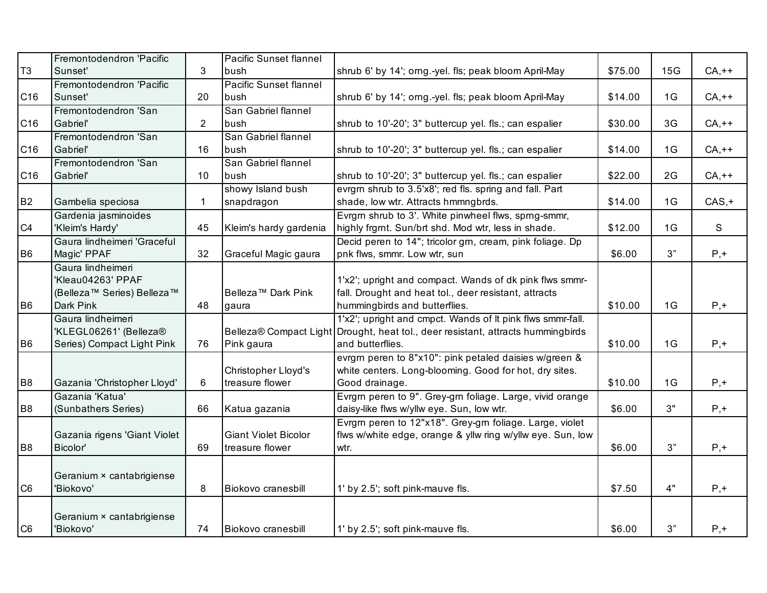|                | Fremontodendron 'Pacific     |                | <b>Pacific Sunset flannel</b>  |                                                            |         |     |          |
|----------------|------------------------------|----------------|--------------------------------|------------------------------------------------------------|---------|-----|----------|
| T <sub>3</sub> | Sunset'                      | 3              | bush                           | shrub 6' by 14'; orng.-yel. fls; peak bloom April-May      | \$75.00 | 15G | $CA,++$  |
|                | Fremontodendron 'Pacific     |                | <b>Pacific Sunset flannel</b>  |                                                            |         |     |          |
| C16            | Sunset'                      | 20             | bush                           | shrub 6' by 14'; orng.-yel. fls; peak bloom April-May      | \$14.00 | 1G  | $CA,++$  |
|                | Fremontodendron 'San         |                | San Gabriel flannel            |                                                            |         |     |          |
| C16            | Gabriel'                     | $\overline{2}$ | bush                           | shrub to 10'-20'; 3" buttercup yel. fls.; can espalier     | \$30.00 | 3G  | $CA,++$  |
|                | Fremontodendron 'San         |                | San Gabriel flannel            |                                                            |         |     |          |
| C16            | Gabriel'                     | 16             | bush                           | shrub to 10'-20'; 3" buttercup yel. fls.; can espalier     | \$14.00 | 1G  | $CA,++$  |
|                | Fremontodendron 'San         |                | San Gabriel flannel            |                                                            |         |     |          |
| C16            | Gabriel'                     | 10             | bush                           | shrub to 10'-20'; 3" buttercup yel. fls.; can espalier     | \$22.00 | 2G  | $CA,++$  |
|                |                              |                | showy Island bush              | evrgm shrub to 3.5'x8'; red fls. spring and fall. Part     |         |     |          |
| <b>B2</b>      | Gambelia speciosa            | 1.             | snapdragon                     | shade, low wtr. Attracts hmmngbrds.                        | \$14.00 | 1G  | $CAS, +$ |
|                | Gardenia jasminoides         |                |                                | Evrgm shrub to 3'. White pinwheel flws, spmg-smmr,         |         |     |          |
| C4             | 'Kleim's Hardy'              | 45             | Kleim's hardy gardenia         | highly frgmt. Sun/brt shd. Mod wtr, less in shade.         | \$12.00 | 1G  | S        |
|                | Gaura lindheimeri 'Graceful  |                |                                | Decid peren to 14"; tricolor grn, cream, pink foliage. Dp  |         |     |          |
| B <sub>6</sub> | Magic' PPAF                  | 32             | Graceful Magic gaura           | pnk flws, smmr. Low wtr, sun                               | \$6.00  | 3"  | $P, +$   |
|                | Gaura lindheimeri            |                |                                |                                                            |         |     |          |
|                | 'Kleau04263' PPAF            |                |                                | 1'x2'; upright and compact. Wands of dk pink flws smmr-    |         |     |          |
|                | (Belleza™ Series) Belleza™   |                | Belleza <sup>™</sup> Dark Pink | fall. Drought and heat tol., deer resistant, attracts      |         |     |          |
| B <sub>6</sub> | Dark Pink                    | 48             | gaura                          | hummingbirds and butterflies.                              | \$10.00 | 1G  | $P, +$   |
|                | Gaura lindheimeri            |                |                                | 1'x2'; upright and cmpct. Wands of It pink flws smmr-fall. |         |     |          |
|                | 'KLEGL06261' (Belleza®       |                | Belleza® Compact Light         | Drought, heat tol., deer resistant, attracts hummingbirds  |         |     |          |
| B <sub>6</sub> | Series) Compact Light Pink   | 76             | Pink gaura                     | and butterflies.                                           | \$10.00 | 1G  | $P, +$   |
|                |                              |                |                                | evrgm peren to 8"x10": pink petaled daisies w/green &      |         |     |          |
|                |                              |                | Christopher Lloyd's            | white centers. Long-blooming. Good for hot, dry sites.     |         |     |          |
| B <sub>8</sub> | Gazania 'Christopher Lloyd'  | 6              | treasure flower                | Good drainage.                                             | \$10.00 | 1G  | $P, +$   |
|                | Gazania 'Katua'              |                |                                | Evrgrn peren to 9". Grey-grn foliage. Large, vivid orange  |         |     |          |
| B <sub>8</sub> | (Sunbathers Series)          | 66             | Katua gazania                  | daisy-like flws w/yllw eye. Sun, low wtr.                  | \$6.00  | 3"  | $P, +$   |
|                |                              |                |                                | Evrgm peren to 12"x18". Grey-grn foliage. Large, violet    |         |     |          |
|                | Gazania rigens 'Giant Violet |                | <b>Giant Violet Bicolor</b>    | flws w/white edge, orange & yllw ring w/yllw eye. Sun, low |         |     |          |
| B <sub>8</sub> | Bicolor'                     | 69             | treasure flower                | wtr.                                                       | \$6.00  | 3"  | $P, +$   |
|                |                              |                |                                |                                                            |         |     |          |
|                | Geranium × cantabrigiense    |                |                                |                                                            |         |     |          |
| C <sub>6</sub> | 'Biokovo'                    | 8              | Biokovo cranesbill             | 1' by 2.5'; soft pink-mauve fls.                           | \$7.50  | 4"  | $P, +$   |
|                |                              |                |                                |                                                            |         |     |          |
|                | Geranium × cantabrigiense    |                |                                |                                                            |         |     |          |
| C <sub>6</sub> | 'Biokovo'                    | 74             | Biokovo cranesbill             | 1' by 2.5'; soft pink-mauve fls.                           | \$6.00  | 3"  | $P, +$   |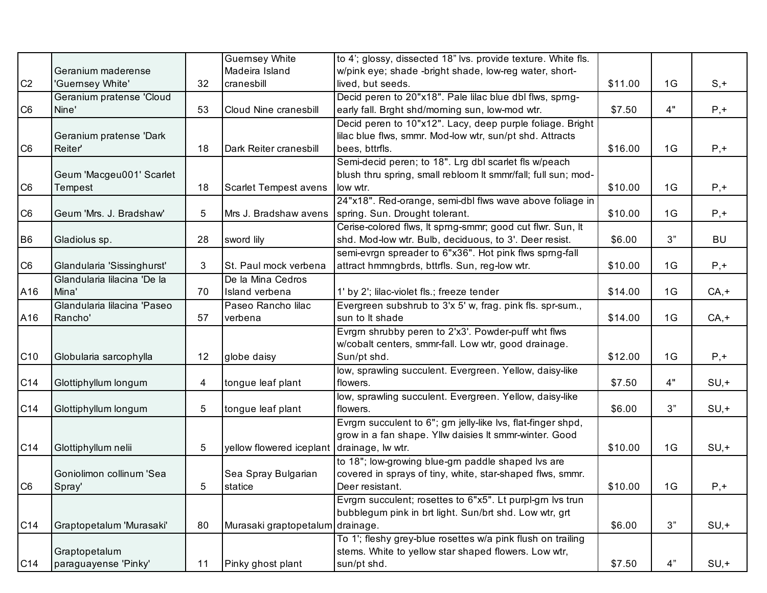|                 |                             |    | <b>Guernsey White</b>                      | to 4'; glossy, dissected 18" lvs. provide texture. White fls. |         |    |           |
|-----------------|-----------------------------|----|--------------------------------------------|---------------------------------------------------------------|---------|----|-----------|
|                 | Geranium maderense          |    | Madeira Island                             | w/pink eye; shade -bright shade, low-reg water, short-        |         |    |           |
| C <sub>2</sub>  | 'Guernsey White'            | 32 | cranesbill                                 | lived, but seeds.                                             | \$11.00 | 1G | $S, +$    |
|                 | Geranium pratense 'Cloud    |    |                                            | Decid peren to 20"x18". Pale lilac blue dbl flws, sprng-      |         |    |           |
| C <sub>6</sub>  | Nine'                       | 53 | Cloud Nine cranesbill                      | early fall. Brght shd/morning sun, low-mod wtr.               | \$7.50  | 4" | $P, +$    |
|                 |                             |    |                                            | Decid peren to 10"x12". Lacy, deep purple foliage. Bright     |         |    |           |
|                 | Geranium pratense 'Dark     |    |                                            | lilac blue flws, smmr. Mod-low wtr, sun/pt shd. Attracts      |         |    |           |
| C <sub>6</sub>  | Reiter'                     | 18 | Dark Reiter cranesbill                     | bees, bttrfls.                                                | \$16.00 | 1G | $P, +$    |
|                 |                             |    |                                            | Semi-decid peren; to 18". Lrg dbl scarlet fls w/peach         |         |    |           |
|                 | Geum 'Macgeu001' Scarlet    |    |                                            | blush thru spring, small rebloom It smmr/fall; full sun; mod- |         |    |           |
| C <sub>6</sub>  | Tempest                     | 18 | Scarlet Tempest avens                      | low wtr.                                                      | \$10.00 | 1G | $P, +$    |
|                 |                             |    |                                            | 24"x18". Red-orange, semi-dbl flws wave above foliage in      |         |    |           |
| C <sub>6</sub>  | Geum 'Mrs. J. Bradshaw'     | 5  | Mrs J. Bradshaw avens                      | spring. Sun. Drought tolerant.                                | \$10.00 | 1G | $P, +$    |
|                 |                             |    |                                            | Cerise-colored flws, It sprng-smmr; good cut flwr. Sun, It    |         |    |           |
| B <sub>6</sub>  | Gladiolus sp.               | 28 | sword lily                                 | shd. Mod-low wtr. Bulb, deciduous, to 3'. Deer resist.        | \$6.00  | 3" | <b>BU</b> |
|                 |                             |    |                                            | semi-evrgn spreader to 6"x36". Hot pink flws sprng-fall       |         |    |           |
| C <sub>6</sub>  | Glandularia 'Sissinghurst'  | 3  | St. Paul mock verbena                      | attract hmmngbrds, bttrfls. Sun, reg-low wtr.                 | \$10.00 | 1G | $P, +$    |
|                 | Glandularia lilacina 'De la |    | De la Mina Cedros                          |                                                               |         |    |           |
| A16             | Mina'                       | 70 | Island verbena                             | 1' by 2'; lilac-violet fls.; freeze tender                    | \$14.00 | 1G | $CA, +$   |
|                 | Glandularia lilacina 'Paseo |    | Paseo Rancho lilac                         | Evergreen subshrub to 3'x 5' w, frag. pink fls. spr-sum.,     |         |    |           |
| A16             | Rancho'                     | 57 | verbena                                    | sun to It shade                                               | \$14.00 | 1G | $CA, +$   |
|                 |                             |    |                                            | Evrgm shrubby peren to 2'x3'. Powder-puff wht flws            |         |    |           |
|                 |                             |    |                                            | w/cobalt centers, smmr-fall. Low wtr, good drainage.          |         |    |           |
| C <sub>10</sub> | Globularia sarcophylla      | 12 | globe daisy                                | Sun/pt shd.                                                   | \$12.00 | 1G | $P, +$    |
|                 |                             |    |                                            | low, sprawling succulent. Evergreen. Yellow, daisy-like       |         |    |           |
| C <sub>14</sub> | Glottiphyllum longum        | 4  | tongue leaf plant                          | flowers.                                                      | \$7.50  | 4" | $SU, +$   |
|                 |                             |    |                                            | low, sprawling succulent. Evergreen. Yellow, daisy-like       |         |    |           |
| C14             | Glottiphyllum longum        | 5  | tongue leaf plant                          | flowers.                                                      | \$6.00  | 3" | $SU, +$   |
|                 |                             |    |                                            | Evrgm succulent to 6"; gm jelly-like lvs, flat-finger shpd,   |         |    |           |
|                 |                             |    |                                            | grow in a fan shape. Yllw daisies It smmr-winter. Good        |         |    |           |
| C14             | Glottiphyllum nelii         | 5  | yellow flowered iceplant drainage, lw wtr. |                                                               | \$10.00 | 1G | $SU, +$   |
|                 |                             |    |                                            | to 18"; low-growing blue-grn paddle shaped lvs are            |         |    |           |
|                 | Goniolimon collinum 'Sea    |    | Sea Spray Bulgarian                        | covered in sprays of tiny, white, star-shaped flws, smmr.     |         |    |           |
| C <sub>6</sub>  | Spray'                      | 5  | statice                                    | Deer resistant.                                               | \$10.00 | 1G | $P, +$    |
|                 |                             |    |                                            | Evrgm succulent; rosettes to 6"x5". Lt purpl-gm lvs trun      |         |    |           |
|                 |                             |    |                                            | bubblegum pink in brt light. Sun/brt shd. Low wtr, grt        |         |    |           |
| C14             | Graptopetalum 'Murasaki'    | 80 | Murasaki graptopetalum drainage.           |                                                               | \$6.00  | 3" | $SU, +$   |
|                 |                             |    |                                            | To 1'; fleshy grey-blue rosettes w/a pink flush on trailing   |         |    |           |
|                 | Graptopetalum               |    |                                            | stems. White to yellow star shaped flowers. Low wtr,          |         |    |           |
| C <sub>14</sub> | paraguayense 'Pinky'        | 11 | Pinky ghost plant                          | sun/pt shd.                                                   | \$7.50  | 4" | $SU, +$   |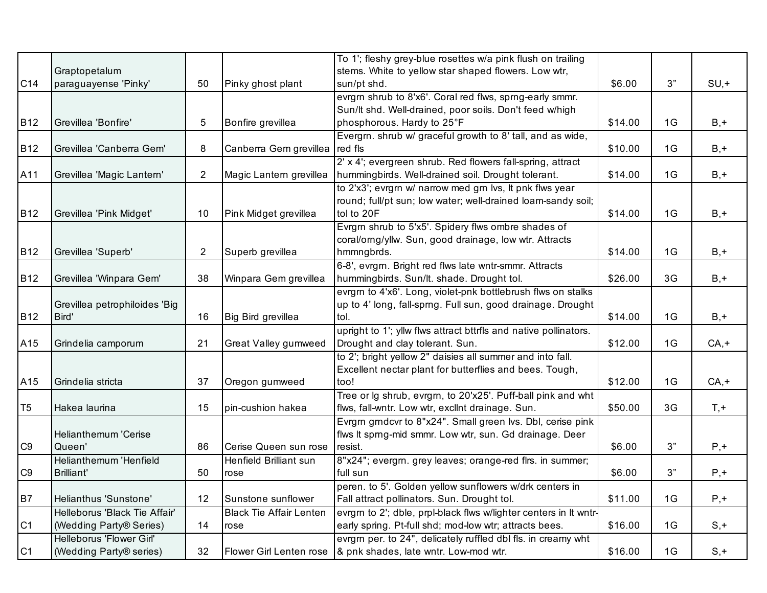|                |                               |                |                                | To 1'; fleshy grey-blue rosettes w/a pink flush on trailing                                                            |         |    |         |
|----------------|-------------------------------|----------------|--------------------------------|------------------------------------------------------------------------------------------------------------------------|---------|----|---------|
|                | Graptopetalum                 |                |                                | stems. White to yellow star shaped flowers. Low wtr,                                                                   |         |    |         |
| C14            | paraguayense 'Pinky'          | 50             | Pinky ghost plant              | sun/pt shd.                                                                                                            | \$6.00  | 3" | $SU, +$ |
|                |                               |                |                                | evrgrn shrub to 8'x6'. Coral red flws, sprng-early smmr.                                                               |         |    |         |
|                |                               |                |                                | Sun/It shd. Well-drained, poor soils. Don't feed w/high                                                                |         |    |         |
| <b>B12</b>     | Grevillea 'Bonfire'           | 5              | Bonfire grevillea              | phosphorous. Hardy to 25°F                                                                                             | \$14.00 | 1G | $B, +$  |
|                |                               |                |                                | Evergrn. shrub w/ graceful growth to 8' tall, and as wide,                                                             |         |    |         |
| <b>B12</b>     | Grevillea 'Canberra Gem'      | 8              | Canberra Gem grevillea         | red fls                                                                                                                | \$10.00 | 1G | $B, +$  |
|                |                               |                |                                | 2' x 4'; evergreen shrub. Red flowers fall-spring, attract                                                             |         |    |         |
| A11            | Grevillea 'Magic Lantern'     | $\overline{2}$ | Magic Lantern grevillea        | hummingbirds. Well-drained soil. Drought tolerant.                                                                     | \$14.00 | 1G | $B, +$  |
|                |                               |                |                                | to 2'x3'; evrgrn w/ narrow med grn lvs, It pnk flws year                                                               |         |    |         |
|                |                               |                |                                | round; full/pt sun; low water; well-drained loam-sandy soil;                                                           |         |    |         |
| <b>B12</b>     | Grevillea 'Pink Midget'       | 10             | Pink Midget grevillea          | tol to 20F                                                                                                             | \$14.00 | 1G | $B, +$  |
|                |                               |                |                                | Evrgm shrub to 5'x5'. Spidery flws ombre shades of                                                                     |         |    |         |
|                |                               |                |                                | coral/orng/yllw. Sun, good drainage, low wtr. Attracts                                                                 |         |    |         |
| <b>B12</b>     | Grevillea 'Superb'            | 2              | Superb grevillea               | hmmngbrds.                                                                                                             | \$14.00 | 1G | $B, +$  |
|                |                               |                |                                | 6-8', evrgrn. Bright red flws late wntr-smmr. Attracts                                                                 |         |    |         |
| <b>B12</b>     | Grevillea 'Winpara Gem'       | 38             | Winpara Gem grevillea          | hummingbirds. Sun/lt. shade. Drought tol.                                                                              | \$26.00 | 3G | $B, +$  |
|                |                               |                |                                | evrgm to 4'x6'. Long, violet-pnk bottlebrush flws on stalks                                                            |         |    |         |
|                | Grevillea petrophiloides 'Big |                |                                | up to 4' long, fall-sprng. Full sun, good drainage. Drought                                                            |         |    |         |
| <b>B12</b>     | Bird'                         | 16             | Big Bird grevillea             | tol.                                                                                                                   | \$14.00 | 1G | $B, +$  |
|                |                               |                |                                | upright to 1'; yllw flws attract bttrfls and native pollinators.                                                       |         |    |         |
| A15            | Grindelia camporum            | 21             | Great Valley gumweed           | Drought and clay tolerant. Sun.                                                                                        | \$12.00 | 1G | $CA, +$ |
|                |                               |                |                                | to 2'; bright yellow 2" daisies all summer and into fall.                                                              |         |    |         |
|                |                               | 37             |                                | Excellent nectar plant for butterflies and bees. Tough,                                                                | \$12.00 | 1G |         |
| A15            | Grindelia stricta             |                | Oregon gumweed                 | too!                                                                                                                   |         |    | $CA, +$ |
| T <sub>5</sub> | Hakea laurina                 | 15             | pin-cushion hakea              | Tree or lg shrub, evrgrn, to 20'x25'. Puff-ball pink and wht                                                           | \$50.00 | 3G | $T, +$  |
|                |                               |                |                                | flws, fall-wntr. Low wtr, excllnt drainage. Sun.                                                                       |         |    |         |
|                | Helianthemum 'Cerise          |                |                                | Evrgrn grndcvr to 8"x24". Small green lvs. Dbl, cerise pink<br>flws It sprng-mid smmr. Low wtr, sun. Gd drainage. Deer |         |    |         |
| C <sub>9</sub> | Queen'                        | 86             | Cerise Queen sun rose          | resist.                                                                                                                | \$6.00  | 3" | $P, +$  |
|                | Helianthemum 'Henfield        |                | Henfield Brilliant sun         | 8"x24"; evergm. grey leaves; orange-red flrs. in summer;                                                               |         |    |         |
| C <sub>9</sub> | Brilliant'                    | 50             | rose                           | full sun                                                                                                               | \$6.00  | 3" | $P, +$  |
|                |                               |                |                                | peren. to 5'. Golden yellow sunflowers w/drk centers in                                                                |         |    |         |
| <b>B7</b>      | Helianthus 'Sunstone'         | 12             | Sunstone sunflower             | Fall attract pollinators. Sun. Drought tol.                                                                            | \$11.00 | 1G | $P, +$  |
|                | Helleborus 'Black Tie Affair' |                | <b>Black Tie Affair Lenten</b> | evrgrn to 2'; dble, prpl-black flws w/lighter centers in It wntr-                                                      |         |    |         |
| C <sub>1</sub> | (Wedding Party® Series)       | 14             | rose                           | early spring. Pt-full shd; mod-low wtr; attracts bees.                                                                 | \$16.00 | 1G | $S, +$  |
|                | Helleborus 'Flower Girl'      |                |                                | evrgm per. to 24", delicately ruffled dbl fls. in creamy wht                                                           |         |    |         |
| C <sub>1</sub> | (Wedding Party® series)       | 32             |                                | Flower Girl Lenten rose  & pnk shades, late wntr. Low-mod wtr.                                                         | \$16.00 | 1G | $S, +$  |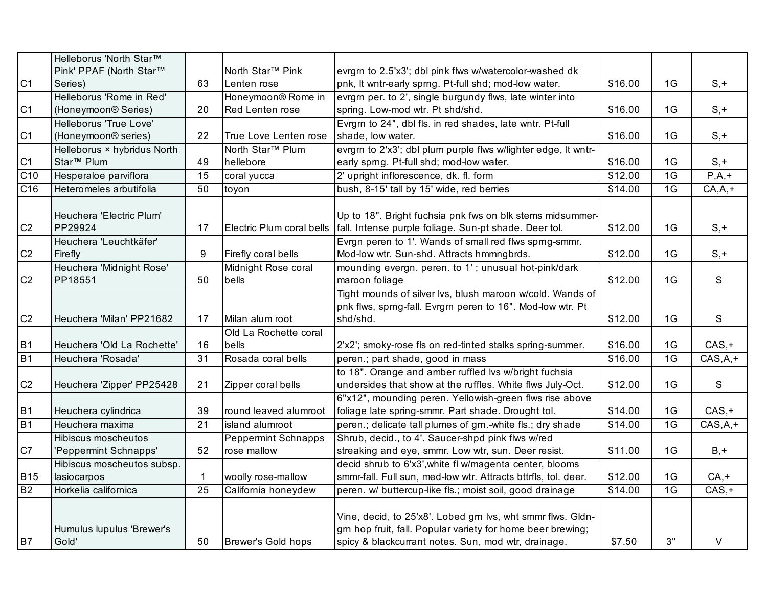|                | Helleborus 'North Star™         |                 |                                |                                                                |         |                 |            |
|----------------|---------------------------------|-----------------|--------------------------------|----------------------------------------------------------------|---------|-----------------|------------|
|                | Pink' PPAF (North Star™         |                 | North Star <sup>™</sup> Pink   | evrgm to 2.5'x3'; dbl pink flws w/watercolor-washed dk         |         |                 |            |
| C <sub>1</sub> | Series)                         | 63              | Lenten rose                    | pnk, It wntr-early sprng. Pt-full shd; mod-low water.          | \$16.00 | 1G              | $S, +$     |
|                | Helleborus 'Rome in Red'        |                 | Honeymoon <sup>®</sup> Rome in | evrgrn per. to 2', single burgundy flws, late winter into      |         |                 |            |
| C <sub>1</sub> | (Honeymoon® Series)             | 20              | Red Lenten rose                | spring. Low-mod wtr. Pt shd/shd.                               | \$16.00 | 1G              | $S, +$     |
|                | Helleborus 'True Love'          |                 |                                | Evrgm to 24", dbl fls. in red shades, late wntr. Pt-full       |         |                 |            |
| C1             | (Honeymoon <sup>®</sup> series) | 22              | True Love Lenten rose          | shade, low water.                                              | \$16.00 | 1G              | $S, +$     |
|                | Helleborus × hybridus North     |                 | North Star <sup>™</sup> Plum   | evrgm to 2'x3'; dbl plum purple flws w/lighter edge, It wntr-  |         |                 |            |
| C <sub>1</sub> | Star <sup>™</sup> Plum          | 49              | hellebore                      | early sprng. Pt-full shd; mod-low water.                       | \$16.00 | 1G              | $S, +$     |
| C10            | Hesperaloe parviflora           | $\overline{15}$ | coral yucca                    | 2' upright inflorescence, dk. fl. form                         | \$12.00 | $\overline{1G}$ | $P, A, +$  |
| C16            | Heteromeles arbutifolia         | 50              | toyon                          | bush, 8-15' tall by 15' wide, red berries                      | \$14.00 | 1G              | $CA, A, +$ |
|                |                                 |                 |                                |                                                                |         |                 |            |
|                | Heuchera 'Electric Plum'        |                 |                                | Up to 18". Bright fuchsia pnk fws on blk stems midsummer-      |         |                 |            |
| C <sub>2</sub> | PP29924                         | 17              | Electric Plum coral bells      | fall. Intense purple foliage. Sun-pt shade. Deer tol.          | \$12.00 | 1G              | $S, +$     |
|                | Heuchera 'Leuchtkäfer'          |                 |                                | Evrgn peren to 1'. Wands of small red flws sprng-smmr.         |         |                 |            |
| C <sub>2</sub> | Firefly                         | 9               | Firefly coral bells            | Mod-low wtr. Sun-shd. Attracts hmmngbrds.                      | \$12.00 | 1G              | $S, +$     |
|                | Heuchera 'Midnight Rose'        |                 | Midnight Rose coral            | mounding evergn. peren. to 1'; unusual hot-pink/dark           |         |                 |            |
| C <sub>2</sub> | PP18551                         | 50              | bells                          | maroon foliage                                                 | \$12.00 | 1G              | S          |
|                |                                 |                 |                                | Tight mounds of silver lvs, blush maroon w/cold. Wands of      |         |                 |            |
|                |                                 |                 |                                | pnk flws, sprng-fall. Evrgrn peren to 16". Mod-low wtr. Pt     |         |                 |            |
| C <sub>2</sub> | Heuchera 'Milan' PP21682        | 17              | Milan alum root                | shd/shd.                                                       | \$12.00 | 1G              | S          |
|                |                                 |                 | Old La Rochette coral          |                                                                |         |                 |            |
| <b>B1</b>      | Heuchera 'Old La Rochette'      | 16              | bells                          | 2'x2'; smoky-rose fls on red-tinted stalks spring-summer.      | \$16.00 | 1G              | $CAS, +$   |
| B1             | Heuchera 'Rosada'               | 31              | Rosada coral bells             | peren.; part shade, good in mass                               | \$16.00 | 1 <sub>G</sub>  | $CAS,A,+$  |
|                |                                 |                 |                                | to 18". Orange and amber ruffled lvs w/bright fuchsia          |         |                 |            |
| C <sub>2</sub> | Heuchera 'Zipper' PP25428       | 21              | Zipper coral bells             | undersides that show at the ruffles. White flws July-Oct.      | \$12.00 | 1G              | S          |
|                |                                 |                 |                                | 6"x12", mounding peren. Yellowish-green flws rise above        |         |                 |            |
| <b>B1</b>      | Heuchera cylindrica             | 39              | round leaved alumroot          | foliage late spring-smmr. Part shade. Drought tol.             | \$14.00 | 1G              | $CAS, +$   |
| <b>B1</b>      | Heuchera maxima                 | 21              | island alumroot                | peren.; delicate tall plumes of grn.-white fls.; dry shade     | \$14.00 | 1 <sub>G</sub>  | $CAS,A,+$  |
|                | Hibiscus moscheutos             |                 | <b>Peppermint Schnapps</b>     | Shrub, decid., to 4'. Saucer-shpd pink flws w/red              |         |                 |            |
| C7             | 'Peppermint Schnapps'           | 52              | rose mallow                    | streaking and eye, smmr. Low wtr, sun. Deer resist.            | \$11.00 | 1G              | $B, +$     |
|                | Hibiscus moscheutos subsp.      |                 |                                | decid shrub to 6'x3', white fl w/magenta center, blooms        |         |                 |            |
| <b>B15</b>     | lasiocarpos                     | 1.              | woolly rose-mallow             | smmr-fall. Full sun, med-low wtr. Attracts bttrfls, tol. deer. | \$12.00 | 1G              | $CA, +$    |
| B2             | Horkelia californica            | 25              | California honeydew            | peren. w/ buttercup-like fls.; moist soil, good drainage       | \$14.00 | $\overline{1G}$ | $CAS, +$   |
|                |                                 |                 |                                |                                                                |         |                 |            |
|                |                                 |                 |                                | Vine, decid, to 25'x8'. Lobed grn lvs, wht smmr flws. Gldn-    |         |                 |            |
|                | Humulus lupulus 'Brewer's       |                 |                                | grn hop fruit, fall. Popular variety for home beer brewing;    |         |                 |            |
| <b>B7</b>      | Gold'                           | 50              | Brewer's Gold hops             | spicy & blackcurrant notes. Sun, mod wtr, drainage.            | \$7.50  | 3"              | V          |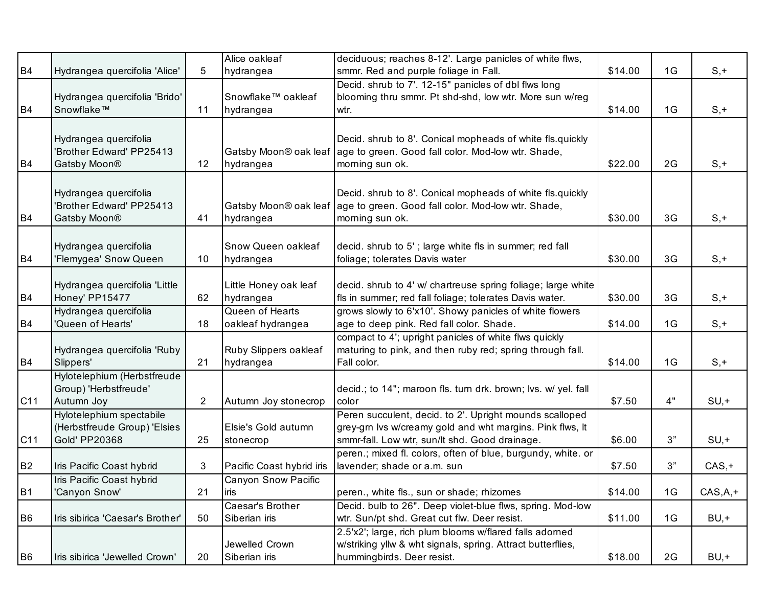| B <sub>4</sub>  | Hydrangea quercifolia 'Alice'                                                    | 5              | Alice oakleaf<br>hydrangea           | deciduous; reaches 8-12'. Large panicles of white flws,<br>smmr. Red and purple foliage in Fall.                                                                       | \$14.00 | 1G | $S, +$    |
|-----------------|----------------------------------------------------------------------------------|----------------|--------------------------------------|------------------------------------------------------------------------------------------------------------------------------------------------------------------------|---------|----|-----------|
|                 | Hydrangea quercifolia 'Brido'                                                    |                | Snowflake™ oakleaf                   | Decid. shrub to 7'. 12-15" panicles of dbl flws long<br>blooming thru smmr. Pt shd-shd, low wtr. More sun w/reg                                                        |         |    |           |
| <b>B4</b>       | Snowflake™                                                                       | 11             | hydrangea                            | wtr.                                                                                                                                                                   | \$14.00 | 1G | $S, +$    |
| B <sub>4</sub>  | Hydrangea quercifolia<br>'Brother Edward' PP25413<br>Gatsby Moon <sup>®</sup>    | 12             | Gatsby Moon® oak leaf<br>hydrangea   | Decid. shrub to 8'. Conical mopheads of white fls.quickly<br>age to green. Good fall color. Mod-low wtr. Shade,<br>morning sun ok.                                     | \$22.00 | 2G | $S, +$    |
| <b>B4</b>       | Hydrangea quercifolia<br>'Brother Edward' PP25413<br>Gatsby Moon <sup>®</sup>    | 41             | Gatsby Moon® oak leaf<br>hydrangea   | Decid. shrub to 8'. Conical mopheads of white fls.quickly<br>age to green. Good fall color. Mod-low wtr. Shade,<br>morning sun ok.                                     | \$30.00 | 3G | $S, +$    |
| B <sub>4</sub>  | Hydrangea quercifolia<br>'Flemygea' Snow Queen                                   | 10             | Snow Queen oakleaf<br>hydrangea      | decid. shrub to 5'; large white fls in summer; red fall<br>foliage; tolerates Davis water                                                                              | \$30.00 | 3G | $S, +$    |
| <b>B4</b>       | Hydrangea quercifolia 'Little<br>Honey' PP15477                                  | 62             | Little Honey oak leaf<br>hydrangea   | decid. shrub to 4' w/ chartreuse spring foliage; large white<br>fls in summer; red fall foliage; tolerates Davis water.                                                | \$30.00 | 3G | $S, +$    |
| B <sub>4</sub>  | Hydrangea quercifolia<br>'Queen of Hearts'                                       | 18             | Queen of Hearts<br>oakleaf hydrangea | grows slowly to 6'x10'. Showy panicles of white flowers<br>age to deep pink. Red fall color. Shade.                                                                    | \$14.00 | 1G | $S, +$    |
| B <sub>4</sub>  | Hydrangea quercifolia 'Ruby<br>Slippers'                                         | 21             | Ruby Slippers oakleaf<br>hydrangea   | compact to 4'; upright panicles of white flws quickly<br>maturing to pink, and then ruby red; spring through fall.<br>Fall color.                                      | \$14.00 | 1G | $S, +$    |
| C <sub>11</sub> | Hylotelephium (Herbstfreude<br>Group) 'Herbstfreude'<br>Autumn Joy               | $\overline{2}$ | Autumn Joy stonecrop                 | decid.; to 14"; maroon fls. turn drk. brown; lvs. w/ yel. fall<br>color                                                                                                | \$7.50  | 4" | $SU, +$   |
| C11             | Hylotelephium spectabile<br>(Herbstfreude Group) 'Elsies<br><b>Gold' PP20368</b> | 25             | Elsie's Gold autumn<br>stonecrop     | Peren succulent, decid. to 2'. Upright mounds scalloped<br>grey-grn lvs w/creamy gold and wht margins. Pink flws, It<br>smmr-fall. Low wtr, sun/lt shd. Good drainage. | \$6.00  | 3" | $SU, +$   |
| <b>B2</b>       | Iris Pacific Coast hybrid                                                        | 3              | Pacific Coast hybrid iris            | peren.; mixed fl. colors, often of blue, burgundy, white. or<br>lavender; shade or a.m. sun                                                                            | \$7.50  | 3" | $CAS, +$  |
| B1              | Iris Pacific Coast hybrid<br>'Canyon Snow'                                       | 21             | <b>Canyon Snow Pacific</b><br>liris  | peren., white fls., sun or shade; rhizomes                                                                                                                             | \$14.00 | 1G | $CAS,A,+$ |
| B <sub>6</sub>  | Iris sibirica 'Caesar's Brother'                                                 | 50             | Caesar's Brother<br>Siberian iris    | Decid. bulb to 26". Deep violet-blue flws, spring. Mod-low<br>wtr. Sun/pt shd. Great cut flw. Deer resist.                                                             | \$11.00 | 1G | $BU, +$   |
| B <sub>6</sub>  | Iris sibirica 'Jewelled Crown'                                                   | 20             | Jewelled Crown<br>Siberian iris      | 2.5'x2'; large, rich plum blooms w/flared falls adorned<br>w/striking yllw & wht signals, spring. Attract butterflies,<br>hummingbirds. Deer resist.                   | \$18.00 | 2G | $BU, +$   |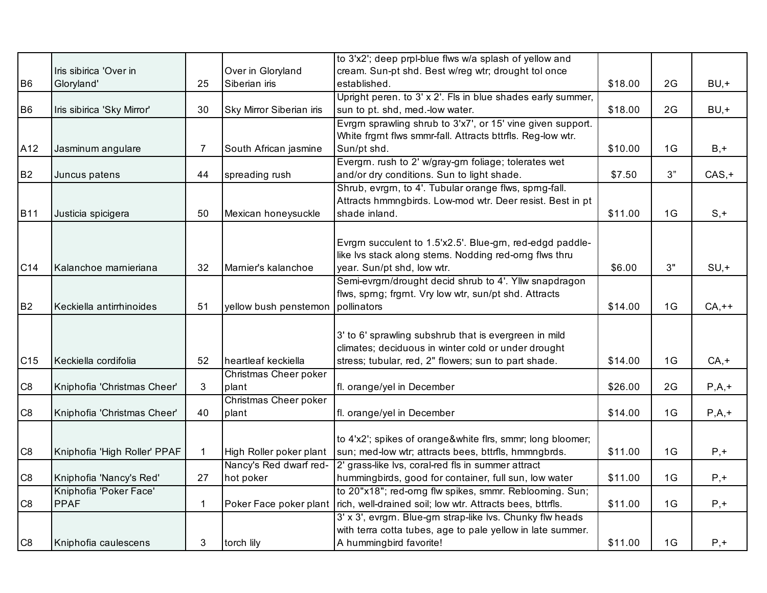|                |                              |    |                          | to 3'x2'; deep prpl-blue flws w/a splash of yellow and      |         |      |          |
|----------------|------------------------------|----|--------------------------|-------------------------------------------------------------|---------|------|----------|
|                | Iris sibirica 'Over in       |    | Over in Gloryland        | cream. Sun-pt shd. Best w/reg wtr; drought tol once         |         |      |          |
| B <sub>6</sub> | Gloryland'                   | 25 | Siberian iris            | established.                                                | \$18.00 | 2G   | $BU,+$   |
|                |                              |    |                          | Upright peren. to 3' x 2'. Fls in blue shades early summer, |         |      |          |
| <b>B6</b>      | Iris sibirica 'Sky Mirror'   | 30 | Sky Mirror Siberian iris | sun to pt. shd, med.-low water.                             | \$18.00 | 2G   | $BU, +$  |
|                |                              |    |                          | Evrgrn sprawling shrub to 3'x7', or 15' vine given support. |         |      |          |
|                |                              |    |                          | White frgmt flws smmr-fall. Attracts bttrfls. Reg-low wtr.  |         |      |          |
| A12            | Jasminum angulare            | 7  | South African jasmine    | Sun/pt shd.                                                 | \$10.00 | 1G   | $B, +$   |
|                |                              |    |                          | Evergrn. rush to 2' w/gray-grn foliage; tolerates wet       |         |      |          |
| <b>B2</b>      | Juncus patens                | 44 | spreading rush           | and/or dry conditions. Sun to light shade.                  | \$7.50  | $3"$ | $CAS, +$ |
|                |                              |    |                          | Shrub, evrgm, to 4'. Tubular orange flws, sprng-fall.       |         |      |          |
|                |                              |    |                          | Attracts hmmngbirds. Low-mod wtr. Deer resist. Best in pt   |         |      |          |
| <b>B11</b>     | Justicia spicigera           | 50 | Mexican honeysuckle      | shade inland.                                               | \$11.00 | 1G   | $S, +$   |
|                |                              |    |                          |                                                             |         |      |          |
|                |                              |    |                          | Evrgm succulent to 1.5'x2.5'. Blue-gm, red-edgd paddle-     |         |      |          |
|                |                              |    |                          | like Ivs stack along stems. Nodding red-orng flws thru      |         |      |          |
| C14            | Kalanchoe marnieriana        | 32 | Marnier's kalanchoe      | year. Sun/pt shd, low wtr.                                  | \$6.00  | 3"   | $SU, +$  |
|                |                              |    |                          | Semi-evrgrn/drought decid shrub to 4'. Yllw snapdragon      |         |      |          |
|                |                              |    |                          | flws, sprng; frgmt. Vry low wtr, sun/pt shd. Attracts       |         |      |          |
| B <sub>2</sub> | Keckiella antirrhinoides     | 51 | yellow bush penstemon    | pollinators                                                 | \$14.00 | 1G   | $CA,++$  |
|                |                              |    |                          |                                                             |         |      |          |
|                |                              |    |                          | 3' to 6' sprawling subshrub that is evergreen in mild       |         |      |          |
|                |                              |    |                          | climates; deciduous in winter cold or under drought         |         |      |          |
| C15            | Keckiella cordifolia         | 52 | heartleaf keckiella      | stress; tubular, red, 2" flowers; sun to part shade.        | \$14.00 | 1G   | $CA, +$  |
|                |                              |    | Christmas Cheer poker    |                                                             |         |      |          |
| C8             | Kniphofia 'Christmas Cheer'  | 3  | plant                    | fl. orange/yel in December                                  | \$26.00 | 2G   | $P,A,+$  |
|                |                              |    | Christmas Cheer poker    |                                                             |         |      |          |
| C <sub>8</sub> | Kniphofia 'Christmas Cheer'  | 40 | plant                    | fl. orange/yel in December                                  | \$14.00 | 1G   | $P,A,+$  |
|                |                              |    |                          |                                                             |         |      |          |
|                |                              |    |                          | to 4'x2'; spikes of orange&white firs, smmr; long bloomer;  |         |      |          |
| C <sub>8</sub> | Kniphofia 'High Roller' PPAF | 1  | High Roller poker plant  | sun; med-low wtr; attracts bees, bttrfls, hmmngbrds.        | \$11.00 | 1G   | $P, +$   |
|                |                              |    | Nancy's Red dwarf red-   | 2' grass-like lvs, coral-red fls in summer attract          |         |      |          |
| C <sub>8</sub> | Kniphofia 'Nancy's Red'      | 27 | hot poker                | hummingbirds, good for container, full sun, low water       | \$11.00 | 1G   | $P, +$   |
|                | Kniphofia 'Poker Face'       |    |                          | to 20"x18"; red-orng flw spikes, smmr. Reblooming. Sun;     |         |      |          |
| C <sub>8</sub> | <b>PPAF</b>                  | 1  | Poker Face poker plant   | rich, well-drained soil; low wtr. Attracts bees, bttrfls.   | \$11.00 | 1G   | $P, +$   |
|                |                              |    |                          | 3' x 3', evrgm. Blue-gm strap-like lvs. Chunky flw heads    |         |      |          |
|                |                              |    |                          | with terra cotta tubes, age to pale yellow in late summer.  |         |      |          |
| C <sub>8</sub> | Kniphofia caulescens         | 3  | torch lily               | A hummingbird favorite!                                     | \$11.00 | 1G   | $P, +$   |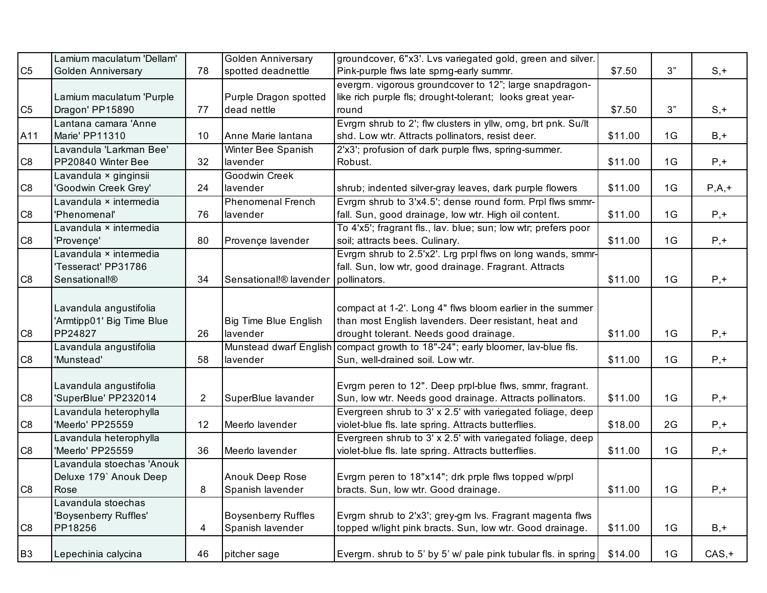|                | Lamium maculatum 'Dellam' |                | <b>Golden Anniversary</b>    | groundcover, 6"x3'. Lvs variegated gold, green and silver.     |         |    |          |
|----------------|---------------------------|----------------|------------------------------|----------------------------------------------------------------|---------|----|----------|
| C <sub>5</sub> | <b>Golden Anniversary</b> | 78             | spotted deadnettle           | Pink-purple flws late sprng-early summr.                       | \$7.50  | 3" | $S, +$   |
|                |                           |                |                              | evergm. vigorous groundcover to 12"; large snapdragon-         |         |    |          |
|                | Lamium maculatum 'Purple  |                | Purple Dragon spotted        | like rich purple fls; drought-tolerant; looks great year-      |         |    |          |
| C <sub>5</sub> | Dragon' PP15890           | 77             | dead nettle                  | round                                                          | \$7.50  | 3" | $S, +$   |
|                | Lantana camara 'Anne      |                |                              | Evrgm shrub to 2'; flw clusters in yllw, orng, brt pnk. Su/lt  |         |    |          |
| A11            | Marie' PP11310            | 10             | Anne Marie lantana           | shd. Low wtr. Attracts pollinators, resist deer.               | \$11.00 | 1G | $B, +$   |
|                | Lavandula 'Larkman Bee'   |                | Winter Bee Spanish           | 2'x3'; profusion of dark purple flws, spring-summer.           |         |    |          |
| C <sub>8</sub> | PP20840 Winter Bee        | 32             | lavender                     | Robust.                                                        | \$11.00 | 1G | $P, +$   |
|                | Lavandula × ginginsii     |                | Goodwin Creek                |                                                                |         |    |          |
| C8             | 'Goodwin Creek Grey'      | 24             | lavender                     | shrub; indented silver-gray leaves, dark purple flowers        | \$11.00 | 1G | $P,A,+$  |
|                | Lavandula × intermedia    |                | <b>Phenomenal French</b>     | Evrgm shrub to 3'x4.5'; dense round form. Prpl flws smmr-      |         |    |          |
| C <sub>8</sub> | 'Phenomenal'              | 76             | lavender                     | fall. Sun, good drainage, low wtr. High oil content.           | \$11.00 | 1G | $P, +$   |
|                | Lavandula × intermedia    |                |                              | To 4'x5'; fragrant fls., lav. blue; sun; low wtr; prefers poor |         |    |          |
| C <sub>8</sub> | 'Provence'                | 80             | Provençe lavender            | soil; attracts bees. Culinary.                                 | \$11.00 | 1G | $P, +$   |
|                | Lavandula × intermedia    |                |                              | Evrgm shrub to 2.5'x2'. Lrg prpl flws on long wands, smmr-     |         |    |          |
|                | 'Tesseract' PP31786       |                |                              | fall. Sun, low wtr, good drainage. Fragrant. Attracts          |         |    |          |
| C <sub>8</sub> | Sensational!®             | 34             | Sensational!® lavender       | pollinators.                                                   | \$11.00 | 1G | $P, +$   |
|                |                           |                |                              |                                                                |         |    |          |
|                | Lavandula angustifolia    |                |                              | compact at 1-2'. Long 4" flws bloom earlier in the summer      |         |    |          |
|                | 'Armtipp01' Big Time Blue |                | <b>Big Time Blue English</b> | than most English lavenders. Deer resistant, heat and          |         |    |          |
| C <sub>8</sub> | PP24827                   | 26             | lavender                     | drought tolerant. Needs good drainage.                         | \$11.00 | 1G | $P, +$   |
|                | Lavandula angustifolia    |                | Munstead dwarf English       | compact growth to 18"-24"; early bloomer, lav-blue fls.        |         |    |          |
| C <sub>8</sub> | 'Munstead'                | 58             | lavender                     | Sun, well-drained soil. Low wtr.                               | \$11.00 | 1G | $P, +$   |
|                |                           |                |                              |                                                                |         |    |          |
|                | Lavandula angustifolia    |                |                              | Evrgrn peren to 12". Deep prpl-blue flws, smmr, fragrant.      |         |    |          |
| C <sub>8</sub> | 'SuperBlue' PP232014      | $\overline{2}$ | SuperBlue lavander           | Sun, low wtr. Needs good drainage. Attracts pollinators.       | \$11.00 | 1G | $P, +$   |
|                | Lavandula heterophylla    |                |                              | Evergreen shrub to 3' x 2.5' with variegated foliage, deep     |         |    |          |
| C <sub>8</sub> | 'Meerlo' PP25559          | 12             | Meerlo lavender              | violet-blue fls. late spring. Attracts butterflies.            | \$18.00 | 2G | $P, +$   |
|                | Lavandula heterophylla    |                |                              | Evergreen shrub to 3' x 2.5' with variegated foliage, deep     |         |    |          |
| C <sub>8</sub> | 'Meerlo' PP25559          | 36             | Meerlo lavender              | violet-blue fls. late spring. Attracts butterflies.            | \$11.00 | 1G | $P, +$   |
|                | Lavandula stoechas 'Anouk |                |                              |                                                                |         |    |          |
|                | Deluxe 179' Anouk Deep    |                | Anouk Deep Rose              | Evrgm peren to 18"x14"; drk prple flws topped w/prpl           |         |    |          |
| C <sub>8</sub> | Rose                      | 8              | Spanish lavender             | bracts. Sun, low wtr. Good drainage.                           | \$11.00 | 1G | $P, +$   |
|                | Lavandula stoechas        |                |                              |                                                                |         |    |          |
|                | 'Boysenberry Ruffles'     |                | <b>Boysenberry Ruffles</b>   | Evrgm shrub to 2'x3'; grey-grn lvs. Fragrant magenta flws      |         |    |          |
| C <sub>8</sub> | PP18256                   | 4              | Spanish lavender             | topped w/light pink bracts. Sun, low wtr. Good drainage.       | \$11.00 | 1G | $B, +$   |
|                |                           |                |                              |                                                                |         |    |          |
| B <sub>3</sub> | Lepechinia calycina       | 46             | pitcher sage                 | Evergm. shrub to 5' by 5' w/ pale pink tubular fls. in spring  | \$14.00 | 1G | $CAS, +$ |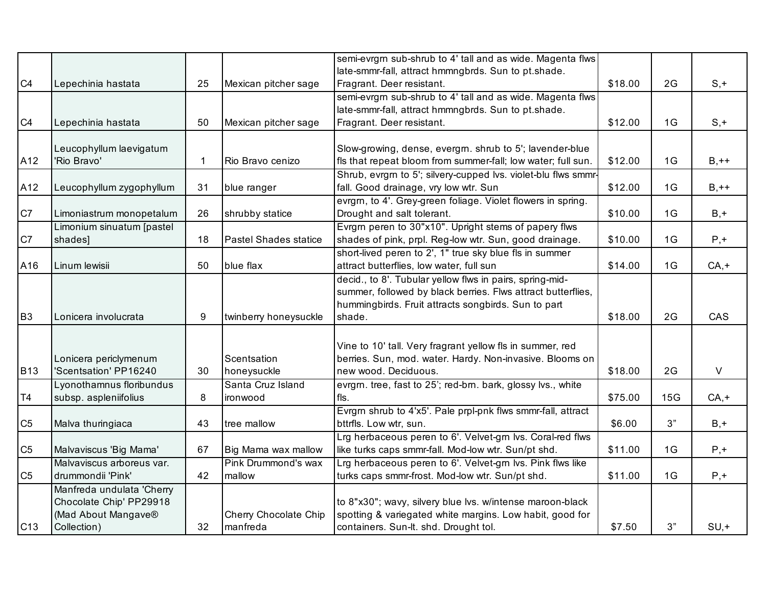|                 |                           |    |                              | semi-evrgrn sub-shrub to 4' tall and as wide. Magenta flws     |         |     |         |
|-----------------|---------------------------|----|------------------------------|----------------------------------------------------------------|---------|-----|---------|
|                 |                           |    |                              | late-smmr-fall, attract hmmngbrds. Sun to pt.shade.            |         |     |         |
| C4              | Lepechinia hastata        | 25 | Mexican pitcher sage         | Fragrant. Deer resistant.                                      | \$18.00 | 2G  | $S, +$  |
|                 |                           |    |                              | semi-evrgrn sub-shrub to 4' tall and as wide. Magenta flws     |         |     |         |
|                 |                           |    |                              | late-smmr-fall, attract hmmngbrds. Sun to pt.shade.            |         |     |         |
| C4              | Lepechinia hastata        | 50 | Mexican pitcher sage         | Fragrant. Deer resistant.                                      | \$12.00 | 1G  | $S, +$  |
|                 |                           |    |                              |                                                                |         |     |         |
|                 | Leucophyllum laevigatum   |    |                              | Slow-growing, dense, evergrn. shrub to 5'; lavender-blue       |         |     |         |
| A12             | 'Rio Bravo'               |    | Rio Bravo cenizo             | fls that repeat bloom from summer-fall; low water; full sun.   | \$12.00 | 1G  | $B,++$  |
|                 |                           |    |                              | Shrub, evrgrn to 5'; silvery-cupped lvs. violet-blu flws smmr- |         |     |         |
| A12             | Leucophyllum zygophyllum  | 31 | blue ranger                  | fall. Good drainage, vry low wtr. Sun                          | \$12.00 | 1G  | $B,++$  |
|                 |                           |    |                              | evrgrn, to 4'. Grey-green foliage. Violet flowers in spring.   |         |     |         |
| C7              | Limoniastrum monopetalum  | 26 | shrubby statice              | Drought and salt tolerant.                                     | \$10.00 | 1G  | $B, +$  |
|                 | Limonium sinuatum [pastel |    |                              | Evrgm peren to 30"x10". Upright stems of papery flws           |         |     |         |
| C7              | shades]                   | 18 | <b>Pastel Shades statice</b> | shades of pink, prpl. Reg-low wtr. Sun, good drainage.         | \$10.00 | 1G  | $P, +$  |
|                 |                           |    |                              | short-lived peren to 2', 1" true sky blue fls in summer        |         |     |         |
| A16             | Linum lewisii             | 50 | blue flax                    | attract butterflies, low water, full sun                       | \$14.00 | 1G  | $CA, +$ |
|                 |                           |    |                              | decid., to 8'. Tubular yellow flws in pairs, spring-mid-       |         |     |         |
|                 |                           |    |                              | summer, followed by black berries. Flws attract butterflies,   |         |     |         |
|                 |                           |    |                              | hummingbirds. Fruit attracts songbirds. Sun to part            |         |     |         |
| B <sub>3</sub>  | Lonicera involucrata      | 9  | twinberry honeysuckle        | shade.                                                         | \$18.00 | 2G  | CAS     |
|                 |                           |    |                              |                                                                |         |     |         |
|                 |                           |    |                              | Vine to 10' tall. Very fragrant yellow fls in summer, red      |         |     |         |
|                 | Lonicera periclymenum     |    | Scentsation                  | berries. Sun, mod. water. Hardy. Non-invasive. Blooms on       |         |     |         |
| <b>B13</b>      | 'Scentsation' PP16240     | 30 | honeysuckle                  | new wood. Deciduous.                                           | \$18.00 | 2G  | $\vee$  |
|                 | Lyonothamnus floribundus  |    | Santa Cruz Island            | evrgm. tree, fast to 25'; red-brn. bark, glossy lvs., white    |         |     |         |
| T4              | subsp. aspleniifolius     | 8  | ironwood                     | fls.                                                           | \$75.00 | 15G | $CA, +$ |
|                 |                           |    |                              | Evrgrn shrub to 4'x5'. Pale prpl-pnk flws smmr-fall, attract   |         |     |         |
| C <sub>5</sub>  | Malva thuringiaca         | 43 | tree mallow                  | bttrfls. Low wtr, sun.                                         | \$6.00  | 3"  | $B, +$  |
|                 |                           |    |                              | Lrg herbaceous peren to 6'. Velvet-grn lvs. Coral-red flws     |         |     |         |
| C <sub>5</sub>  | Malvaviscus 'Big Mama'    | 67 | Big Mama wax mallow          | like turks caps smmr-fall. Mod-low wtr. Sun/pt shd.            | \$11.00 | 1G  | $P, +$  |
|                 | Malvaviscus arboreus var. |    | Pink Drummond's wax          | Lrg herbaceous peren to 6'. Velvet-grn lvs. Pink flws like     |         |     |         |
| C <sub>5</sub>  | drummondii 'Pink'         | 42 | mallow                       | turks caps smmr-frost. Mod-low wtr. Sun/pt shd.                | \$11.00 | 1G  | $P, +$  |
|                 | Manfreda undulata 'Cherry |    |                              |                                                                |         |     |         |
|                 | Chocolate Chip' PP29918   |    |                              | to 8"x30"; wavy, silvery blue lvs. w/intense maroon-black      |         |     |         |
|                 | (Mad About Mangave®       |    | Cherry Chocolate Chip        | spotting & variegated white margins. Low habit, good for       |         |     |         |
| C <sub>13</sub> | Collection)               | 32 | manfreda                     | containers. Sun-lt. shd. Drought tol.                          | \$7.50  | 3"  | $SU, +$ |
|                 |                           |    |                              |                                                                |         |     |         |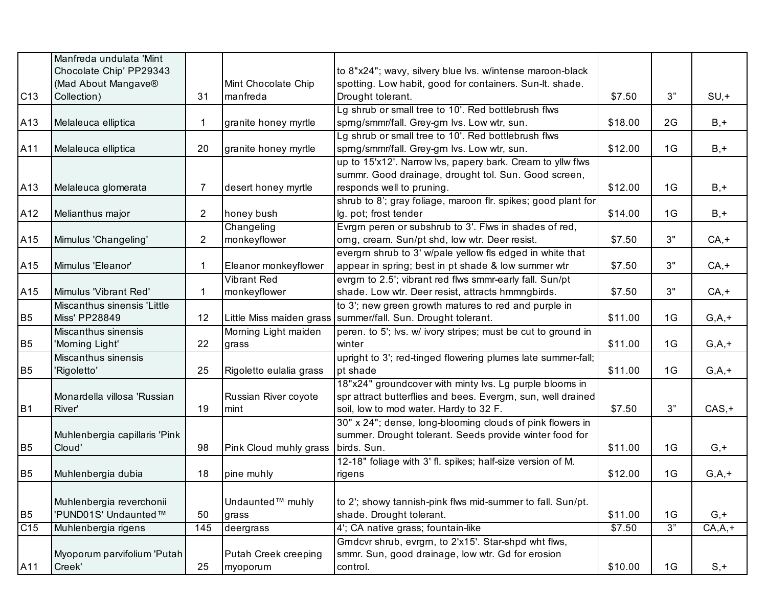|                | Manfreda undulata 'Mint<br>Chocolate Chip' PP29343 |     |                          | to 8"x24"; wavy, silvery blue lvs. w/intense maroon-black               |         |    |            |
|----------------|----------------------------------------------------|-----|--------------------------|-------------------------------------------------------------------------|---------|----|------------|
|                | (Mad About Mangave®                                |     | Mint Chocolate Chip      | spotting. Low habit, good for containers. Sun-It. shade.                |         |    |            |
| C13            | Collection)                                        | 31  | manfreda                 | Drought tolerant.                                                       | \$7.50  | 3" | $SU, +$    |
|                |                                                    |     |                          | Lg shrub or small tree to 10'. Red bottlebrush flws                     |         |    |            |
| A13            | Melaleuca elliptica                                |     | granite honey myrtle     | sprng/smmr/fall. Grey-grn lvs. Low wtr, sun.                            | \$18.00 | 2G | $B, +$     |
|                |                                                    |     |                          | Lg shrub or small tree to 10'. Red bottlebrush flws                     |         |    |            |
| A11            | Melaleuca elliptica                                | 20  | granite honey myrtle     | sprng/smmr/fall. Grey-grn lvs. Low wtr, sun.                            | \$12.00 | 1G | $B, +$     |
|                |                                                    |     |                          | up to 15'x12'. Narrow lvs, papery bark. Cream to yllw flws              |         |    |            |
|                |                                                    |     |                          | summr. Good drainage, drought tol. Sun. Good screen,                    |         |    |            |
| A13            | Melaleuca glomerata                                | 7   | desert honey myrtle      | responds well to pruning.                                               | \$12.00 | 1G | $B, +$     |
|                |                                                    |     |                          | shrub to 8'; gray foliage, maroon flr. spikes; good plant for           |         |    |            |
| A12            | Melianthus major                                   | 2   | honey bush               | lg. pot; frost tender                                                   | \$14.00 | 1G | $B, +$     |
|                |                                                    |     | Changeling               | Evrgm peren or subshrub to 3'. Flws in shades of red,                   |         |    |            |
| A15            | Mimulus 'Changeling'                               | 2   | monkeyflower             | orng, cream. Sun/pt shd, low wtr. Deer resist.                          | \$7.50  | 3" | $CA, +$    |
|                |                                                    |     |                          | evergm shrub to 3' w/pale yellow fls edged in white that                |         |    |            |
| A15            | Mimulus 'Eleanor'                                  | 1   | Eleanor monkeyflower     | appear in spring; best in pt shade & low summer wtr                     | \$7.50  | 3" | $CA, +$    |
|                |                                                    |     | <b>Vibrant Red</b>       | evrgm to 2.5'; vibrant red flws smmr-early fall. Sun/pt                 |         |    |            |
| A15            | Mimulus 'Vibrant Red'                              | 1   | monkeyflower             | shade. Low wtr. Deer resist, attracts hmmngbirds.                       | \$7.50  | 3" | $CA, +$    |
|                | Miscanthus sinensis 'Little                        |     |                          | to 3'; new green growth matures to red and purple in                    |         |    |            |
| B <sub>5</sub> | <b>Miss' PP28849</b>                               | 12  | Little Miss maiden grass | summer/fall. Sun. Drought tolerant.                                     | \$11.00 | 1G | $G, A, +$  |
| B <sub>5</sub> | Miscanthus sinensis<br>'Morning Light'             | 22  | Morning Light maiden     | peren. to 5'; lvs. w/ ivory stripes; must be cut to ground in<br>winter | \$11.00 | 1G | $G, A, +$  |
|                | Miscanthus sinensis                                |     | grass                    | upright to 3'; red-tinged flowering plumes late summer-fall;            |         |    |            |
| B <sub>5</sub> | 'Rigoletto'                                        | 25  | Rigoletto eulalia grass  | pt shade                                                                | \$11.00 | 1G | $G, A, +$  |
|                |                                                    |     |                          | 18"x24" groundcover with minty lvs. Lg purple blooms in                 |         |    |            |
|                | Monardella villosa 'Russian                        |     | Russian River coyote     | spr attract butterflies and bees. Evergrn, sun, well drained            |         |    |            |
| B <sub>1</sub> | River'                                             | 19  | mint                     | soil, low to mod water. Hardy to 32 F.                                  | \$7.50  | 3" | $CAS, +$   |
|                |                                                    |     |                          | 30" x 24"; dense, long-blooming clouds of pink flowers in               |         |    |            |
|                | Muhlenbergia capillaris 'Pink                      |     |                          | summer. Drought tolerant. Seeds provide winter food for                 |         |    |            |
| <b>B5</b>      | Cloud'                                             | 98  | Pink Cloud muhly grass   | birds. Sun.                                                             | \$11.00 | 1G | $G, +$     |
|                |                                                    |     |                          | 12-18" foliage with 3' fl. spikes; half-size version of M.              |         |    |            |
| <b>B5</b>      | Muhlenbergia dubia                                 | 18  | pine muhly               | rigens                                                                  | \$12.00 | 1G | $G, A, +$  |
|                |                                                    |     |                          |                                                                         |         |    |            |
|                | Muhlenbergia reverchonii                           |     | Undaunted™ muhly         | to 2'; showy tannish-pink flws mid-summer to fall. Sun/pt.              |         |    |            |
| B <sub>5</sub> | 'PUND01S' Undaunted™                               | 50  | grass                    | shade. Drought tolerant.                                                | \$11.00 | 1G | $G, +$     |
| C15            | Muhlenbergia rigens                                | 145 | deergrass                | 4'; CA native grass; fountain-like                                      | \$7.50  | 3" | $CA, A, +$ |
|                |                                                    |     |                          | Grndcvr shrub, evrgrn, to 2'x15'. Star-shpd wht flws,                   |         |    |            |
|                | Myoporum parvifolium 'Putah                        |     | Putah Creek creeping     | smmr. Sun, good drainage, low wtr. Gd for erosion                       |         |    |            |
| A11            | Creek'                                             | 25  | myoporum                 | control.                                                                | \$10.00 | 1G | $S, +$     |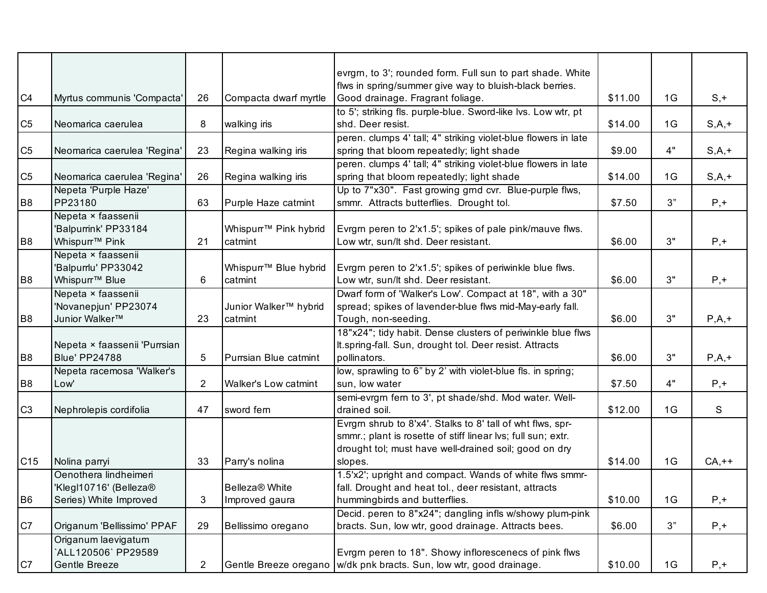|                 |                                            |                |                                   | evrgrn, to 3'; rounded form. Full sun to part shade. White            |         |    |           |
|-----------------|--------------------------------------------|----------------|-----------------------------------|-----------------------------------------------------------------------|---------|----|-----------|
|                 |                                            |                |                                   | flws in spring/summer give way to bluish-black berries.               |         |    |           |
| C <sub>4</sub>  | Myrtus communis 'Compacta'                 | 26             | Compacta dwarf myrtle             | Good drainage. Fragrant foliage.                                      | \$11.00 | 1G | $S, +$    |
|                 |                                            |                |                                   | to 5'; striking fls. purple-blue. Sword-like Ivs. Low wtr, pt         |         |    |           |
| C <sub>5</sub>  | Neomarica caerulea                         | 8              | walking iris                      | shd. Deer resist.                                                     | \$14.00 | 1G | $S, A, +$ |
|                 |                                            |                |                                   | peren. clumps 4' tall; 4" striking violet-blue flowers in late        |         |    |           |
| C <sub>5</sub>  | Neomarica caerulea 'Regina'                | 23             | Regina walking iris               | spring that bloom repeatedly; light shade                             | \$9.00  | 4" | $S, A, +$ |
|                 |                                            |                |                                   | peren. clumps 4' tall; 4" striking violet-blue flowers in late        |         |    |           |
| C <sub>5</sub>  | Neomarica caerulea 'Regina'                | 26             | Regina walking iris               | spring that bloom repeatedly; light shade                             | \$14.00 | 1G | $S, A, +$ |
|                 | Nepeta 'Purple Haze'                       |                |                                   | Up to 7"x30". Fast growing grnd cvr. Blue-purple flws,                |         |    |           |
| B8              | PP23180                                    | 63             | Purple Haze catmint               | smmr. Attracts butterflies. Drought tol.                              | \$7.50  | 3" | $P, +$    |
|                 | Nepeta × faassenii                         |                |                                   |                                                                       |         |    |           |
|                 | 'Balpurrink' PP33184                       |                | Whispurr <sup>™</sup> Pink hybrid | Evrgm peren to 2'x1.5'; spikes of pale pink/mauve flws.               |         |    |           |
| B <sub>8</sub>  | Whispurr <sup>™</sup> Pink                 | 21             | catmint                           | Low wtr, sun/lt shd. Deer resistant.                                  | \$6.00  | 3" | $P, +$    |
|                 | Nepeta × faassenii                         |                |                                   |                                                                       |         |    |           |
|                 | 'Balpurrlu' PP33042                        |                | Whispurr <sup>™</sup> Blue hybrid | Evrgrn peren to 2'x1.5'; spikes of periwinkle blue flws.              |         |    |           |
| B <sub>8</sub>  | Whispurr <sup>™</sup> Blue                 | 6              | catmint                           | Low wtr, sun/lt shd. Deer resistant.                                  | \$6.00  | 3" | $P, +$    |
|                 | Nepeta × faassenii                         |                |                                   | Dwarf form of 'Walker's Low'. Compact at 18", with a 30"              |         |    |           |
|                 | 'Novanepjun' PP23074                       |                | Junior Walker™ hybrid             | spread; spikes of lavender-blue flws mid-May-early fall.              |         |    |           |
| B <sub>8</sub>  | Junior Walker <sup>™</sup>                 | 23             | catmint                           | Tough, non-seeding.                                                   | \$6.00  | 3" | $P,A,+$   |
|                 |                                            |                |                                   | 18"x24"; tidy habit. Dense clusters of periwinkle blue flws           |         |    |           |
|                 | Nepeta × faassenii 'Purrsian               |                |                                   | It.spring-fall. Sun, drought tol. Deer resist. Attracts               |         |    |           |
| B <sub>8</sub>  | <b>Blue' PP24788</b>                       | 5              | Purrsian Blue catmint             | pollinators.                                                          | \$6.00  | 3" | $P,A,+$   |
|                 | Nepeta racemosa 'Walker's                  |                |                                   | low, sprawling to 6" by 2' with violet-blue fls. in spring;           |         |    |           |
| B <sub>8</sub>  | Low'                                       | $\overline{2}$ | Walker's Low catmint              | sun, low water                                                        | \$7.50  | 4" | $P, +$    |
|                 |                                            |                |                                   | semi-evrgrn fern to 3', pt shade/shd. Mod water. Well-                |         |    |           |
| C <sub>3</sub>  | Nephrolepis cordifolia                     | 47             | sword fern                        | drained soil.                                                         | \$12.00 | 1G | S         |
|                 |                                            |                |                                   | Evrgm shrub to 8'x4'. Stalks to 8' tall of wht flws, spr-             |         |    |           |
|                 |                                            |                |                                   | smmr.; plant is rosette of stiff linear lvs; full sun; extr.          |         |    |           |
|                 |                                            |                |                                   | drought tol; must have well-drained soil; good on dry                 |         |    |           |
| C <sub>15</sub> | Nolina parryi                              | 33             | Parry's nolina                    | slopes.                                                               | \$14.00 | 1G | $CA,++$   |
|                 | Oenothera lindheimeri                      |                |                                   | 1.5'x2'; upright and compact. Wands of white flws smmr-               |         |    |           |
|                 | Klegl10716' (Belleza®                      |                | Belleza <sup>®</sup> White        | fall. Drought and heat tol., deer resistant, attracts                 |         |    |           |
| B <sub>6</sub>  | Series) White Improved                     | 3              | Improved gaura                    | hummingbirds and butterflies.                                         | \$10.00 | 1G | $P, +$    |
|                 |                                            |                |                                   | Decid. peren to 8"x24"; dangling infls w/showy plum-pink              |         |    |           |
| C7              | Origanum 'Bellissimo' PPAF                 | 29             | Bellissimo oregano                | bracts. Sun, low wtr, good drainage. Attracts bees.                   | \$6.00  | 3" | $P, +$    |
|                 | Origanum laevigatum<br>ALL120506' PP29589' |                |                                   |                                                                       |         |    |           |
|                 | Gentle Breeze                              |                |                                   | Evrgm peren to 18". Showy inflorescenecs of pink flws                 |         |    |           |
| C7              |                                            | $\overline{2}$ |                                   | Gentle Breeze oregano   w/dk pnk bracts. Sun, low wtr, good drainage. | \$10.00 | 1G | $P, +$    |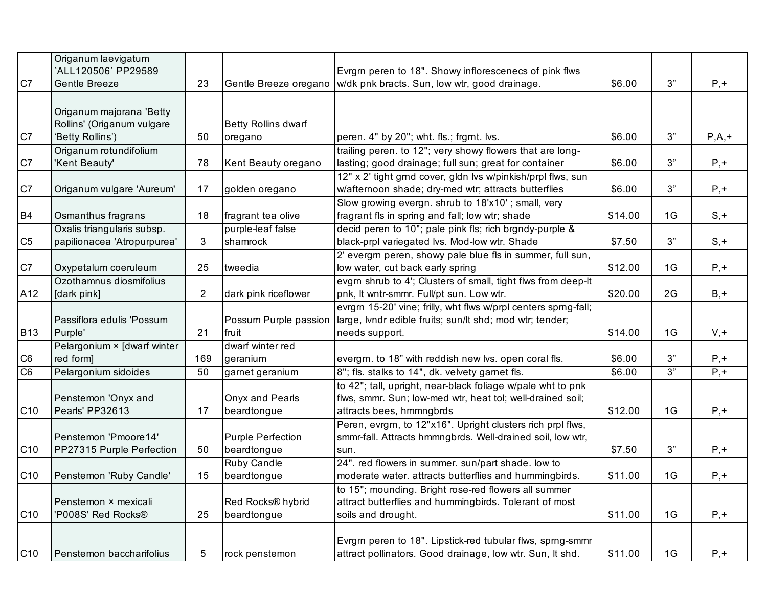|                 | Origanum laevigatum<br>`ALL120506` PP29589 |                |                               |                                                                                                                                |         |    |         |
|-----------------|--------------------------------------------|----------------|-------------------------------|--------------------------------------------------------------------------------------------------------------------------------|---------|----|---------|
| C7              | Gentle Breeze                              | 23             |                               | Evrgm peren to 18". Showy inflorescenecs of pink flws<br>Gentle Breeze oregano   w/dk pnk bracts. Sun, low wtr, good drainage. | \$6.00  | 3" | $P, +$  |
|                 |                                            |                |                               |                                                                                                                                |         |    |         |
|                 | Origanum majorana 'Betty                   |                |                               |                                                                                                                                |         |    |         |
|                 | Rollins' (Origanum vulgare                 |                | <b>Betty Rollins dwarf</b>    |                                                                                                                                |         |    |         |
| C7              | 'Betty Rollins')                           | 50             | oregano                       | peren. 4" by 20"; wht. fls.; frgrnt. lvs.                                                                                      | \$6.00  | 3" | $P,A,+$ |
|                 | Origanum rotundifolium                     |                |                               | trailing peren. to 12"; very showy flowers that are long-                                                                      |         |    |         |
| C7              | 'Kent Beauty'                              | 78             | Kent Beauty oregano           | lasting; good drainage; full sun; great for container                                                                          | \$6.00  | 3" | $P, +$  |
|                 |                                            |                |                               | 12" x 2' tight gmd cover, gldn lvs w/pinkish/prpl flws, sun                                                                    |         |    |         |
| C7              | Origanum vulgare 'Aureum'                  | 17             | golden oregano                | w/afternoon shade; dry-med wtr; attracts butterflies                                                                           | \$6.00  | 3" | $P, +$  |
|                 |                                            |                |                               | Slow growing evergn. shrub to 18'x10'; small, very                                                                             |         |    |         |
| <b>B4</b>       | Osmanthus fragrans                         | 18             | fragrant tea olive            | fragrant fls in spring and fall; low wtr; shade                                                                                | \$14.00 | 1G | $S, +$  |
|                 | Oxalis triangularis subsp.                 |                | purple-leaf false             | decid peren to 10"; pale pink fls; rich brgndy-purple &                                                                        |         |    |         |
| C <sub>5</sub>  | papilionacea 'Atropurpurea'                | 3              | shamrock                      | black-prpl variegated lvs. Mod-low wtr. Shade                                                                                  | \$7.50  | 3" | $S, +$  |
|                 |                                            |                |                               | 2' evergrn peren, showy pale blue fls in summer, full sun,                                                                     |         |    |         |
| C7              | Oxypetalum coeruleum                       | 25             | tweedia                       | low water, cut back early spring                                                                                               | \$12.00 | 1G | $P, +$  |
|                 | Ozothamnus diosmifolius                    |                |                               | evgrn shrub to 4'; Clusters of small, tight flws from deep-lt                                                                  |         |    |         |
| A12             | [dark pink]                                | $\overline{2}$ | dark pink riceflower          | pnk, It wntr-smmr. Full/pt sun. Low wtr.                                                                                       | \$20.00 | 2G | $B, +$  |
|                 |                                            |                |                               | evrgrn 15-20' vine; frilly, wht flws w/prpl centers sprng-fall;                                                                |         |    |         |
|                 | Passiflora edulis 'Possum                  |                | Possum Purple passion         | large, lvndr edible fruits; sun/lt shd; mod wtr; tender;                                                                       |         |    |         |
| <b>B13</b>      | Purple'                                    | 21             | fruit                         | needs support.                                                                                                                 | \$14.00 | 1G | $V, +$  |
|                 | Pelargonium × [dwarf winter                |                | dwarf winter red              |                                                                                                                                |         |    |         |
| C <sub>6</sub>  | red form]                                  | 169            | geranium                      | evergm. to 18" with reddish new lvs. open coral fls.                                                                           | \$6.00  | 3" | $P, +$  |
| C <sub>6</sub>  | Pelargonium sidoides                       | 50             | garnet geranium               | 8"; fls. stalks to 14", dk. velvety gamet fls.                                                                                 | \$6.00  | 3" | $P,+$   |
|                 |                                            |                |                               | to 42"; tall, upright, near-black foliage w/pale wht to pnk                                                                    |         |    |         |
|                 | Penstemon 'Onyx and                        |                | Onyx and Pearls               | flws, smmr. Sun; low-med wtr, heat tol; well-drained soil;                                                                     |         |    |         |
| C <sub>10</sub> | Pearls' PP32613                            | 17             | beardtongue                   | attracts bees, hmmngbrds                                                                                                       | \$12.00 | 1G | $P, +$  |
|                 |                                            |                |                               | Peren, evrgm, to 12"x16". Upright clusters rich prpl flws,                                                                     |         |    |         |
|                 | Penstemon 'Pmoore14'                       |                | <b>Purple Perfection</b>      | smmr-fall. Attracts hmmngbrds. Well-drained soil, low wtr,                                                                     |         |    |         |
| C <sub>10</sub> | PP27315 Purple Perfection                  | 50             | beardtongue                   | sun.                                                                                                                           | \$7.50  | 3" | $P, +$  |
|                 |                                            |                | Ruby Candle                   | 24". red flowers in summer. sun/part shade. low to                                                                             |         |    |         |
| C <sub>10</sub> | Penstemon 'Ruby Candle'                    | 15             | beardtongue                   | moderate water. attracts butterflies and hummingbirds.                                                                         | \$11.00 | 1G | $P, +$  |
|                 |                                            |                |                               | to 15"; mounding. Bright rose-red flowers all summer                                                                           |         |    |         |
|                 | Penstemon × mexicali                       |                | Red Rocks <sup>®</sup> hybrid | attract butterflies and hummingbirds. Tolerant of most                                                                         |         |    |         |
| C <sub>10</sub> | 'P008S' Red Rocks®                         | 25             | beardtongue                   | soils and drought.                                                                                                             | \$11.00 | 1G | $P, +$  |
|                 |                                            |                |                               |                                                                                                                                |         |    |         |
| C <sub>10</sub> | Penstemon baccharifolius                   | 5              | rock penstemon                | Evrgrn peren to 18". Lipstick-red tubular flws, sprng-smmr<br>attract pollinators. Good drainage, low wtr. Sun, It shd.        | \$11.00 | 1G | $P, +$  |
|                 |                                            |                |                               |                                                                                                                                |         |    |         |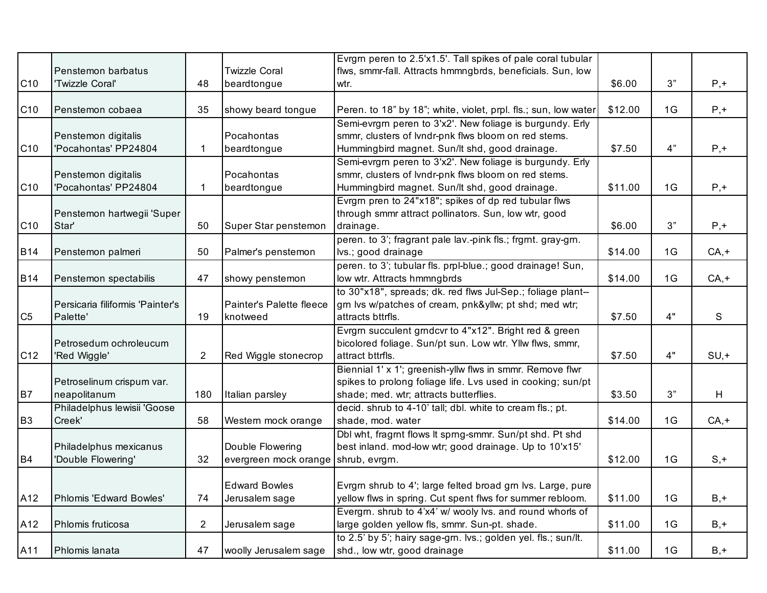|                 |                                  |                |                          | Evrgm peren to 2.5'x1.5'. Tall spikes of pale coral tubular     |         |    |         |
|-----------------|----------------------------------|----------------|--------------------------|-----------------------------------------------------------------|---------|----|---------|
|                 | Penstemon barbatus               |                | <b>Twizzle Coral</b>     | flws, smmr-fall. Attracts hmmngbrds, beneficials. Sun, low      |         |    |         |
| C <sub>10</sub> | 'Twizzle Coral'                  | 48             | beardtongue              | wtr.                                                            | \$6.00  | 3" | $P, +$  |
|                 |                                  |                |                          |                                                                 |         |    |         |
| C <sub>10</sub> | Penstemon cobaea                 | 35             | showy beard tongue       | Peren. to 18" by 18"; white, violet, prpl. fls.; sun, low water | \$12.00 | 1G | $P, +$  |
|                 |                                  |                |                          | Semi-evrgrn peren to 3'x2'. New foliage is burgundy. Erly       |         |    |         |
|                 | Penstemon digitalis              |                | Pocahontas               | smmr, clusters of lvndr-pnk flws bloom on red stems.            |         |    |         |
| C <sub>10</sub> | 'Pocahontas' PP24804             |                | beardtongue              | Hummingbird magnet. Sun/lt shd, good drainage.                  | \$7.50  | 4" | $P, +$  |
|                 |                                  |                |                          | Semi-evrgrn peren to 3'x2'. New foliage is burgundy. Erly       |         |    |         |
|                 | Penstemon digitalis              |                | Pocahontas               | smmr, clusters of lvndr-pnk flws bloom on red stems.            |         |    |         |
| C <sub>10</sub> | 'Pocahontas' PP24804             |                | beardtongue              | Hummingbird magnet. Sun/lt shd, good drainage.                  | \$11.00 | 1G | $P, +$  |
|                 |                                  |                |                          | Evrgrn pren to 24"x18"; spikes of dp red tubular flws           |         |    |         |
|                 | Penstemon hartwegii 'Super       |                |                          | through smmr attract pollinators. Sun, low wtr, good            |         |    |         |
| C10             | Star'                            | 50             | Super Star penstemon     | drainage.                                                       | \$6.00  | 3" | $P, +$  |
|                 |                                  |                |                          | peren. to 3'; fragrant pale lav.-pink fls.; frgmt. gray-grn.    |         |    |         |
| <b>B14</b>      | Penstemon palmeri                | 50             | Palmer's penstemon       | lvs.; good drainage                                             | \$14.00 | 1G | $CA, +$ |
|                 |                                  |                |                          | peren. to 3'; tubular fls. prpl-blue.; good drainage! Sun,      |         |    |         |
| <b>B14</b>      | Penstemon spectabilis            | 47             | showy penstemon          | low wtr. Attracts hmmngbrds                                     | \$14.00 | 1G | $CA, +$ |
|                 |                                  |                |                          | to 30"x18", spreads; dk. red flws Jul-Sep.; foliage plant--     |         |    |         |
|                 | Persicaria filiformis 'Painter's |                | Painter's Palette fleece | grn Ivs w/patches of cream, pnk&yllw pt shd; med wtr;           |         |    |         |
| C <sub>5</sub>  | Palette'                         | 19             | knotweed                 | attracts bttrfls.                                               | \$7.50  | 4" | S       |
|                 |                                  |                |                          | Evrgrn succulent grndcvr to 4"x12". Bright red & green          |         |    |         |
|                 | Petrosedum ochroleucum           |                |                          | bicolored foliage. Sun/pt sun. Low wtr. Yllw flws, smmr,        |         |    |         |
| C <sub>12</sub> | 'Red Wiggle'                     | $\overline{2}$ | Red Wiggle stonecrop     | attract bttrfls.                                                | \$7.50  | 4" | $SU, +$ |
|                 |                                  |                |                          | Biennial 1' x 1'; greenish-yllw flws in smmr. Remove flwr       |         |    |         |
|                 | Petroselinum crispum var.        |                |                          | spikes to prolong foliage life. Lvs used in cooking; sun/pt     |         |    |         |
| B7              | neapolitanum                     | 180            | Italian parsley          | shade; med. wtr; attracts butterflies.                          | \$3.50  | 3" | H       |
|                 | Philadelphus lewisii 'Goose      |                |                          | decid. shrub to 4-10' tall; dbl. white to cream fls.; pt.       |         |    |         |
| B <sub>3</sub>  | Creek'                           | 58             | Western mock orange      | shade, mod. water                                               | \$14.00 | 1G | $CA, +$ |
|                 |                                  |                |                          | Dbl wht, fragmt flows It sprng-smmr. Sun/pt shd. Pt shd         |         |    |         |
|                 | Philadelphus mexicanus           |                | Double Flowering         | best inland. mod-low wtr; good drainage. Up to 10'x15'          |         |    |         |
| B <sub>4</sub>  | 'Double Flowering'               | 32             | evergreen mock orange    | shrub, evrgrn.                                                  | \$12.00 | 1G | $S, +$  |
|                 |                                  |                |                          |                                                                 |         |    |         |
|                 |                                  |                | <b>Edward Bowles</b>     | Evrgm shrub to 4'; large felted broad gm lvs. Large, pure       |         |    |         |
| A12             | Phlomis 'Edward Bowles'          | 74             | Jerusalem sage           | yellow flws in spring. Cut spent flws for summer rebloom.       | \$11.00 | 1G | $B, +$  |
|                 |                                  |                |                          | Evergm. shrub to 4'x4' w/ wooly lvs. and round whorls of        |         |    |         |
| A12             | Phlomis fruticosa                | $\overline{2}$ | Jerusalem sage           | large golden yellow fls, smmr. Sun-pt. shade.                   | \$11.00 | 1G | $B, +$  |
|                 |                                  |                |                          | to 2.5' by 5'; hairy sage-grn. lvs.; golden yel. fls.; sun/lt.  |         |    |         |
| A11             | Phlomis lanata                   | 47             | woolly Jerusalem sage    | shd., low wtr, good drainage                                    | \$11.00 | 1G | $B, +$  |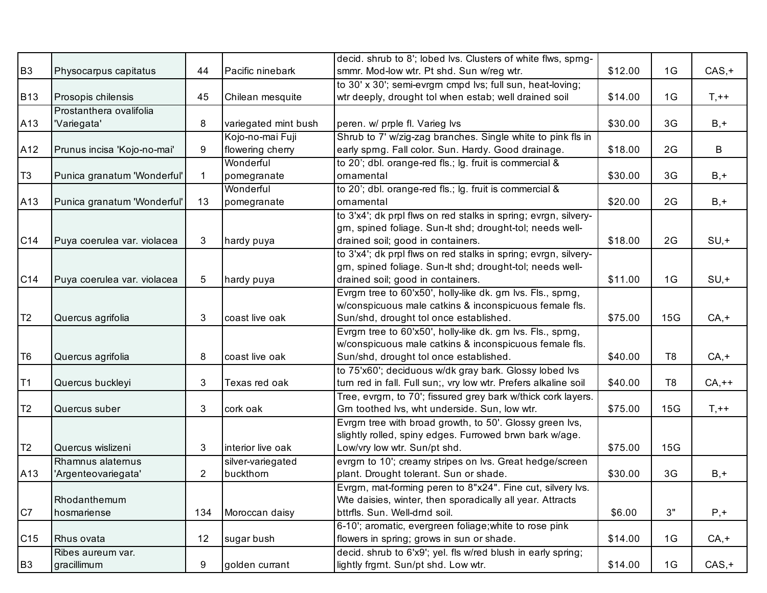|                |                                        |                |                      | decid. shrub to 8'; lobed lvs. Clusters of white flws, sprng-                                          |         |                |          |
|----------------|----------------------------------------|----------------|----------------------|--------------------------------------------------------------------------------------------------------|---------|----------------|----------|
| B <sub>3</sub> | Physocarpus capitatus                  | 44             | Pacific ninebark     | smmr. Mod-low wtr. Pt shd. Sun w/reg wtr.<br>to 30' x 30'; semi-evrgm cmpd lvs; full sun, heat-loving; | \$12.00 | 1G             | $CAS, +$ |
|                | Prosopis chilensis                     | 45             | Chilean mesquite     | wtr deeply, drought tol when estab; well drained soil                                                  | \$14.00 | 1G             | $T, ++$  |
| <b>B13</b>     |                                        |                |                      |                                                                                                        |         |                |          |
|                | Prostanthera ovalifolia<br>'Variegata' |                |                      |                                                                                                        | \$30.00 | 3G             | $B, +$   |
| A13            |                                        | 8              | variegated mint bush | peren. w/ prple fl. Varieg lvs                                                                         |         |                |          |
|                |                                        |                | Kojo-no-mai Fuji     | Shrub to 7' w/zig-zag branches. Single white to pink fls in                                            |         | 2G             | B        |
| A12            | Prunus incisa 'Kojo-no-mai'            | 9              | flowering cherry     | early sprng. Fall color. Sun. Hardy. Good drainage.                                                    | \$18.00 |                |          |
|                |                                        |                | Wonderful            | to 20'; dbl. orange-red fls.; lg. fruit is commercial &                                                |         |                |          |
| T <sub>3</sub> | Punica granatum 'Wonderful'            |                | pomegranate          | ornamental                                                                                             | \$30.00 | 3G             | $B, +$   |
|                |                                        |                | Wonderful            | to 20'; dbl. orange-red fls.; lg. fruit is commercial &                                                |         |                |          |
| A13            | Punica granatum 'Wonderful'            | 13             | pomegranate          | ornamental                                                                                             | \$20.00 | 2G             | $B, +$   |
|                |                                        |                |                      | to 3'x4'; dk prpl flws on red stalks in spring; evrgn, silvery-                                        |         |                |          |
|                |                                        |                |                      | grn, spined foliage. Sun-It shd; drought-tol; needs well-                                              |         |                |          |
| C14            | Puya coerulea var. violacea            | 3              | hardy puya           | drained soil; good in containers.                                                                      | \$18.00 | 2G             | $SU, +$  |
|                |                                        |                |                      | to 3'x4'; dk prpl flws on red stalks in spring; evrgn, silvery-                                        |         |                |          |
|                |                                        |                |                      | grn, spined foliage. Sun-It shd; drought-tol; needs well-                                              |         |                |          |
| C14            | Puya coerulea var. violacea            | 5              | hardy puya           | drained soil; good in containers.                                                                      | \$11.00 | 1G             | $SU, +$  |
|                |                                        |                |                      | Evrgrn tree to 60'x50', holly-like dk. grn lvs. Fls., sprng,                                           |         |                |          |
| T <sub>2</sub> |                                        |                | coast live oak       | w/conspicuous male catkins & inconspicuous female fls.<br>Sun/shd, drought tol once established.       | \$75.00 | 15G            | $CA, +$  |
|                | Quercus agrifolia                      | 3              |                      |                                                                                                        |         |                |          |
|                |                                        |                |                      | Evrgm tree to 60'x50', holly-like dk. gm lvs. Fls., spmg,                                              |         |                |          |
| T <sub>6</sub> |                                        |                | coast live oak       | w/conspicuous male catkins & inconspicuous female fls.<br>Sun/shd, drought tol once established.       | \$40.00 | T <sub>8</sub> |          |
|                | Quercus agrifolia                      | 8              |                      |                                                                                                        |         |                | $CA, +$  |
| T1             |                                        |                |                      | to 75'x60'; deciduous w/dk gray bark. Glossy lobed lvs                                                 |         | T <sub>8</sub> |          |
|                | Quercus buckleyi                       | 3              | Texas red oak        | turn red in fall. Full sun;, vry low wtr. Prefers alkaline soil                                        | \$40.00 |                | $CA,++$  |
|                |                                        |                |                      | Tree, evrgrn, to 70'; fissured grey bark w/thick cork layers.                                          |         |                |          |
| T <sub>2</sub> | Quercus suber                          | 3              | cork oak             | Grn toothed lvs, wht underside. Sun, low wtr.                                                          | \$75.00 | 15G            | $T, ++$  |
|                |                                        |                |                      | Evrgrn tree with broad growth, to 50'. Glossy green lvs,                                               |         |                |          |
|                | Quercus wislizeni                      | 3              | interior live oak    | slightly rolled, spiny edges. Furrowed brwn bark w/age.                                                | \$75.00 | 15G            |          |
| T <sub>2</sub> |                                        |                |                      | Low/vry low wtr. Sun/pt shd.                                                                           |         |                |          |
|                | Rhamnus alaternus                      |                | silver-variegated    | evrgm to 10'; creamy stripes on lvs. Great hedge/screen                                                |         | 3G             |          |
| A13            | 'Argenteovariegata'                    | $\overline{2}$ | buckthorn            | plant. Drought tolerant. Sun or shade.                                                                 | \$30.00 |                | $B, +$   |
|                |                                        |                |                      | Evrgrn, mat-forming peren to 8"x24". Fine cut, silvery lvs.                                            |         |                |          |
| C7             | Rhodanthemum<br>hosmariense            | 134            | Moroccan daisy       | Wte daisies, winter, then sporadically all year. Attracts<br>bttrfls. Sun. Well-drnd soil.             | \$6.00  | 3"             | $P, +$   |
|                |                                        |                |                      |                                                                                                        |         |                |          |
|                |                                        |                |                      | 6-10; aromatic, evergreen foliage; white to rose pink                                                  | \$14.00 |                |          |
| C15            | Rhus ovata                             | 12             | sugar bush           | flowers in spring; grows in sun or shade.                                                              |         | 1G             | $CA, +$  |
|                | Ribes aureum var.                      |                |                      | decid. shrub to 6'x9'; yel. fls w/red blush in early spring;                                           |         |                |          |
| B <sub>3</sub> | gracillimum                            | 9              | golden currant       | lightly frgmt. Sun/pt shd. Low wtr.                                                                    | \$14.00 | 1G             | $CAS, +$ |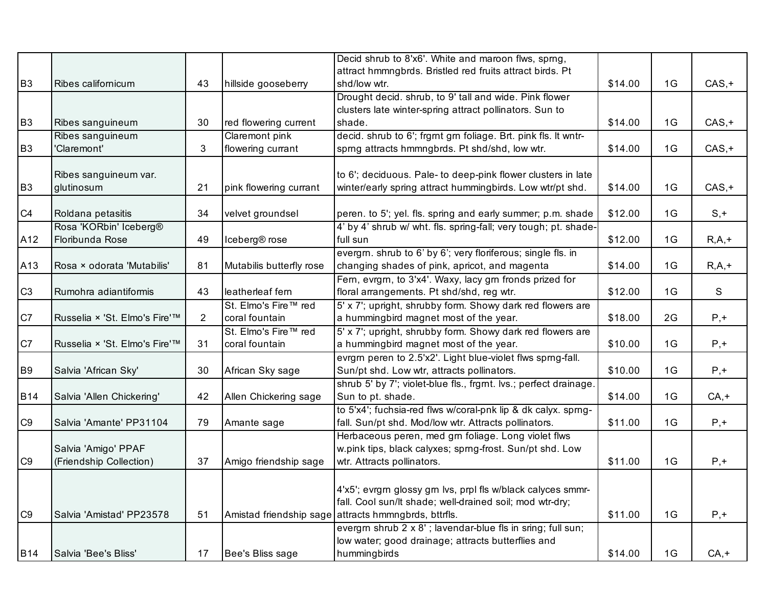|                |                               |                |                           | Decid shrub to 8'x6'. White and maroon flws, sprng,                                |         |    |          |
|----------------|-------------------------------|----------------|---------------------------|------------------------------------------------------------------------------------|---------|----|----------|
|                |                               |                |                           | attract hmmngbrds. Bristled red fruits attract birds. Pt                           |         |    |          |
| B <sub>3</sub> | Ribes californicum            | 43             | hillside gooseberry       | shd/low wtr.                                                                       | \$14.00 | 1G | $CAS, +$ |
|                |                               |                |                           | Drought decid. shrub, to 9' tall and wide. Pink flower                             |         |    |          |
|                |                               |                |                           | clusters late winter-spring attract pollinators. Sun to                            |         |    |          |
| <b>B3</b>      | Ribes sanguineum              | 30             | red flowering current     | shade.                                                                             | \$14.00 | 1G | $CAS, +$ |
|                | Ribes sanguineum              |                | Claremont pink            | decid. shrub to 6'; frgmt grn foliage. Brt. pink fls. It wntr-                     |         |    |          |
| <b>B3</b>      | 'Claremont'                   | 3              | flowering currant         | sprng attracts hmmngbrds. Pt shd/shd, low wtr.                                     | \$14.00 | 1G | $CAS, +$ |
|                |                               |                |                           |                                                                                    |         |    |          |
|                | Ribes sanguineum var.         |                |                           | to 6'; deciduous. Pale- to deep-pink flower clusters in late                       |         |    |          |
| <b>B3</b>      | glutinosum                    | 21             | pink flowering currant    | winter/early spring attract hummingbirds. Low wtr/pt shd.                          | \$14.00 | 1G | $CAS, +$ |
| C <sub>4</sub> | Roldana petasitis             | 34             | velvet groundsel          | peren. to 5'; yel. fls. spring and early summer; p.m. shade                        | \$12.00 | 1G | $S, +$   |
|                | Rosa 'KORbin' Iceberg®        |                |                           | 4' by 4' shrub w/ wht. fls. spring-fall; very tough; pt. shade-                    |         |    |          |
| A12            | Floribunda Rose               | 49             | Iceberg <sup>®</sup> rose | full sun                                                                           | \$12.00 | 1G | $R,A,+$  |
|                |                               |                |                           | evergm. shrub to 6' by 6'; very floriferous; single fls. in                        |         |    |          |
| A13            | Rosa × odorata 'Mutabilis'    | 81             | Mutabilis butterfly rose  | changing shades of pink, apricot, and magenta                                      | \$14.00 | 1G | $R,A,+$  |
|                |                               |                |                           | Fern, evrgrn, to 3'x4'. Waxy, lacy grn fronds prized for                           |         |    |          |
| C <sub>3</sub> | Rumohra adiantiformis         | 43             | leatherleaf fern          | floral arrangements. Pt shd/shd, reg wtr.                                          | \$12.00 | 1G | S        |
|                |                               |                | St. Elmo's Fire™ red      | 5' x 7'; upright, shrubby form. Showy dark red flowers are                         |         |    |          |
| C7             | Russelia × 'St. Elmo's Fire'™ | $\overline{2}$ | coral fountain            | a hummingbird magnet most of the year.                                             | \$18.00 | 2G | $P, +$   |
|                |                               |                | St. Elmo's Fire™ red      | 5' x 7'; upright, shrubby form. Showy dark red flowers are                         |         |    |          |
| C7             | Russelia × 'St. Elmo's Fire'™ | 31             | coral fountain            | a hummingbird magnet most of the year.                                             | \$10.00 | 1G | $P, +$   |
|                |                               |                |                           | evrgm peren to 2.5'x2'. Light blue-violet flws spmg-fall.                          |         |    |          |
| <b>B9</b>      | Salvia 'African Sky'          | 30             | African Sky sage          | Sun/pt shd. Low wtr, attracts pollinators.                                         | \$10.00 | 1G | $P, +$   |
| <b>B14</b>     | Salvia 'Allen Chickering'     | 42             | Allen Chickering sage     | shrub 5' by 7'; violet-blue fls., frgrnt. lvs.; perfect drainage.                  | \$14.00 | 1G | $CA, +$  |
|                |                               |                |                           | Sun to pt. shade.<br>to 5'x4'; fuchsia-red flws w/coral-pnk lip & dk calyx. sprng- |         |    |          |
| C9             | Salvia 'Amante' PP31104       | 79             | Amante sage               | fall. Sun/pt shd. Mod/low wtr. Attracts pollinators.                               | \$11.00 | 1G | $P, +$   |
|                |                               |                |                           | Herbaceous peren, med grn foliage. Long violet flws                                |         |    |          |
|                | Salvia 'Amigo' PPAF           |                |                           | w.pink tips, black calyxes; sprng-frost. Sun/pt shd. Low                           |         |    |          |
| C <sub>9</sub> | (Friendship Collection)       | 37             | Amigo friendship sage     | wtr. Attracts pollinators.                                                         | \$11.00 | 1G | $P, +$   |
|                |                               |                |                           |                                                                                    |         |    |          |
|                |                               |                |                           | 4'x5'; evrgrn glossy grn lvs, prpl fls w/black calyces smmr-                       |         |    |          |
|                |                               |                |                           | fall. Cool sun/lt shade; well-drained soil; mod wtr-dry;                           |         |    |          |
| C <sub>9</sub> | Salvia 'Amistad' PP23578      | 51             |                           | Amistad friendship sage attracts hmmngbrds, bttrfls.                               | \$11.00 | 1G | $P, +$   |
|                |                               |                |                           | evergrn shrub 2 x 8'; lavendar-blue fls in sring; full sun;                        |         |    |          |
|                |                               |                |                           | low water; good drainage; attracts butterflies and                                 |         |    |          |
| <b>B14</b>     | Salvia 'Bee's Bliss'          | 17             | Bee's Bliss sage          | hummingbirds                                                                       | \$14.00 | 1G | $CA, +$  |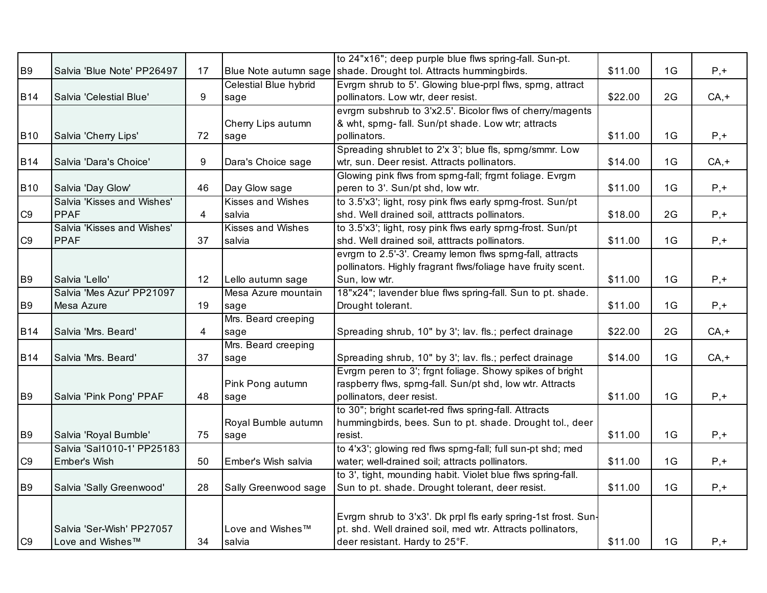|                |                            |    |                          | to 24"x16"; deep purple blue flws spring-fall. Sun-pt.         |         |    |         |
|----------------|----------------------------|----|--------------------------|----------------------------------------------------------------|---------|----|---------|
| <b>B9</b>      | Salvia 'Blue Note' PP26497 | 17 | Blue Note autumn sage    | shade. Drought tol. Attracts hummingbirds.                     | \$11.00 | 1G | $P, +$  |
|                |                            |    | Celestial Blue hybrid    | Evrgm shrub to 5'. Glowing blue-prpl flws, sprng, attract      |         |    |         |
| <b>B14</b>     | Salvia 'Celestial Blue'    | 9  | sage                     | pollinators. Low wtr, deer resist.                             | \$22.00 | 2G | $CA, +$ |
|                |                            |    |                          | evrgm subshrub to 3'x2.5'. Bicolor flws of cherry/magents      |         |    |         |
|                |                            |    | Cherry Lips autumn       | & wht, sprng-fall. Sun/pt shade. Low wtr; attracts             |         |    |         |
| <b>B10</b>     | Salvia 'Cherry Lips'       | 72 | sage                     | pollinators.                                                   | \$11.00 | 1G | $P, +$  |
|                |                            |    |                          | Spreading shrublet to 2'x 3'; blue fls, sprng/smmr. Low        |         |    |         |
| <b>B14</b>     | Salvia 'Dara's Choice'     | 9  | Dara's Choice sage       | wtr, sun. Deer resist. Attracts pollinators.                   | \$14.00 | 1G | $CA, +$ |
|                |                            |    |                          | Glowing pink flws from sprng-fall; frgrnt foliage. Evrgrn      |         |    |         |
| <b>B10</b>     | Salvia 'Day Glow'          | 46 | Day Glow sage            | peren to 3'. Sun/pt shd, low wtr.                              | \$11.00 | 1G | $P, +$  |
|                | Salvia 'Kisses and Wishes' |    | <b>Kisses and Wishes</b> | to 3.5'x3'; light, rosy pink flws early sprng-frost. Sun/pt    |         |    |         |
| C <sub>9</sub> | <b>PPAF</b>                | 4  | salvia                   | shd. Well drained soil, atttracts pollinators.                 | \$18.00 | 2G | $P, +$  |
|                | Salvia 'Kisses and Wishes' |    | <b>Kisses and Wishes</b> | to 3.5'x3'; light, rosy pink flws early sprng-frost. Sun/pt    |         |    |         |
| C <sub>9</sub> | <b>PPAF</b>                | 37 | salvia                   | shd. Well drained soil, atttracts pollinators.                 | \$11.00 | 1G | $P, +$  |
|                |                            |    |                          | evrgm to 2.5'-3'. Creamy lemon flws sprng-fall, attracts       |         |    |         |
|                |                            |    |                          | pollinators. Highly fragrant flws/foliage have fruity scent.   |         |    |         |
| <b>B9</b>      | Salvia 'Lello'             | 12 | Lello autumn sage        | Sun, low wtr.                                                  | \$11.00 | 1G | $P, +$  |
|                | Salvia 'Mes Azur' PP21097  |    | Mesa Azure mountain      | 18"x24"; lavender blue flws spring-fall. Sun to pt. shade.     |         |    |         |
| <b>B9</b>      | Mesa Azure                 | 19 | sage                     | Drought tolerant.                                              | \$11.00 | 1G | $P, +$  |
|                |                            |    | Mrs. Beard creeping      |                                                                |         |    |         |
| <b>B14</b>     | Salvia 'Mrs. Beard'        | 4  | sage                     | Spreading shrub, 10" by 3'; lav. fls.; perfect drainage        | \$22.00 | 2G | $CA, +$ |
|                |                            |    | Mrs. Beard creeping      |                                                                |         |    |         |
| <b>B14</b>     | Salvia 'Mrs. Beard'        | 37 | sage                     | Spreading shrub, 10" by 3'; lav. fls.; perfect drainage        | \$14.00 | 1G | $CA, +$ |
|                |                            |    |                          | Evrgrn peren to 3'; frgnt foliage. Showy spikes of bright      |         |    |         |
|                |                            |    | Pink Pong autumn         | raspberry flws, sprng-fall. Sun/pt shd, low wtr. Attracts      |         |    |         |
| B <sub>9</sub> | Salvia 'Pink Pong' PPAF    | 48 | sage                     | pollinators, deer resist.                                      | \$11.00 | 1G | $P, +$  |
|                |                            |    |                          | to 30"; bright scarlet-red flws spring-fall. Attracts          |         |    |         |
|                |                            |    | Royal Bumble autumn      | hummingbirds, bees. Sun to pt. shade. Drought tol., deer       |         |    |         |
| <b>B9</b>      | Salvia 'Royal Bumble'      | 75 | sage                     | resist.                                                        | \$11.00 | 1G | $P, +$  |
|                | Salvia 'Sal1010-1' PP25183 |    |                          | to 4'x3'; glowing red flws sprng-fall; full sun-pt shd; med    |         |    |         |
| C9             | Ember's Wish               | 50 | Ember's Wish salvia      | water; well-drained soil; attracts pollinators.                | \$11.00 | 1G | $P, +$  |
|                |                            |    |                          | to 3', tight, mounding habit. Violet blue flws spring-fall.    |         |    |         |
| <b>B9</b>      | Salvia 'Sally Greenwood'   | 28 | Sally Greenwood sage     | Sun to pt. shade. Drought tolerant, deer resist.               | \$11.00 | 1G | $P, +$  |
|                |                            |    |                          |                                                                |         |    |         |
|                |                            |    |                          | Evrgm shrub to 3'x3'. Dk prpl fls early spring-1st frost. Sun- |         |    |         |
|                | Salvia 'Ser-Wish' PP27057  |    | Love and Wishes™         | pt. shd. Well drained soil, med wtr. Attracts pollinators,     |         |    |         |
| C <sub>9</sub> | Love and Wishes™           | 34 | salvia                   | deer resistant. Hardy to 25°F.                                 | \$11.00 | 1G | $P, +$  |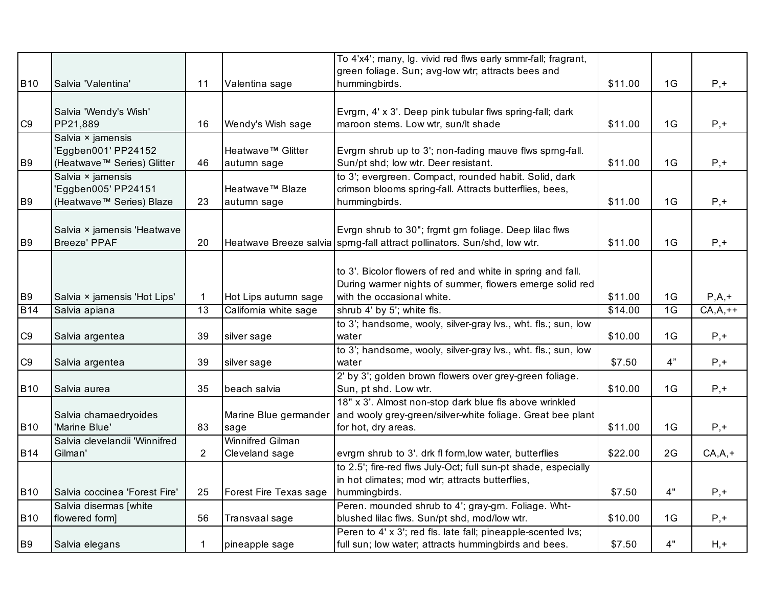|                |                               |                 |                               | To 4'x4'; many, Ig. vivid red flws early smmr-fall; fragrant,                                                        |         |    |             |
|----------------|-------------------------------|-----------------|-------------------------------|----------------------------------------------------------------------------------------------------------------------|---------|----|-------------|
|                |                               |                 |                               | green foliage. Sun; avg-low wtr; attracts bees and                                                                   |         |    |             |
| <b>B10</b>     | Salvia 'Valentina'            | 11              | Valentina sage                | hummingbirds.                                                                                                        | \$11.00 | 1G | $P, +$      |
|                |                               |                 |                               |                                                                                                                      |         |    |             |
|                | Salvia 'Wendy's Wish'         |                 |                               | Evrgrn, 4' x 3'. Deep pink tubular flws spring-fall; dark                                                            |         | 1G |             |
| C <sub>9</sub> | PP21,889<br>Salvia × jamensis | 16              | Wendy's Wish sage             | maroon stems. Low wtr, sun/lt shade                                                                                  | \$11.00 |    | $P, +$      |
|                | 'Eggben001' PP24152           |                 | Heatwave <sup>™</sup> Glitter | Evrgrn shrub up to 3'; non-fading mauve flws sprng-fall.                                                             |         |    |             |
| B <sub>9</sub> | (Heatwave™ Series) Glitter    | 46              | autumn sage                   | Sun/pt shd; low wtr. Deer resistant.                                                                                 | \$11.00 | 1G | $P, +$      |
|                | Salvia × jamensis             |                 |                               | to 3'; evergreen. Compact, rounded habit. Solid, dark                                                                |         |    |             |
|                | 'Eggben005' PP24151           |                 | Heatwave™ Blaze               | crimson blooms spring-fall. Attracts butterflies, bees,                                                              |         |    |             |
| <b>B9</b>      | (Heatwave™ Series) Blaze      | 23              | autumn sage                   | hummingbirds.                                                                                                        | \$11.00 | 1G | $P, +$      |
|                |                               |                 |                               |                                                                                                                      |         |    |             |
|                | Salvia × jamensis 'Heatwave   |                 |                               | Evrgn shrub to 30"; frgrnt grn foliage. Deep lilac flws                                                              |         |    |             |
| <b>B9</b>      | <b>Breeze' PPAF</b>           | 20              |                               | Heatwave Breeze salvia sprng-fall attract pollinators. Sun/shd, low wtr.                                             | \$11.00 | 1G | $P, +$      |
|                |                               |                 |                               |                                                                                                                      |         |    |             |
|                |                               |                 |                               | to 3'. Bicolor flowers of red and white in spring and fall.                                                          |         |    |             |
|                |                               |                 |                               | During warmer nights of summer, flowers emerge solid red                                                             |         |    |             |
| <b>B9</b>      | Salvia × jamensis 'Hot Lips'  | 1               | Hot Lips autumn sage          | with the occasional white.                                                                                           | \$11.00 | 1G | $P,A,+$     |
| <b>B14</b>     | Salvia apiana                 | $\overline{13}$ | California white sage         | shrub 4' by 5'; white fls.                                                                                           | \$14.00 | 1G | $CA, A, ++$ |
|                |                               |                 |                               | to 3'; handsome, wooly, silver-gray lvs., wht. fls.; sun, low                                                        |         |    |             |
| C9             | Salvia argentea               | 39              | silver sage                   | water                                                                                                                | \$10.00 | 1G | $P, +$      |
|                |                               |                 |                               | to 3'; handsome, wooly, silver-gray lvs., wht. fls.; sun, low                                                        |         |    |             |
| C <sub>9</sub> | Salvia argentea               | 39              | silver sage                   | water                                                                                                                | \$7.50  | 4" | $P, +$      |
|                |                               |                 |                               | 2' by 3'; golden brown flowers over grey-green foliage.                                                              |         |    |             |
| <b>B10</b>     | Salvia aurea                  | 35              | beach salvia                  | Sun, pt shd. Low wtr.                                                                                                | \$10.00 | 1G | $P, +$      |
|                |                               |                 |                               | 18" x 3'. Almost non-stop dark blue fls above wrinkled                                                               |         |    |             |
|                | Salvia chamaedryoides         |                 | Marine Blue germander         | and wooly grey-green/silver-white foliage. Great bee plant                                                           |         |    |             |
| <b>B10</b>     | 'Marine Blue'                 | 83              | sage                          | for hot, dry areas.                                                                                                  | \$11.00 | 1G | $P, +$      |
|                | Salvia clevelandii 'Winnifred |                 | <b>Winnifred Gilman</b>       |                                                                                                                      |         |    |             |
| <b>B14</b>     | Gilman'                       | $\overline{2}$  | Cleveland sage                | evrgm shrub to 3'. drk fl form, low water, butterflies                                                               | \$22.00 | 2G | $CA, A, +$  |
|                |                               |                 |                               | to 2.5'; fire-red flws July-Oct; full sun-pt shade, especially                                                       |         |    |             |
|                |                               |                 |                               | in hot climates; mod wtr; attracts butterflies,                                                                      |         |    |             |
| <b>B10</b>     | Salvia coccinea 'Forest Fire' | 25              | Forest Fire Texas sage        | hummingbirds.                                                                                                        | \$7.50  | 4" | $P, +$      |
|                | Salvia disermas [white        |                 |                               | Peren. mounded shrub to 4'; gray-grn. Foliage. Wht-                                                                  |         |    |             |
| <b>B10</b>     | flowered form]                | 56              | Transvaal sage                | blushed lilac flws. Sun/pt shd, mod/low wtr.                                                                         | \$10.00 | 1G | $P, +$      |
| <b>B9</b>      |                               |                 |                               | Peren to 4' x 3'; red fls. late fall; pineapple-scented lvs;<br>full sun; low water; attracts hummingbirds and bees. |         | 4" |             |
|                | Salvia elegans                | 1.              | pineapple sage                |                                                                                                                      | \$7.50  |    | $H, +$      |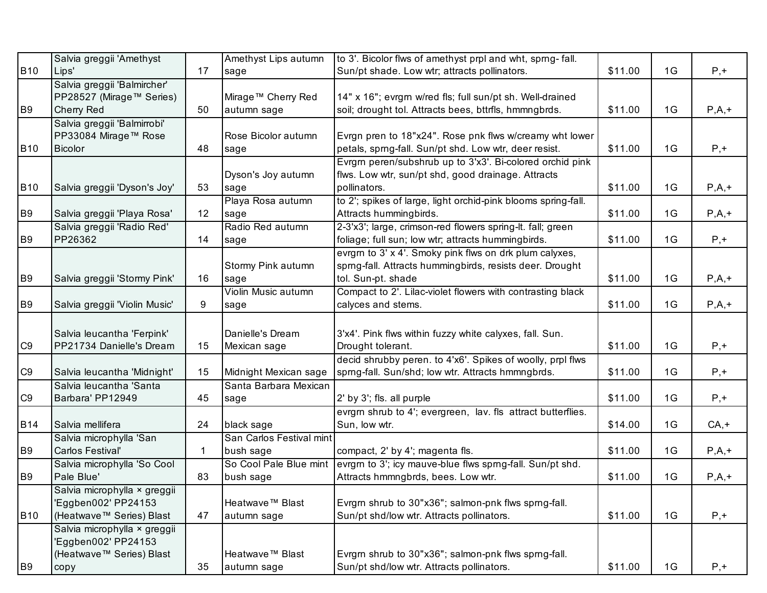|                | Salvia greggii 'Amethyst      |              | Amethyst Lips autumn     | to 3'. Bicolor flws of amethyst prpl and wht, sprng-fall.     |         |    |         |
|----------------|-------------------------------|--------------|--------------------------|---------------------------------------------------------------|---------|----|---------|
| <b>B10</b>     | Lips'                         | 17           | sage                     | Sun/pt shade. Low wtr; attracts pollinators.                  | \$11.00 | 1G | $P, +$  |
|                | Salvia greggii 'Balmircher'   |              |                          |                                                               |         |    |         |
|                | PP28527 (Mirage™ Series)      |              | Mirage™ Cherry Red       | 14" x 16"; evrgrn w/red fls; full sun/pt sh. Well-drained     |         |    |         |
| B <sub>9</sub> | Cherry Red                    | 50           | autumn sage              | soil; drought tol. Attracts bees, bttrfls, hmmngbrds.         | \$11.00 | 1G | $P,A,+$ |
|                | Salvia greggii 'Balmirrobi'   |              |                          |                                                               |         |    |         |
|                | PP33084 Mirage™ Rose          |              | Rose Bicolor autumn      | Evrgn pren to 18"x24". Rose pnk flws w/creamy wht lower       |         |    |         |
| <b>B10</b>     | Bicolor                       | 48           | sage                     | petals, sprng-fall. Sun/pt shd. Low wtr, deer resist.         | \$11.00 | 1G | $P, +$  |
|                |                               |              |                          | Evrgrn peren/subshrub up to 3'x3'. Bi-colored orchid pink     |         |    |         |
|                |                               |              | Dyson's Joy autumn       | flws. Low wtr, sun/pt shd, good drainage. Attracts            |         |    |         |
| <b>B10</b>     | Salvia greggii 'Dyson's Joy'  | 53           | sage                     | pollinators.                                                  | \$11.00 | 1G | $P,A,+$ |
|                |                               |              | Playa Rosa autumn        | to 2'; spikes of large, light orchid-pink blooms spring-fall. |         |    |         |
| B <sub>9</sub> | Salvia greggii 'Playa Rosa'   | 12           | sage                     | Attracts hummingbirds.                                        | \$11.00 | 1G | $P,A,+$ |
|                | Salvia greggii 'Radio Red'    |              | Radio Red autumn         | 2-3'x3'; large, crimson-red flowers spring-lt. fall; green    |         |    |         |
| B <sub>9</sub> | PP26362                       | 14           | sage                     | foliage; full sun; low wtr; attracts hummingbirds.            | \$11.00 | 1G | $P, +$  |
|                |                               |              |                          | evrgm to 3' x 4'. Smoky pink flws on drk plum calyxes,        |         |    |         |
|                |                               |              | Stormy Pink autumn       | sprng-fall. Attracts hummingbirds, resists deer. Drought      |         |    |         |
| B <sub>9</sub> | Salvia greggii 'Stormy Pink'  | 16           | sage                     | tol. Sun-pt. shade                                            | \$11.00 | 1G | $P,A,+$ |
|                |                               |              | Violin Music autumn      | Compact to 2'. Lilac-violet flowers with contrasting black    |         |    |         |
| <b>B9</b>      | Salvia greggii 'Violin Music' | 9            | sage                     | calyces and stems.                                            | \$11.00 | 1G | $P,A,+$ |
|                |                               |              |                          |                                                               |         |    |         |
|                | Salvia leucantha 'Ferpink'    |              | Danielle's Dream         | 3'x4'. Pink flws within fuzzy white calyxes, fall. Sun.       |         |    |         |
| C <sub>9</sub> | PP21734 Danielle's Dream      | 15           | Mexican sage             | Drought tolerant.                                             | \$11.00 | 1G | $P, +$  |
|                |                               |              |                          | decid shrubby peren. to 4'x6'. Spikes of woolly, prpl flws    |         |    |         |
| C <sub>9</sub> | Salvia leucantha 'Midnight'   | 15           | Midnight Mexican sage    | sprng-fall. Sun/shd; low wtr. Attracts hmmngbrds.             | \$11.00 | 1G | $P, +$  |
|                | Salvia leucantha 'Santa       |              | Santa Barbara Mexican    |                                                               |         |    |         |
| C <sub>9</sub> | Barbara' PP12949              | 45           | sage                     | 2' by 3'; fls. all purple                                     | \$11.00 | 1G | $P, +$  |
|                |                               |              |                          | evrgm shrub to 4'; evergreen, lav. fls attract butterflies.   |         |    |         |
| <b>B14</b>     | Salvia mellifera              | 24           | black sage               | Sun, low wtr.                                                 | \$14.00 | 1G | $CA, +$ |
|                | Salvia microphylla 'San       |              | San Carlos Festival mint |                                                               |         |    |         |
| B <sub>9</sub> | Carlos Festival'              | $\mathbf{1}$ | bush sage                | compact, 2' by 4'; magenta fls.                               | \$11.00 | 1G | $P,A,+$ |
|                | Salvia microphylla 'So Cool   |              | So Cool Pale Blue mint   | evrgm to 3'; icy mauve-blue flws sprng-fall. Sun/pt shd.      |         |    |         |
| B <sub>9</sub> | Pale Blue'                    | 83           | bush sage                | Attracts hmmngbrds, bees. Low wtr.                            | \$11.00 | 1G | $P,A,+$ |
|                | Salvia microphylla × greggii  |              |                          |                                                               |         |    |         |
|                | 'Eggben002' PP24153           |              | Heatwave™ Blast          | Evrgrn shrub to 30"x36"; salmon-pnk flws sprng-fall.          |         |    |         |
| <b>B10</b>     | (Heatwave™ Series) Blast      | 47           | autumn sage              | Sun/pt shd/low wtr. Attracts pollinators.                     | \$11.00 | 1G | $P, +$  |
|                | Salvia microphylla × greggii  |              |                          |                                                               |         |    |         |
|                | 'Eggben002' PP24153           |              |                          |                                                               |         |    |         |
|                | (Heatwave™ Series) Blast      |              | Heatwave™ Blast          | Evrgm shrub to 30"x36"; salmon-pnk flws spmg-fall.            |         |    |         |
| B <sub>9</sub> | copy                          | 35           | autumn sage              | Sun/pt shd/low wtr. Attracts pollinators.                     | \$11.00 | 1G | $P, +$  |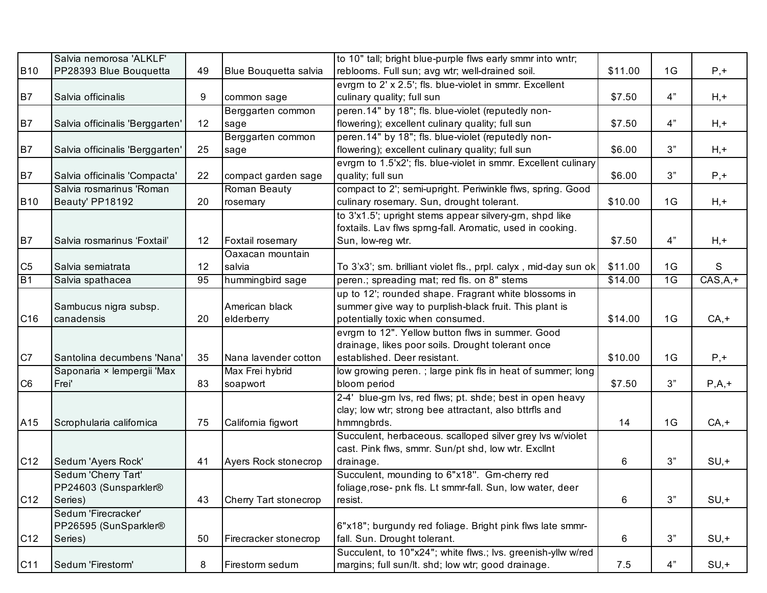|                 | Salvia nemorosa 'ALKLF'         |    |                       | to 10" tall; bright blue-purple flws early smmr into wntr;       |         |    |             |
|-----------------|---------------------------------|----|-----------------------|------------------------------------------------------------------|---------|----|-------------|
| <b>B10</b>      | PP28393 Blue Bouquetta          | 49 | Blue Bouquetta salvia | reblooms. Full sun; avg wtr; well-drained soil.                  | \$11.00 | 1G | $P, +$      |
|                 |                                 |    |                       | evrgm to 2' x 2.5'; fls. blue-violet in smmr. Excellent          |         |    |             |
| B <sub>7</sub>  | Salvia officinalis              | 9  | common sage           | culinary quality; full sun                                       | \$7.50  | 4" | $H, +$      |
|                 |                                 |    | Berggarten common     | peren.14" by 18"; fls. blue-violet (reputedly non-               |         |    |             |
| B <sub>7</sub>  | Salvia officinalis 'Berggarten' | 12 | sage                  | flowering); excellent culinary quality; full sun                 | \$7.50  | 4" | $H, +$      |
|                 |                                 |    | Berggarten common     | peren.14" by 18"; fls. blue-violet (reputedly non-               |         |    |             |
| B7              | Salvia officinalis 'Berggarten' | 25 | sage                  | flowering); excellent culinary quality; full sun                 | \$6.00  | 3" | $H, +$      |
|                 |                                 |    |                       | evrgm to 1.5'x2'; fls. blue-violet in smmr. Excellent culinary   |         |    |             |
| B <sub>7</sub>  | Salvia officinalis 'Compacta'   | 22 | compact garden sage   | quality; full sun                                                | \$6.00  | 3" | $P, +$      |
|                 | Salvia rosmarinus 'Roman        |    | Roman Beauty          | compact to 2'; semi-upright. Periwinkle flws, spring. Good       |         |    |             |
| <b>B10</b>      | Beauty' PP18192                 | 20 | rosemary              | culinary rosemary. Sun, drought tolerant.                        | \$10.00 | 1G | $H, +$      |
|                 |                                 |    |                       | to 3'x1.5'; upright stems appear silvery-gm, shpd like           |         |    |             |
|                 |                                 |    |                       | foxtails. Lav flws sprng-fall. Aromatic, used in cooking.        |         |    |             |
| B7              | Salvia rosmarinus 'Foxtail'     | 12 | Foxtail rosemary      | Sun, low-reg wtr.                                                | \$7.50  | 4" | $H, +$      |
|                 |                                 |    | Oaxacan mountain      |                                                                  |         |    |             |
| C <sub>5</sub>  | Salvia semiatrata               | 12 | salvia                | To 3'x3'; sm. brilliant violet fls., prpl. calyx, mid-day sun ok | \$11.00 | 1G | S           |
| B1              | Salvia spathacea                | 95 | hummingbird sage      | peren.; spreading mat; red fls. on 8" stems                      | \$14.00 | 1G | $CAS, A, +$ |
|                 |                                 |    |                       | up to 12'; rounded shape. Fragrant white blossoms in             |         |    |             |
|                 | Sambucus nigra subsp.           |    | American black        | summer give way to purplish-black fruit. This plant is           |         |    |             |
| C <sub>16</sub> | canadensis                      | 20 | elderberry            | potentially toxic when consumed.                                 | \$14.00 | 1G | $CA, +$     |
|                 |                                 |    |                       | evrgm to 12". Yellow button flws in summer. Good                 |         |    |             |
|                 |                                 |    |                       | drainage, likes poor soils. Drought tolerant once                |         |    |             |
| C7              | Santolina decumbens 'Nana'      | 35 | Nana lavender cotton  | established. Deer resistant.                                     | \$10.00 | 1G | $P, +$      |
|                 | Saponaria × lempergii 'Max      |    | Max Frei hybrid       | low growing peren.; large pink fls in heat of summer; long       |         |    |             |
| C <sub>6</sub>  | Frei'                           | 83 | soapwort              | bloom period                                                     | \$7.50  | 3" | $P,A,+$     |
|                 |                                 |    |                       | 2-4' blue-grn lvs, red flws; pt. shde; best in open heavy        |         |    |             |
|                 |                                 |    |                       | clay; low wtr; strong bee attractant, also bttrfls and           |         |    |             |
| A15             | Scrophularia californica        | 75 | California figwort    | hmmngbrds.                                                       | 14      | 1G | $CA, +$     |
|                 |                                 |    |                       | Succulent, herbaceous. scalloped silver grey lvs w/violet        |         |    |             |
|                 |                                 |    |                       | cast. Pink flws, smmr. Sun/pt shd, low wtr. Excllnt              |         |    |             |
| C <sub>12</sub> | Sedum 'Ayers Rock'              | 41 | Ayers Rock stonecrop  | drainage.                                                        | 6       | 3" | $SU, +$     |
|                 | Sedum 'Cherry Tart'             |    |                       | Succulent, mounding to 6"x18". Grn-cherry red                    |         |    |             |
|                 | PP24603 (Sunsparkler®           |    |                       | foliage, rose- pnk fls. Lt smmr-fall. Sun, low water, deer       |         |    |             |
| C12             | Series)                         | 43 | Cherry Tart stonecrop | resist.                                                          | 6       | 3" | $SU, +$     |
|                 | Sedum 'Firecracker'             |    |                       |                                                                  |         |    |             |
|                 | PP26595 (SunSparkler®           |    |                       | 6"x18"; burgundy red foliage. Bright pink flws late smmr-        |         |    |             |
| C <sub>12</sub> | Series)                         | 50 | Firecracker stonecrop | fall. Sun. Drought tolerant.                                     | 6       | 3" | $SU, +$     |
|                 |                                 |    |                       | Succulent, to 10"x24"; white flws.; lvs. greenish-yllw w/red     |         |    |             |
| C <sub>11</sub> | Sedum 'Firestorm'               | 8  | Firestorm sedum       | margins; full sun/lt. shd; low wtr; good drainage.               | 7.5     | 4" | $SU, +$     |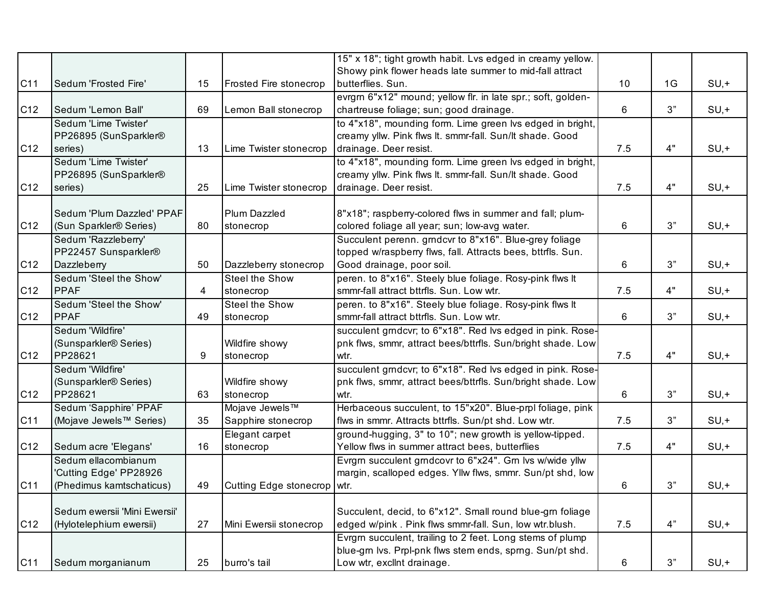|                 |                                    |    |                               | 15" x 18"; tight growth habit. Lvs edged in creamy yellow.   |     |    |         |
|-----------------|------------------------------------|----|-------------------------------|--------------------------------------------------------------|-----|----|---------|
|                 |                                    |    |                               | Showy pink flower heads late summer to mid-fall attract      |     |    |         |
| C11             | Sedum 'Frosted Fire'               | 15 | <b>Frosted Fire stonecrop</b> | butterflies. Sun.                                            | 10  | 1G | $SU, +$ |
|                 |                                    |    |                               | evrgrn 6"x12" mound; yellow flr. in late spr.; soft, golden- |     |    |         |
| C12             | Sedum 'Lemon Ball'                 | 69 | Lemon Ball stonecrop          | chartreuse foliage; sun; good drainage.                      | 6   | 3" | $SU, +$ |
|                 | Sedum 'Lime Twister'               |    |                               | to 4"x18", mounding form. Lime green lvs edged in bright,    |     |    |         |
|                 | PP26895 (SunSparkler®              |    |                               | creamy yllw. Pink flws It. smmr-fall. Sun/It shade. Good     |     |    |         |
| C <sub>12</sub> | series)                            | 13 | Lime Twister stonecrop        | drainage. Deer resist.                                       | 7.5 | 4" | $SU, +$ |
|                 | Sedum 'Lime Twister'               |    |                               | to 4"x18", mounding form. Lime green lvs edged in bright,    |     |    |         |
|                 | PP26895 (SunSparkler®              |    |                               | creamy yllw. Pink flws It. smmr-fall. Sun/It shade. Good     |     |    |         |
| C <sub>12</sub> | series)                            | 25 | Lime Twister stonecrop        | drainage. Deer resist.                                       | 7.5 | 4" | $SU, +$ |
|                 |                                    |    |                               |                                                              |     |    |         |
|                 | Sedum 'Plum Dazzled' PPAF          |    | Plum Dazzled                  | 8"x18"; raspberry-colored flws in summer and fall; plum-     |     |    |         |
| C <sub>12</sub> | (Sun Sparkler <sup>®</sup> Series) | 80 | stonecrop                     | colored foliage all year; sun; low-avg water.                | 6   | 3" | $SU, +$ |
|                 | Sedum 'Razzleberry'                |    |                               | Succulent perenn. grndcvr to 8"x16". Blue-grey foliage       |     |    |         |
|                 | PP22457 Sunsparkler®               |    |                               | topped w/raspberry flws, fall. Attracts bees, bttrfls. Sun.  |     |    |         |
| C <sub>12</sub> | Dazzleberry                        | 50 | Dazzleberry stonecrop         | Good drainage, poor soil.                                    | 6   | 3" | $SU, +$ |
|                 | Sedum 'Steel the Show'             |    | Steel the Show                | peren. to 8"x16". Steely blue foliage. Rosy-pink flws It     |     |    |         |
| C <sub>12</sub> | <b>PPAF</b>                        | 4  | stonecrop                     | smmr-fall attract bttrfls. Sun. Low wtr.                     | 7.5 | 4" | $SU, +$ |
|                 | Sedum 'Steel the Show'             |    | Steel the Show                | peren. to 8"x16". Steely blue foliage. Rosy-pink flws It     |     |    |         |
| C12             | PPAF                               | 49 | stonecrop                     | smmr-fall attract bttrfls. Sun. Low wtr.                     | 6   | 3" | $SU, +$ |
|                 | Sedum 'Wildfire'                   |    |                               | succulent grndcvr; to 6"x18". Red lvs edged in pink. Rose-   |     |    |         |
|                 | (Sunsparkler <sup>®</sup> Series)  |    | Wildfire showy                | pnk flws, smmr, attract bees/bttrfls. Sun/bright shade. Low  |     |    |         |
| C <sub>12</sub> | PP28621                            | 9  | stonecrop                     | wtr.                                                         | 7.5 | 4" | $SU, +$ |
|                 | Sedum 'Wildfire'                   |    |                               | succulent grndcvr; to 6"x18". Red lvs edged in pink. Rose-   |     |    |         |
|                 | (Sunsparkler <sup>®</sup> Series)  |    | Wildfire showy                | pnk flws, smmr, attract bees/bttrfls. Sun/bright shade. Low  |     |    |         |
| C <sub>12</sub> | PP28621                            | 63 | stonecrop                     | wtr.                                                         | 6   | 3" | $SU, +$ |
|                 | Sedum 'Sapphire' PPAF              |    | Mojave Jewels™                | Herbaceous succulent, to 15"x20". Blue-prpl foliage, pink    |     |    |         |
| C <sub>11</sub> | (Mojave Jewels™ Series)            | 35 | Sapphire stonecrop            | flws in smmr. Attracts bttrfls. Sun/pt shd. Low wtr.         | 7.5 | 3" | $SU, +$ |
|                 |                                    |    | Elegant carpet                | ground-hugging, 3" to 10"; new growth is yellow-tipped.      |     |    |         |
| C12             | Sedum acre 'Elegans'               | 16 | stonecrop                     | Yellow flws in summer attract bees, butterflies              | 7.5 | 4" | $SU, +$ |
|                 | Sedum ellacombianum                |    |                               | Evrgrn succulent grndcovr to 6"x24". Grn lvs w/wide yllw     |     |    |         |
|                 | 'Cutting Edge' PP28926             |    |                               | margin, scalloped edges. Yllw flws, smmr. Sun/pt shd, low    |     |    |         |
| C11             | (Phedimus kamtschaticus)           | 49 | Cutting Edge stonecrop   wtr. |                                                              | 6   | 3" | $SU, +$ |
|                 |                                    |    |                               |                                                              |     |    |         |
|                 | Sedum ewersii 'Mini Ewersii'       |    |                               | Succulent, decid, to 6"x12". Small round blue-grn foliage    |     |    |         |
| C <sub>12</sub> | (Hylotelephium ewersii)            | 27 | Mini Ewersii stonecrop        | edged w/pink. Pink flws smmr-fall. Sun, low wtr.blush.       | 7.5 | 4" | $SU, +$ |
|                 |                                    |    |                               | Evrgrn succulent, trailing to 2 feet. Long stems of plump    |     |    |         |
|                 |                                    |    |                               | blue-grn lvs. Prpl-pnk flws stem ends, sprng. Sun/pt shd.    |     |    |         |
| C11             | Sedum morganianum                  | 25 | burro's tail                  | Low wtr, exclint drainage.                                   | 6   | 3" | $SU, +$ |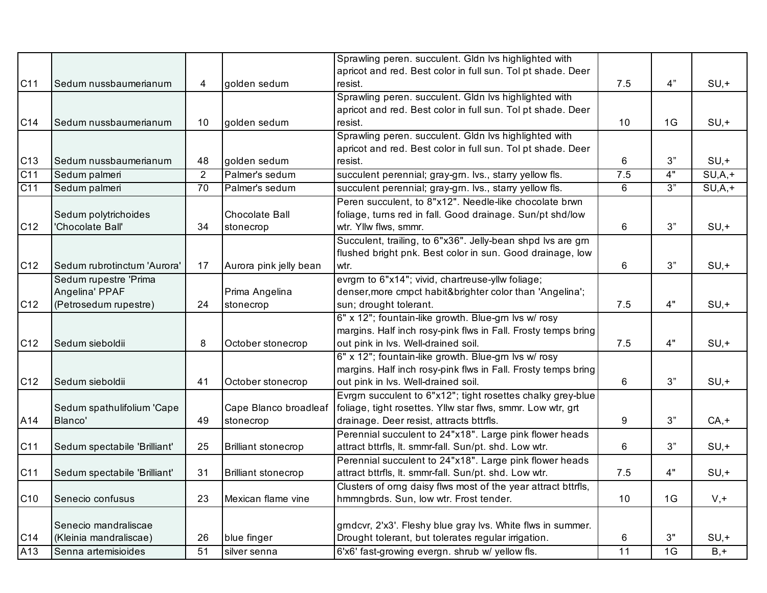|                 |                              |                |                            | Sprawling peren. succulent. Gldn Ivs highlighted with         |     |    |             |
|-----------------|------------------------------|----------------|----------------------------|---------------------------------------------------------------|-----|----|-------------|
|                 |                              |                |                            | apricot and red. Best color in full sun. Tol pt shade. Deer   |     |    |             |
| C11             | Sedum nussbaumerianum        | 4              | golden sedum               | resist.                                                       | 7.5 | 4" | $SU, +$     |
|                 |                              |                |                            | Sprawling peren. succulent. Gldn Ivs highlighted with         |     |    |             |
|                 |                              |                |                            | apricot and red. Best color in full sun. Tol pt shade. Deer   |     |    |             |
| C14             | Sedum nussbaumerianum        | 10             | golden sedum               | resist.                                                       | 10  | 1G | $SU, +$     |
|                 |                              |                |                            | Sprawling peren. succulent. Gldn lvs highlighted with         |     |    |             |
|                 |                              |                |                            | apricot and red. Best color in full sun. Tol pt shade. Deer   |     |    |             |
| C13             | Sedum nussbaumerianum        | 48             | golden sedum               | resist.                                                       | 6   | 3" | $SU, +$     |
| C <sub>11</sub> | Sedum palmeri                | $\overline{2}$ | Palmer's sedum             | succulent perennial; gray-grn. lvs., starry yellow fls.       | 7.5 | 4" | $SU, A, +$  |
| C <sub>11</sub> | Sedum palmeri                | 70             | Palmer's sedum             | succulent perennial; gray-grn. lvs., starry yellow fls.       | 6   | 3" | $SU, A$ , + |
|                 |                              |                |                            | Peren succulent, to 8"x12". Needle-like chocolate brwn        |     |    |             |
|                 | Sedum polytrichoides         |                | Chocolate Ball             | foliage, turns red in fall. Good drainage. Sun/pt shd/low     |     |    |             |
| C <sub>12</sub> | 'Chocolate Ball'             | 34             | stonecrop                  | wtr. Yllw flws, smmr.                                         | 6   | 3" | $SU, +$     |
|                 |                              |                |                            | Succulent, trailing, to 6"x36". Jelly-bean shpd lvs are grn   |     |    |             |
|                 |                              |                |                            | flushed bright pnk. Best color in sun. Good drainage, low     |     |    |             |
| C <sub>12</sub> | Sedum rubrotinctum 'Aurora'  | 17             | Aurora pink jelly bean     | wtr.                                                          | 6   | 3" | $SU, +$     |
|                 | Sedum rupestre 'Prima        |                |                            | evrgm to 6"x14"; vivid, chartreuse-yllw foliage;              |     |    |             |
|                 | Angelina' PPAF               |                | Prima Angelina             | denser, more cmpct habit&brighter color than 'Angelina';      |     |    |             |
| C12             | (Petrosedum rupestre)        | 24             | stonecrop                  | sun; drought tolerant.                                        | 7.5 | 4" | $SU, +$     |
|                 |                              |                |                            | 6" x 12"; fountain-like growth. Blue-grn lvs w/ rosy          |     |    |             |
|                 |                              |                |                            | margins. Half inch rosy-pink flws in Fall. Frosty temps bring |     |    |             |
| C <sub>12</sub> | Sedum sieboldii              | 8              | October stonecrop          | out pink in lvs. Well-drained soil.                           | 7.5 | 4" | $SU, +$     |
|                 |                              |                |                            | 6" x 12"; fountain-like growth. Blue-grn lvs w/ rosy          |     |    |             |
|                 |                              |                |                            | margins. Half inch rosy-pink flws in Fall. Frosty temps bring |     |    |             |
| C <sub>12</sub> | Sedum sieboldii              | 41             | October stonecrop          | out pink in lvs. Well-drained soil.                           | 6   | 3" | $SU, +$     |
|                 |                              |                |                            | Evrgrn succulent to 6"x12"; tight rosettes chalky grey-blue   |     |    |             |
|                 | Sedum spathulifolium 'Cape   |                | Cape Blanco broadleaf      | foliage, tight rosettes. Yllw star flws, smmr. Low wtr, grt   |     |    |             |
| A14             | Blanco'                      | 49             | stonecrop                  | drainage. Deer resist, attracts bttrfls.                      | 9   | 3" | $CA, +$     |
|                 |                              |                |                            | Perennial succulent to 24"x18". Large pink flower heads       |     |    |             |
| C11             | Sedum spectabile 'Brilliant' | 25             | <b>Brilliant stonecrop</b> | attract bttrfls, It. smmr-fall. Sun/pt. shd. Low wtr.         | 6   | 3" | $SU, +$     |
|                 |                              |                |                            | Perennial succulent to 24"x18". Large pink flower heads       |     |    |             |
| C11             | Sedum spectabile 'Brilliant' | 31             | <b>Brilliant stonecrop</b> | attract bttrfls, lt. smmr-fall. Sun/pt. shd. Low wtr.         | 7.5 | 4" | $SU, +$     |
|                 |                              |                |                            | Clusters of orng daisy flws most of the year attract bttrfls, |     |    |             |
| C <sub>10</sub> | Senecio confusus             | 23             | Mexican flame vine         | hmmngbrds. Sun, low wtr. Frost tender.                        | 10  | 1G | $V, +$      |
|                 |                              |                |                            |                                                               |     |    |             |
|                 | Senecio mandraliscae         |                |                            | grndcvr, 2'x3'. Fleshy blue gray lvs. White flws in summer.   |     |    |             |
| C14             | (Kleinia mandraliscae)       | 26             | blue finger                | Drought tolerant, but tolerates regular irrigation.           | 6   | 3" | $SU, +$     |
| A13             | Senna artemisioides          | 51             | silver senna               | 6'x6' fast-growing evergn. shrub w/ yellow fls.               | 11  | 1G | $B, +$      |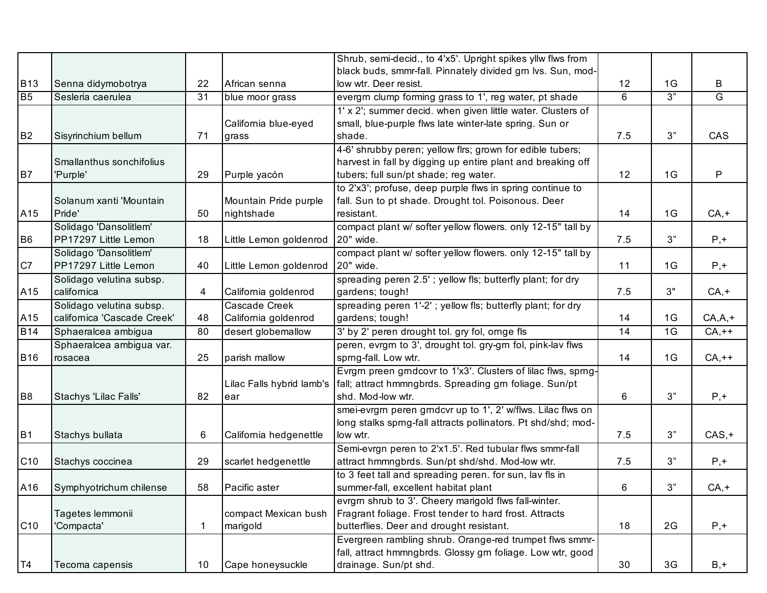|                 |                             |    |                           | Shrub, semi-decid., to 4'x5'. Upright spikes yllw flws from   |     |    |            |
|-----------------|-----------------------------|----|---------------------------|---------------------------------------------------------------|-----|----|------------|
|                 |                             |    |                           | black buds, smmr-fall. Pinnately divided grn lvs. Sun, mod-   |     |    |            |
| <b>B13</b>      | Senna didymobotrya          | 22 | African senna             | low wtr. Deer resist.                                         | 12  | 1G | B          |
| B <sub>5</sub>  | Sesleria caerulea           | 31 | blue moor grass           | evergrn clump forming grass to 1', reg water, pt shade        | 6   | 3" | G          |
|                 |                             |    |                           | 1' x 2'; summer decid. when given little water. Clusters of   |     |    |            |
|                 |                             |    | California blue-eyed      | small, blue-purple flws late winter-late spring. Sun or       |     |    |            |
| B <sub>2</sub>  | Sisyrinchium bellum         | 71 | grass                     | shade.                                                        | 7.5 | 3" | CAS        |
|                 |                             |    |                           | 4-6' shrubby peren; yellow flrs; grown for edible tubers;     |     |    |            |
|                 | Smallanthus sonchifolius    |    |                           | harvest in fall by digging up entire plant and breaking off   |     |    |            |
| <b>B7</b>       | 'Purple'                    | 29 | Purple yacón              | tubers; full sun/pt shade; reg water.                         | 12  | 1G | P          |
|                 |                             |    |                           | to 2'x3'; profuse, deep purple flws in spring continue to     |     |    |            |
|                 | Solanum xanti 'Mountain     |    | Mountain Pride purple     | fall. Sun to pt shade. Drought tol. Poisonous. Deer           |     |    |            |
| A15             | Pride'                      | 50 | nightshade                | resistant.                                                    | 14  | 1G | $CA, +$    |
|                 | Solidago 'Dansolitlem'      |    |                           | compact plant w/ softer yellow flowers. only 12-15" tall by   |     |    |            |
| B <sub>6</sub>  | PP17297 Little Lemon        | 18 | Little Lemon goldenrod    | 20" wide.                                                     | 7.5 | 3" | $P, +$     |
|                 | Solidago 'Dansolitlem'      |    |                           | compact plant w/ softer yellow flowers. only 12-15" tall by   |     |    |            |
| C7              | PP17297 Little Lemon        | 40 | Little Lemon goldenrod    | 20" wide.                                                     | 11  | 1G | $P, +$     |
|                 | Solidago velutina subsp.    |    |                           | spreading peren 2.5'; yellow fls; butterfly plant; for dry    |     |    |            |
| A15             | californica                 | 4  | California goldenrod      | gardens; tough!                                               | 7.5 | 3" | $CA, +$    |
|                 | Solidago velutina subsp.    |    | Cascade Creek             | spreading peren 1'-2'; yellow fls; butterfly plant; for dry   |     |    |            |
| A15             | californica 'Cascade Creek' | 48 | California goldenrod      | gardens; tough!                                               | 14  | 1G | $CA, A, +$ |
| <b>B14</b>      | Sphaeralcea ambigua         | 80 | desert globemallow        | 3' by 2' peren drought tol. gry fol, ornge fls                | 14  | 1G | $CA,++$    |
|                 | Sphaeralcea ambigua var.    |    |                           | peren, evrgrn to 3', drought tol. gry-grn fol, pink-lav flws  |     |    |            |
| <b>B16</b>      | rosacea                     | 25 | parish mallow             | sprng-fall. Low wtr.                                          | 14  | 1G | $CA,++$    |
|                 |                             |    |                           | Evrgm preen grndcovr to 1'x3'. Clusters of lilac flws, sprng- |     |    |            |
|                 |                             |    | Lilac Falls hybrid lamb's | fall; attract hmmngbrds. Spreading grn foliage. Sun/pt        |     |    |            |
| B <sub>8</sub>  | Stachys 'Lilac Falls'       | 82 | ear                       | shd. Mod-low wtr.                                             | 6   | 3" | $P, +$     |
|                 |                             |    |                           | smei-evrgrn peren grndcvr up to 1', 2' w/flws. Lilac flws on  |     |    |            |
|                 |                             |    |                           | long stalks sprng-fall attracts pollinators. Pt shd/shd; mod- |     |    |            |
| <b>B1</b>       | Stachys bullata             | 6  | California hedgenettle    | low wtr.                                                      | 7.5 | 3" | $CAS, +$   |
|                 |                             |    |                           | Semi-evrgn peren to 2'x1.5'. Red tubular flws smmr-fall       |     |    |            |
| C <sub>10</sub> | Stachys coccinea            | 29 | scarlet hedgenettle       | attract hmmngbrds. Sun/pt shd/shd. Mod-low wtr.               | 7.5 | 3" | $P, +$     |
|                 |                             |    |                           | to 3 feet tall and spreading peren. for sun, lav fls in       |     |    |            |
| A16             | Symphyotrichum chilense     | 58 | Pacific aster             | summer-fall, excellent habitat plant                          | 6   | 3" | $CA, +$    |
|                 |                             |    |                           | evrgm shrub to 3'. Cheery marigold flws fall-winter.          |     |    |            |
|                 | Tagetes lemmonii            |    | compact Mexican bush      | Fragrant foliage. Frost tender to hard frost. Attracts        |     |    |            |
| C <sub>10</sub> | 'Compacta'                  |    | marigold                  | butterflies. Deer and drought resistant.                      | 18  | 2G | $P, +$     |
|                 |                             |    |                           | Evergreen rambling shrub. Orange-red trumpet flws smmr-       |     |    |            |
|                 |                             |    |                           | fall, attract hmmngbrds. Glossy grn foliage. Low wtr, good    |     |    |            |
| T4              | Tecoma capensis             | 10 | Cape honeysuckle          | drainage. Sun/pt shd.                                         | 30  | 3G | $B, +$     |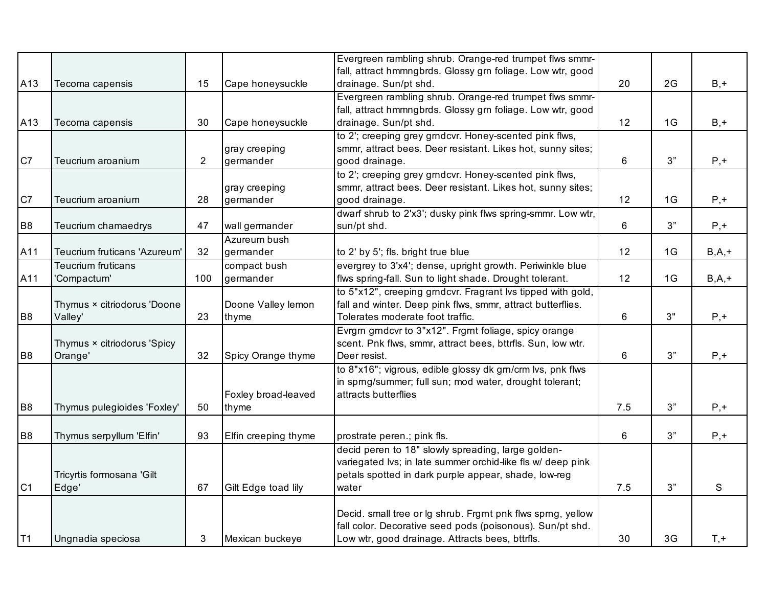|                |                              |                |                      | Evergreen rambling shrub. Orange-red trumpet flws smmr-      |     |                |           |
|----------------|------------------------------|----------------|----------------------|--------------------------------------------------------------|-----|----------------|-----------|
|                |                              |                |                      | fall, attract hmmngbrds. Glossy grn foliage. Low wtr, good   |     |                |           |
| A13            | Tecoma capensis              | 15             | Cape honeysuckle     | drainage. Sun/pt shd.                                        | 20  | 2G             | $B, +$    |
|                |                              |                |                      | Evergreen rambling shrub. Orange-red trumpet flws smmr-      |     |                |           |
|                |                              |                |                      | fall, attract hmmngbrds. Glossy grn foliage. Low wtr, good   |     |                |           |
| A13            | Tecoma capensis              | 30             | Cape honeysuckle     | drainage. Sun/pt shd.                                        | 12  | 1G             | $B, +$    |
|                |                              |                |                      | to 2'; creeping grey grndcvr. Honey-scented pink flws,       |     |                |           |
|                |                              |                | gray creeping        | smmr, attract bees. Deer resistant. Likes hot, sunny sites;  |     |                |           |
| C7             | Teucrium aroanium            | $\overline{2}$ | germander            | good drainage.                                               | 6   | 3"             | $P, +$    |
|                |                              |                |                      | to 2'; creeping grey grndcvr. Honey-scented pink flws,       |     |                |           |
|                |                              |                | gray creeping        | smmr, attract bees. Deer resistant. Likes hot, sunny sites;  |     |                |           |
| C7             | Teucrium aroanium            | 28             | germander            | good drainage.                                               | 12  | 1G             | $P, +$    |
|                |                              |                |                      | dwarf shrub to 2'x3'; dusky pink flws spring-smmr. Low wtr,  |     |                |           |
| B <sub>8</sub> | Teucrium chamaedrys          | 47             | wall germander       | sun/pt shd.                                                  | 6   | 3"             | $P, +$    |
|                |                              |                | Azureum bush         |                                                              |     |                |           |
| A11            | Teucrium fruticans 'Azureum' | 32             | germander            | to 2' by 5'; fls. bright true blue                           | 12  | 1 <sub>G</sub> | $B, A, +$ |
|                | <b>Teucrium fruticans</b>    |                | compact bush         | evergrey to 3'x4'; dense, upright growth. Periwinkle blue    |     |                |           |
| A11            | 'Compactum'                  | 100            | germander            | flws spring-fall. Sun to light shade. Drought tolerant.      | 12  | 1 <sub>G</sub> | $B, A, +$ |
|                |                              |                |                      | to 5"x12", creeping grndcvr. Fragrant lvs tipped with gold,  |     |                |           |
|                | Thymus × citriodorus 'Doone  |                | Doone Valley lemon   | fall and winter. Deep pink flws, smmr, attract butterflies.  |     |                |           |
| B <sub>8</sub> | Valley'                      | 23             | thyme                | Tolerates moderate foot traffic.                             | 6   | 3"             | $P, +$    |
|                |                              |                |                      | Evrgrn grndcvr to 3"x12". Frgrnt foliage, spicy orange       |     |                |           |
|                | Thymus × citriodorus 'Spicy  |                |                      | scent. Pnk flws, smmr, attract bees, bttrfls. Sun, low wtr.  |     |                |           |
| B <sub>8</sub> | Orange'                      | 32             | Spicy Orange thyme   | Deer resist.                                                 | 6   | 3"             | $P, +$    |
|                |                              |                |                      | to 8"x16"; vigrous, edible glossy dk gm/crm lvs, pnk flws    |     |                |           |
|                |                              |                |                      | in sprng/summer; full sun; mod water, drought tolerant;      |     |                |           |
|                |                              |                | Foxley broad-leaved  | attracts butterflies                                         |     |                |           |
| B <sub>8</sub> | Thymus pulegioides 'Foxley'  | 50             | thyme                |                                                              | 7.5 | 3"             | $P, +$    |
|                |                              |                |                      |                                                              |     |                |           |
| B <sub>8</sub> | Thymus serpyllum 'Elfin'     | 93             | Elfin creeping thyme | prostrate peren.; pink fls.                                  | 6   | 3"             | $P, +$    |
|                |                              |                |                      | decid peren to 18" slowly spreading, large golden-           |     |                |           |
|                |                              |                |                      | variegated lvs; in late summer orchid-like fls w/ deep pink  |     |                |           |
|                | Tricyrtis formosana 'Gilt    |                |                      | petals spotted in dark purple appear, shade, low-reg         |     |                |           |
| C <sub>1</sub> | Edge'                        | 67             | Gilt Edge toad lily  | water                                                        | 7.5 | 3"             | S         |
|                |                              |                |                      |                                                              |     |                |           |
|                |                              |                |                      | Decid. small tree or lg shrub. Frgrnt pnk flws sprng, yellow |     |                |           |
|                |                              |                |                      | fall color. Decorative seed pods (poisonous). Sun/pt shd.    |     |                |           |
| T1             | Ungnadia speciosa            | 3              | Mexican buckeye      | Low wtr, good drainage. Attracts bees, bttrfls.              | 30  | 3G             | $T, +$    |